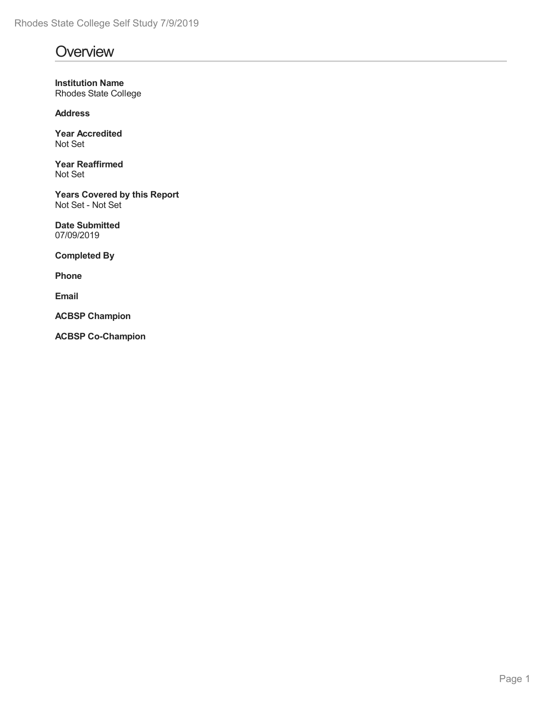# **Overview**

**Institution Name** Rhodes State College

**Address**

**Year Accredited** Not Set

**Year Reaffirmed** Not Set

**Years Covered by this Report** Not Set - Not Set

**Date Submitted** 07/09/2019

**Completed By**

**Phone**

**Email**

**ACBSP Champion**

**ACBSP Co-Champion**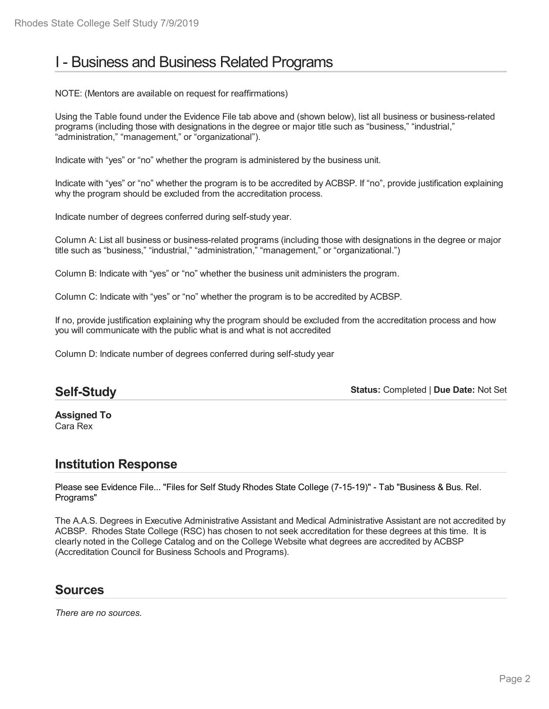# I - Business and Business Related Programs

NOTE: (Mentors are available on request for reaffirmations)

Using the Table found under the Evidence File tab above and (shown below), list all business or business-related programs (including those with designations in the degree or major title such as "business," "industrial," "administration," "management," or "organizational").

Indicate with "yes" or "no" whether the program is administered by the business unit.

Indicate with "yes" or "no" whether the program is to be accredited by ACBSP. If "no", provide justification explaining why the program should be excluded from the accreditation process.

Indicate number of degrees conferred during self-study year.

Column A: List all business or business-related programs (including those with designations in the degree or major title such as "business," "industrial," "administration," "management," or "organizational.")

Column B: Indicate with "yes" or "no" whether the business unit administers the program.

Column C: Indicate with "yes" or "no" whether the program is to be accredited by ACBSP.

If no, provide justification explaining why the program should be excluded from the accreditation process and how you will communicate with the public what is and what is not accredited

Column D: Indicate number of degrees conferred during self-study year

## **Self-Study**

**Status:** Completed | **Due Date:** Not Set

**Assigned To** Cara Rex

## **Institution Response**

Please see Evidence File... "Files for Self Study Rhodes State College (7-15-19)" - Tab "Business & Bus. Rel. Programs"

The A.A.S. Degrees in Executive Administrative Assistant and Medical Administrative Assistant are not accredited by ACBSP. Rhodes State College (RSC) has chosen to not seek accreditation for these degrees at this time. It is clearly noted in the College Catalog and on the College Website what degrees are accredited by ACBSP (Accreditation Council for Business Schools and Programs).

## **Sources**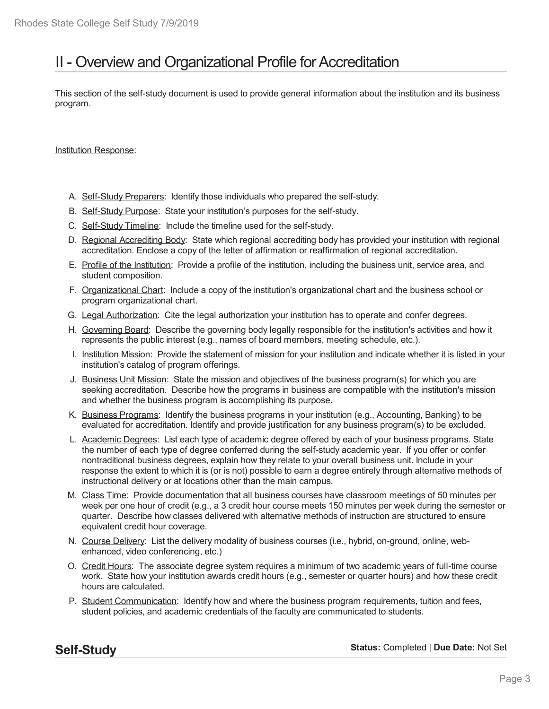# II - Overview and Organizational Profile for Accreditation

This section of the self-study document is used to provide general information about the institution and its business program.

Institution Response:

- A. Self-Study Preparers: Identify those individuals who prepared the self-study.
- B. Self-Study Purpose: State your institution's purposes for the self-study.
- C. Self-Study Timeline: Include the timeline used for the self-study.
- D. Regional Accrediting Body: State which regional accrediting body has provided your institution with regional accreditation. Enclose a copy of the letter of affirmation or reaffirmation of regional accreditation.
- E. Profile of the Institution: Provide a profile of the institution, including the business unit, service area, and student composition.
- F. Organizational Chart: Include a copy of the institution's organizational chart and the business school or program organizational chart.
- G. Legal Authorization: Cite the legal authorization your institution has to operate and confer degrees.
- H. Governing Board: Describe the governing body legally responsible for the institution's activities and how it represents the public interest (e.g., names of board members, meeting schedule, etc.).
- I. Institution Mission: Provide the statement of mission for your institution and indicate whether it is listed in your institution's catalog of program offerings.
- J. Business Unit Mission: State the mission and objectives of the business program(s) for which you are seeking accreditation. Describe how the programs in business are compatible with the institution's mission and whether the business program is accomplishing its purpose.
- K. Business Programs: Identify the business programs in your institution (e.g., Accounting, Banking) to be evaluated for accreditation. Identify and provide justification for any business program(s) to be excluded.
- L. Academic Degrees: List each type of academic degree offered by each of your business programs. State the number of each type of degree conferred during the self-study academic year. If you offer or confer nontraditional business degrees, explain how they relate to your overall business unit. Include in your response the extent to which it is (or is not) possible to earn a degree entirely through alternative methods of instructional delivery or at locations other than the main campus.
- M. Class Time: Provide documentation that all business courses have classroom meetings of 50 minutes per week per one hour of credit (e.g., a 3 credit hour course meets 150 minutes per week during the semester or quarter. Describe how classes delivered with alternative methods of instruction are structured to ensure equivalent credit hour coverage.
- N. Course Delivery: List the delivery modality of business courses (i.e., hybrid, on-ground, online, web enhanced, video conferencing, etc.)
- O. Credit Hours: The associate degree system requires a minimum of two academic years of full-time course work. State how your institution awards credit hours (e.g., semester or quarter hours) and how these credit hours are calculated.
- P. Student Communication: Identify how and where the business program requirements, tuition and fees, student policies, and academic credentials of the faculty are communicated to students.

**Self-Study**

**Status:** Completed | **Due Date:** Not Set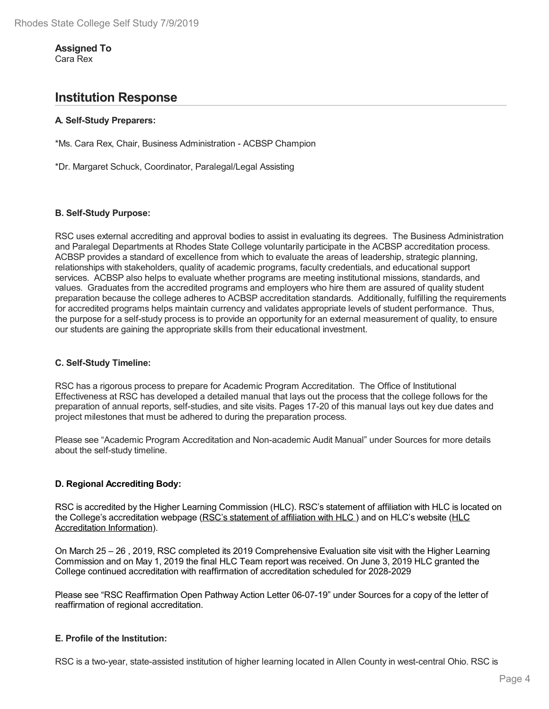#### **Assigned To** Cara Rex

**Institution Response**

### **A. Self-Study Preparers:**

\*Ms. Cara Rex, Chair, Business Administration - ACBSP Champion

\*Dr. Margaret Schuck, Coordinator, Paralegal/Legal Assisting

#### **B. Self-Study Purpose:**

RSC uses external accrediting and approval bodies to assist in evaluating its degrees. The Business Administration and Paralegal Departments at Rhodes State College voluntarily participate in the ACBSP accreditation process. ACBSP provides a standard of excellence from which to evaluate the areas of leadership, strategic planning, relationships with stakeholders, quality of academic programs, faculty credentials, and educational support services. ACBSP also helps to evaluate whether programs are meeting institutional missions, standards, and values. Graduates from the accredited programs and employers who hire them are assured of quality student preparation because the college adheres to ACBSP accreditation standards. Additionally, fulfilling the requirements for accredited programs helps maintain currency and validates appropriate levels of student performance. Thus, the purpose for a self-study process is to provide an opportunity for an external measurement of quality, to ensure our students are gaining the appropriate skills from their educational investment.

### **C. Self-Study Timeline:**

RSC has a rigorous process to prepare for Academic Program Accreditation. The Office of Institutional Effectiveness at RSC has developed a detailed manual that lays out the process that the college follows for the preparation of annual reports, self-studies, and site visits. Pages 17-20 of this manual lays out key due dates and project milestones that must be adhered to during the preparation process.

Please see "Academic Program Accreditation and Non-academic Audit Manual" under Sources for more details about the self-study timeline.

### **D. Regional Accrediting Body:**

RSC is accredited by the Higher Learning Commission (HLC). RSC's statement of affiliation with HLC is located on the College's accreditation webpage (RSC's statement of affiliation with HLC) and on HLC's website (HLC Accreditation Information).

On March 25 – 26 , 2019, RSC completed its 2019 Comprehensive Evaluation site visit with the Higher Learning Commission and on May 1, 2019 the final HLC Team report was received. On June 3, 2019 HLC granted the College continued accreditation with reaffirmation of accreditation scheduled for 2028-2029

Please see "RSC Reaffirmation Open Pathway Action Letter 06-07-19" under Sources for a copy of the letter of reaffirmation of regional accreditation.

#### **E. Profile of the Institution:**

RSC is a two-year, state-assisted institution of higher learning located in Allen County in west-central Ohio. RSC is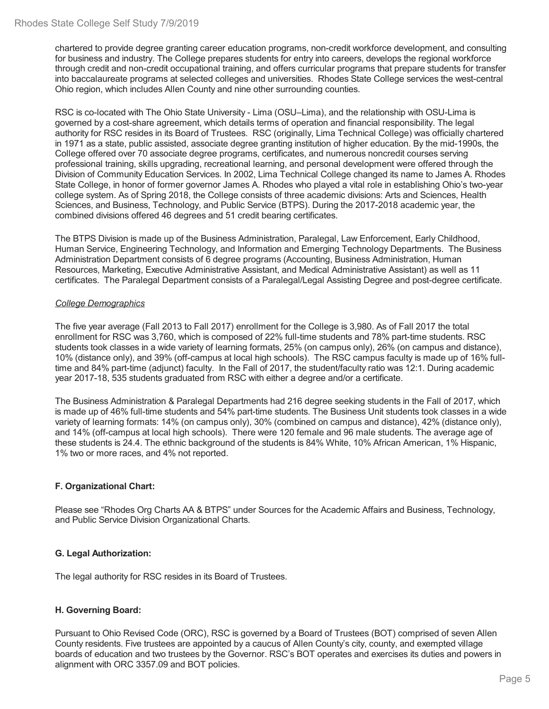chartered to provide degree granting career education programs, non-credit workforce development, and consulting for business and industry. The College prepares students for entry into careers, develops the regional workforce through credit and non-credit occupational training, and offers curricular programs that prepare students for transfer into baccalaureate programs at selected colleges and universities. Rhodes State College services the west-central Ohio region, which includes Allen County and nine other surrounding counties.

RSC is co-located with The Ohio State University -Lima (OSU–Lima), and the relationship with OSU-Lima is governed by a cost-share agreement, which details terms of operation and financial responsibility. The legal authority for RSC resides in its Board of Trustees. RSC (originally, Lima Technical College) was officially chartered in 1971 as a state, public assisted, associate degree granting institution of higher education. By the mid-1990s, the College offered over 70 associate degree programs, certificates, and numerous noncredit courses serving professional training, skills upgrading, recreational learning, and personal development were offered through the Division of Community Education Services. In 2002, Lima Technical College changed its name to James A. Rhodes State College, in honor of former governor James A. Rhodes who played a vital role in establishing Ohio's two-year college system. As of Spring 2018, the College consists of three academic divisions: Arts and Sciences, Health Sciences, and Business, Technology, and Public Service (BTPS). During the 2017-2018 academic year, the combined divisions offered 46 degrees and 51 credit bearing certificates.

The BTPS Division is made up of the Business Administration, Paralegal, Law Enforcement, Early Childhood, Human Service, Engineering Technology, and Information and Emerging Technology Departments. The Business Administration Department consists of 6 degree programs (Accounting, Business Administration, Human Resources, Marketing, Executive Administrative Assistant, and Medical Administrative Assistant) as well as 11 certificates. The Paralegal Department consists of a Paralegal/Legal Assisting Degree and post-degree certificate.

#### *College Demographics*

The five year average (Fall 2013 to Fall 2017) enrollment for the College is 3,980. As of Fall 2017 the total enrollment for RSC was 3,760, which is composed of 22% full-time students and 78% part-time students. RSC students took classes in a wide variety of learning formats, 25% (on campus only), 26% (on campus and distance), 10% (distance only), and 39% (off-campus at local high schools). The RSC campus faculty is made up of 16% fulltime and 84% part-time (adjunct) faculty. In the Fall of 2017, the student/faculty ratio was 12:1. During academic year 2017-18, 535 students graduated from RSC with either a degree and/or a certificate.

The Business Administration & Paralegal Departments had 216 degree seeking students in the Fall of 2017, which is made up of 46% full-time students and 54% part-time students. The Business Unit students took classes in a wide variety of learning formats: 14% (on campus only), 30% (combined on campus and distance), 42% (distance only), and 14% (off-campus at local high schools). There were 120 female and 96 male students. The average age of these students is 24.4. The ethnic background of the students is 84% White, 10% African American, 1% Hispanic, 1% two or more races, and 4% not reported.

### **F. Organizational Chart:**

Please see "Rhodes Org Charts AA & BTPS" under Sources for the Academic Affairs and Business, Technology, and Public Service Division Organizational Charts.

### **G. Legal Authorization:**

The legal authority for RSC resides in its Board of Trustees.

### **H. Governing Board:**

Pursuant to Ohio Revised Code (ORC), RSC is governed by a Board of Trustees (BOT) comprised of seven Allen County residents. Five trustees are appointed by a caucus of Allen County's city, county, and exempted village boards of education and two trustees by the Governor. RSC's BOT operates and exercises its duties and powers in alignment with ORC 3357.09 and BOT policies.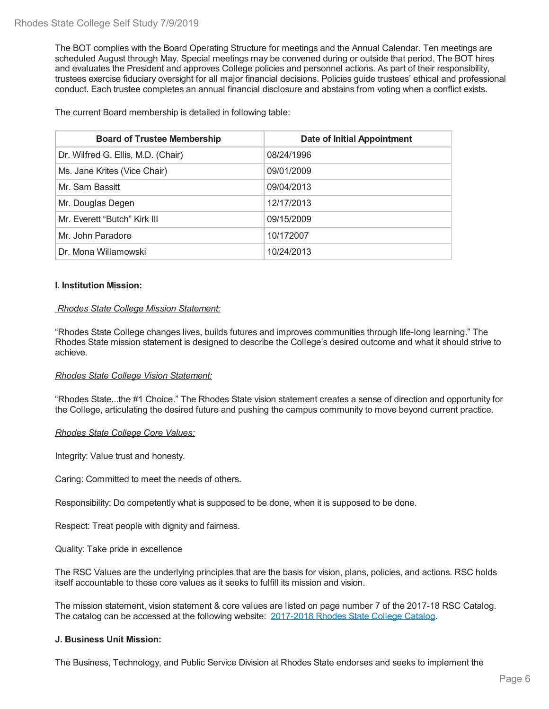The BOT complies with the Board Operating Structure for meetings and the Annual Calendar. Ten meetings are scheduled August through May. Special meetings may be convened during or outside that period. The BOT hires and evaluates the President and approves College policies and personnel actions. As part of their responsibility, trustees exercise fiduciary oversight for all major financial decisions. Policies guide trustees' ethical and professional conduct. Each trustee completes an annual financial disclosure and abstains from voting when a conflict exists.

The current Board membership is detailed in following table:

| <b>Board of Trustee Membership</b> | <b>Date of Initial Appointment</b> |
|------------------------------------|------------------------------------|
| Dr. Wilfred G. Ellis, M.D. (Chair) | 08/24/1996                         |
| Ms. Jane Krites (Vice Chair)       | 09/01/2009                         |
| Mr. Sam Bassitt                    | 09/04/2013                         |
| Mr. Douglas Degen                  | 12/17/2013                         |
| Mr. Everett "Butch" Kirk III       | 09/15/2009                         |
| Mr. John Paradore                  | 10/172007                          |
| Dr. Mona Willamowski               | 10/24/2013                         |

#### **I. Institution Mission:**

#### *Rhodes State College Mission Statement:*

"Rhodes State College changes lives, builds futures and improves communities through life-long learning." The Rhodes State mission statement is designed to describe the College's desired outcome and what it should strive to achieve.

#### *Rhodes State College Vision Statement:*

"Rhodes State...the #1 Choice." The Rhodes State vision statement creates a sense of direction and opportunity for the College, articulating the desired future and pushing the campus community to move beyond current practice.

#### *Rhodes State College Core Values:*

Integrity: Value trust and honesty.

Caring: Committed to meet the needs of others.

Responsibility: Do competently what is supposed to be done, when it is supposed to be done.

Respect: Treat people with dignity and fairness.

Quality: Take pride in excellence

The RSC Values are the underlying principles that are the basis for vision, plans, policies, and actions. RSC holds itself accountable to these core values as itseeks to fulfill its mission and vision.

The mission statement, vision statement & core values are listed on page number 7 of the 2017-18 RSC Catalog. The catalog can be accessed at the following website: 2017-2018 Rhodes State College Catalog.

#### **J. Business Unit Mission:**

The Business, Technology, and Public Service Division at Rhodes State endorses and seeks to implement the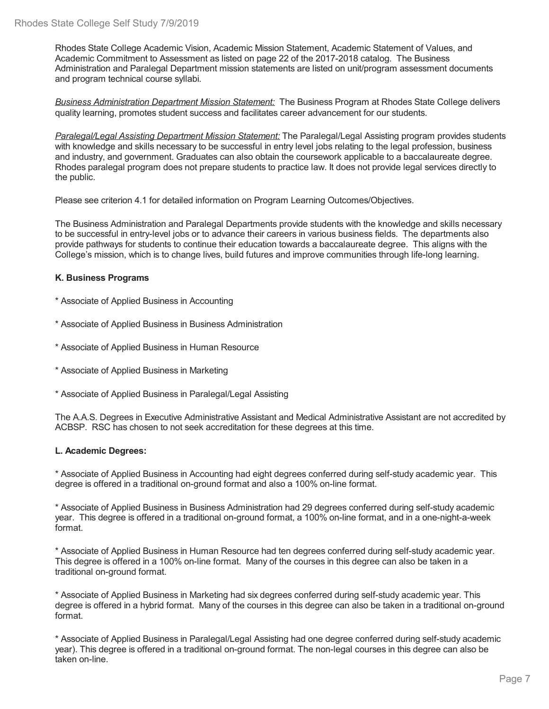Rhodes State College Academic Vision, Academic Mission Statement, Academic Statement of Values, and Academic Commitment to Assessment as listed on page 22 of the 2017-2018 catalog. The Business Administration and Paralegal Department mission statements are listed on unit/program assessment documents and program technical course syllabi.

*Business Administration Department Mission Statement:* The Business Program at Rhodes State College delivers quality learning, promotes student success and facilitates career advancement for our students.

*Paralegal/Legal Assisting Department Mission Statement:* The Paralegal/Legal Assisting program provides students with knowledge and skills necessary to be successful in entry level jobs relating to the legal profession, business and industry, and government. Graduates can also obtain the coursework applicable to a baccalaureate degree. Rhodes paralegal program does not prepare students to practice law. It does not provide legal services directly to the public.

Please see criterion 4.1 for detailed information on Program Learning Outcomes/Objectives.

The Business Administration and Paralegal Departments provide students with the knowledge and skills necessary to be successful in entry-level jobs or to advance their careers in various business fields. The departments also provide pathways for students to continue their education towards a baccalaureate degree. This aligns with the College's mission, which is to change lives, build futures and improve communities through life-long learning.

### **K. Business Programs**

- \* Associate of Applied Business in Accounting
- \* Associate of Applied Business in Business Administration
- \* Associate of Applied Business in Human Resource
- \* Associate of Applied Business in Marketing
- \* Associate of Applied Business in Paralegal/Legal Assisting

The A.A.S. Degrees in Executive Administrative Assistant and Medical Administrative Assistant are not accredited by ACBSP. RSC has chosen to not seek accreditation for these degrees at this time.

#### **L. Academic Degrees:**

\* Associate of Applied Business in Accounting had eight degrees conferred during self-study academic year. This degree is offered in a traditional on-ground format and also a 100% on-line format.

\* Associate of Applied Business in Business Administration had 29 degrees conferred during self-study academic year. This degree is offered in a traditional on-ground format, a 100% on-line format, and in a one-night-a-week format.

\* Associate of Applied Business in Human Resource had ten degrees conferred during self-study academic year. This degree is offered in a 100% on-line format. Many of the courses in this degree can also be taken in a traditional on-ground format.

\* Associate of Applied Business in Marketing had six degrees conferred during self-study academic year. This degree is offered in a hybrid format. Many of the courses in this degree can also be taken in a traditional on-ground format.

\* Associate of Applied Business in Paralegal/Legal Assisting had one degree conferred during self-study academic year). This degree is offered in a traditional on-ground format. The non-legal courses in this degree can also be taken on-line.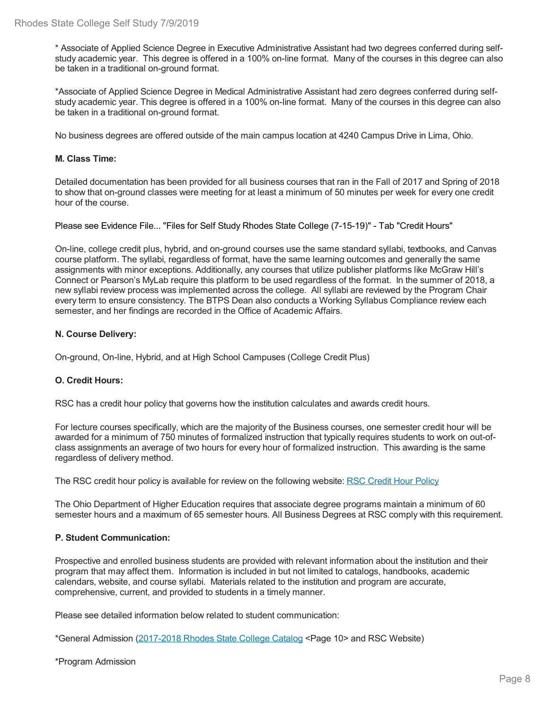\* Associate of Applied Science Degree in Executive Administrative Assistant had two degrees conferred during self study academic year. This degree is offered in a 100% on-line format. Many of the courses in this degree can also be taken in a traditional on-ground format.

\*Associate of Applied Science Degree in Medical Administrative Assistant had zero degrees conferred during self study academic year. This degree is offered in a 100% on-line format. Many of the courses in this degree can also be taken in a traditional on-ground format.

No business degrees are offered outside of the main campus location at 4240 Campus Drive in Lima, Ohio.

#### **M. Class Time:**

Detailed documentation has been provided for all business courses that ran in the Fall of 2017 and Spring of 2018 to show that on-ground classes were meeting for at least a minimum of 50 minutes per week for every one credit hour of the course.

Please see Evidence File... "Files for Self Study Rhodes State College (7-15-19)" - Tab "Credit Hours"

On-line, college credit plus, hybrid, and on-ground courses use the same standard syllabi, textbooks, and Canvas course platform. The syllabi, regardless of format, have the same learning outcomes and generally the same assignments with minor exceptions. Additionally, any courses that utilize publisher platforms like McGraw Hill's Connect or Pearson's MyLab require this platform to be used regardless of the format. In the summer of 2018, a new syllabi review process was implemented across the college. All syllabi are reviewed by the Program Chair every term to ensure consistency. The BTPS Dean also conducts a Working Syllabus Compliance review each semester, and her findings are recorded in the Office of Academic Affairs.

#### **N. Course Delivery:**

On-ground, On-line, Hybrid, and at High School Campuses (College Credit Plus)

### **O. Credit Hours:**

RSC has a credit hour policy that governs how the institution calculates and awards credit hours.

For lecture courses specifically, which are the majority of the Business courses, one semester credit hour will be awarded for a minimum of 750 minutes of formalized instruction that typically requires students to work on out-of class assignments an average of two hours for every hour of formalized instruction. This awarding is the same regardless of delivery method.

The RSC credit hour policy is available for review on the following website: RSC Credit Hour Policy

The Ohio Department of Higher Education requires that associate degree programs maintain a minimum of 60 semester hours and a maximum of 65 semester hours. All Business Degrees at RSC comply with this requirement.

#### **P. Student Communication:**

Prospective and enrolled business students are provided with relevant information about the institution and their program that may affect them. Information is included in but not limited to catalogs, handbooks, academic calendars, website, and course syllabi. Materials related to the institution and program are accurate, comprehensive, current, and provided to students in a timely manner.

Please see detailed information below related to student communication:

\*General Admission (2017-2018 Rhodes State College Catalog <Page 10> and RSC Website)

\*Program Admission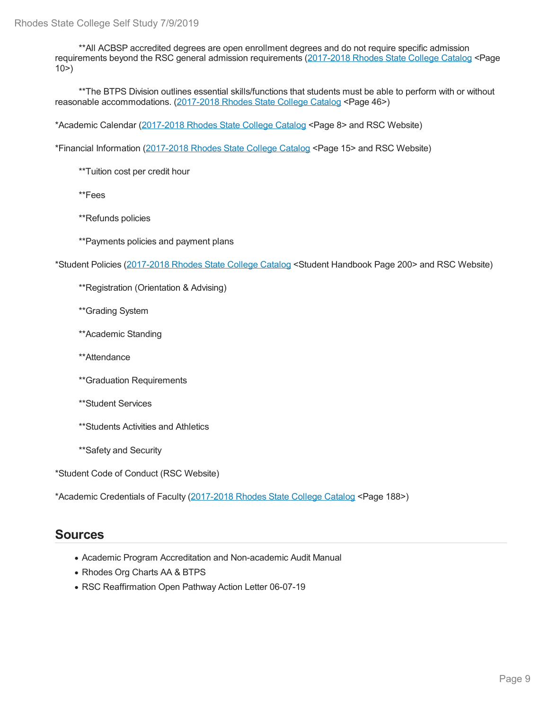\*\*All ACBSP accredited degrees are open enrollment degrees and do not require specific admission requirements beyond the RSC general admission requirements (2017-2018 Rhodes State College Catalog <Page  $10$ 

\*\*The BTPS Division outlines essential skills/functions that students must be able to perform with or without reasonable accommodations. (2017-2018 Rhodes State College Catalog <Page 46>)

\*Academic Calendar (2017-2018 Rhodes State College Catalog <Page 8> and RSC Website)

\*Financial Information (2017-2018 Rhodes State College Catalog <Page 15> and RSC Website)

\*\*Tuition cost per credit hour

\*\*Fees

\*\*Refunds policies

\*\*Payments policies and payment plans

\*Student Policies (2017-2018 Rhodes State College Catalog <Student Handbook Page 200> and RSC Website)

\*\*Registration (Orientation & Advising)

\*\*Grading System

\*\*Academic Standing

\*\*Attendance

\*\*Graduation Requirements

\*\*Student Services

\*\*Students Activities and Athletics

\*\*Safety and Security

\*Student Code of Conduct (RSC Website)

\*Academic Credentials of Faculty (2017-2018 Rhodes State College Catalog <Page 188>)

### **Sources**

- Academic Program Accreditation and Non-academic Audit Manual
- Rhodes Org Charts AA & BTPS
- RSC Reaffirmation Open Pathway Action Letter 06-07-19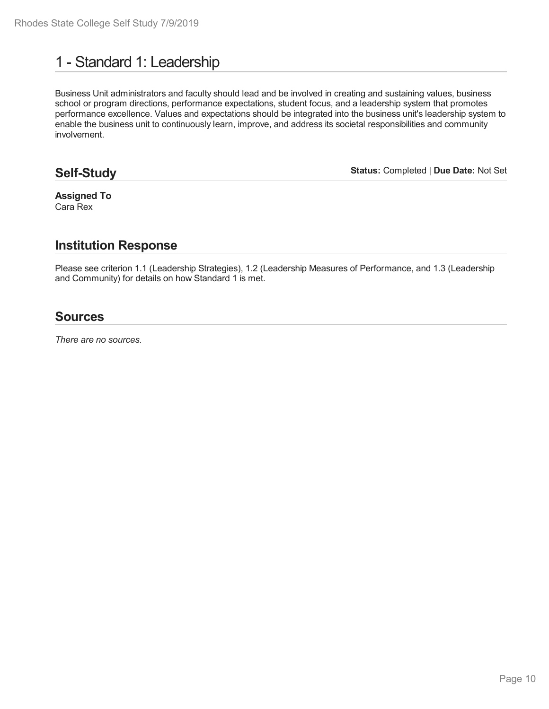# 1 - Standard 1: Leadership

Business Unit administrators and faculty should lead and be involved in creating and sustaining values, business school or program directions, performance expectations, student focus, and a leadership system that promotes performance excellence. Values and expectations should be integrated into the business unit's leadership system to enable the business unit to continuously learn, improve, and address its societal responsibilities and community involvement.

## **Self-Study**

**Status:** Completed | **Due Date:** Not Set

**Assigned To** Cara Rex

## **Institution Response**

Please see criterion 1.1 (Leadership Strategies), 1.2 (Leadership Measures of Performance, and 1.3 (Leadership and Community) for details on how Standard 1 is met.

## **Sources**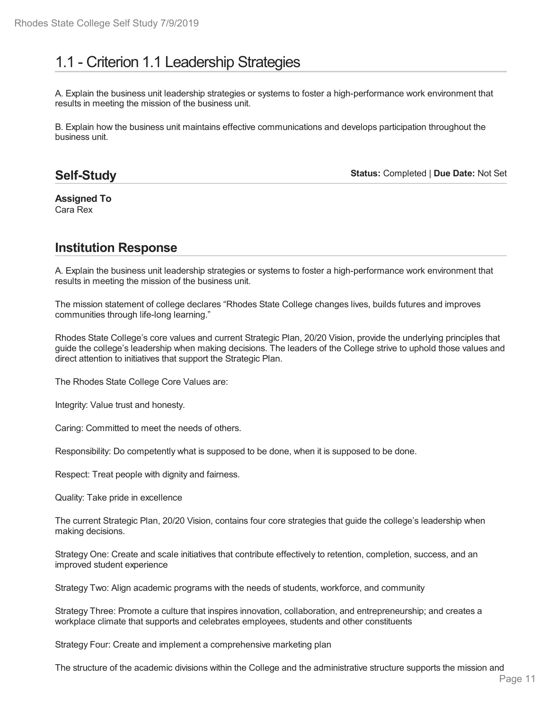# 1.1 - Criterion 1.1 Leadership Strategies

A. Explain the business unit leadership strategies or systems to foster a high-performance work environment that results in meeting the mission of the business unit.

B. Explain how the business unit maintains effective communications and develops participation throughout the business unit.

## **Self-Study**

**Status:** Completed | **Due Date:** Not Set

**Assigned To** Cara Rex

# **Institution Response**

A. Explain the business unit leadership strategies or systems to foster a high-performance work environment that results in meeting the mission of the business unit.

The mission statement of college declares "Rhodes State College changes lives, builds futures and improves communities through life-long learning."

Rhodes State College's core values and current Strategic Plan, 20/20 Vision, provide the underlying principles that guide the college's leadership when making decisions. The leaders of the College strive to uphold those values and direct attention to initiatives that support the Strategic Plan.

The Rhodes State College Core Values are:

Integrity: Value trust and honesty.

Caring: Committed to meet the needs of others.

Responsibility: Do competently what is supposed to be done, when it is supposed to be done.

Respect: Treat people with dignity and fairness.

Quality: Take pride in excellence

The current Strategic Plan, 20/20 Vision, contains four core strategies that guide the college's leadership when making decisions.

Strategy One: Create and scale initiatives that contribute effectively to retention, completion, success, and an improved student experience

Strategy Two: Align academic programs with the needs of students, workforce, and community

Strategy Three: Promote a culture that inspires innovation, collaboration, and entrepreneurship; and creates a workplace climate that supports and celebrates employees, students and other constituents

Strategy Four: Create and implement a comprehensive marketing plan

The structure of the academic divisions within the College and the administrative structure supports the mission and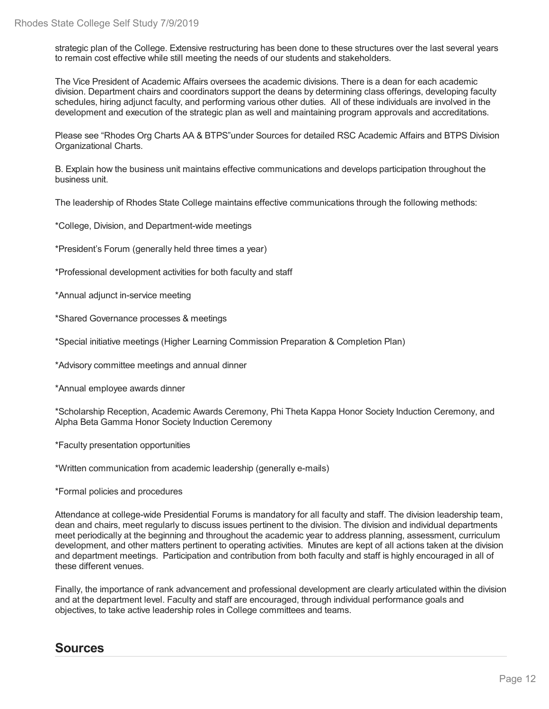strategic plan of the College. Extensive restructuring has been done to these structures over the last several years to remain cost effective while still meeting the needs of our students and stakeholders.

The Vice President of Academic Affairs oversees the academic divisions. There is a dean for each academic division. Department chairs and coordinators support the deans by determining class offerings, developing faculty schedules, hiring adjunct faculty, and performing various other duties. All of these individuals are involved in the development and execution of the strategic plan as well and maintaining program approvals and accreditations.

Please see "Rhodes Org Charts AA & BTPS"under Sources for detailed RSC Academic Affairs and BTPS Division Organizational Charts.

B. Explain how the business unit maintains effective communications and develops participation throughout the business unit.

The leadership of Rhodes State College maintains effective communications through the following methods:

\*College, Division, and Department-wide meetings

\*President's Forum (generally held three times a year)

\*Professional development activities for both faculty and staff

\*Annual adjunct in-service meeting

\*Shared Governance processes & meetings

\*Special initiative meetings (Higher Learning Commission Preparation & Completion Plan)

\*Advisory committee meetings and annual dinner

\*Annual employee awards dinner

\*Scholarship Reception, Academic Awards Ceremony, Phi Theta Kappa Honor Society Induction Ceremony, and Alpha Beta Gamma Honor Society Induction Ceremony

\*Faculty presentation opportunities

\*Written communication from academic leadership (generally e-mails)

\*Formal policies and procedures

Attendance at college-wide Presidential Forums is mandatory for all faculty and staff. The division leadership team, dean and chairs, meet regularly to discuss issues pertinent to the division. The division and individual departments meet periodically at the beginning and throughout the academic year to address planning, assessment, curriculum development, and other matters pertinent to operating activities. Minutes are kept of all actions taken at the division and department meetings. Participation and contribution from both faculty and staff is highly encouraged in all of these different venues.

Finally, the importance of rank advancement and professional development are clearly articulated within the division and at the department level. Faculty and staff are encouraged, through individual performance goals and objectives, to take active leadership roles in College committees and teams.

## **Sources**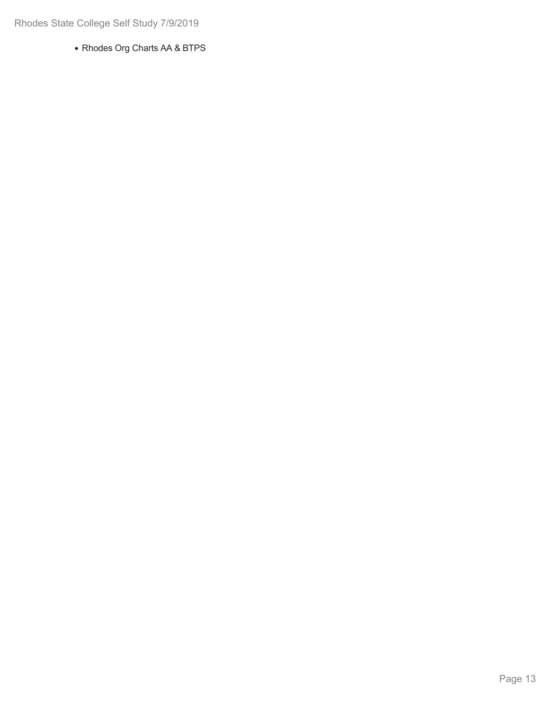Rhodes Org Charts AA & BTPS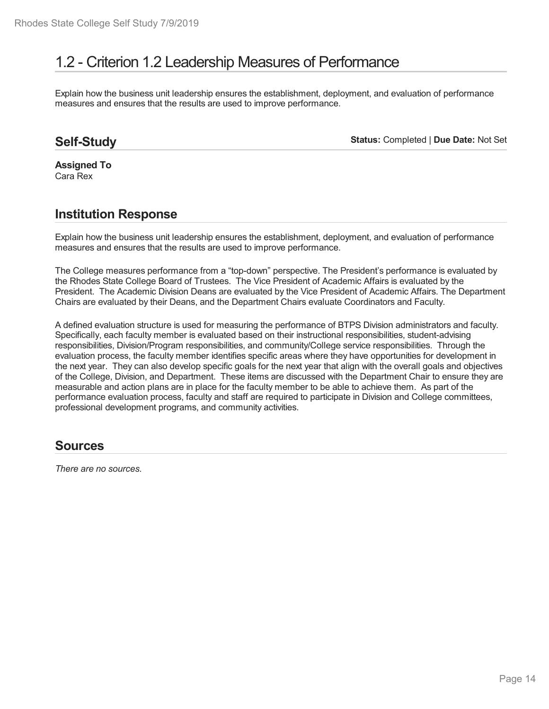# 1.2 - Criterion 1.2 Leadership Measures of Performance

Explain how the business unit leadership ensures the establishment, deployment, and evaluation of performance measures and ensures that the results are used to improve performance.

## **Self-Study**

**Status:** Completed | **Due Date:** Not Set

**Assigned To** Cara Rex

## **Institution Response**

Explain how the business unit leadership ensures the establishment, deployment, and evaluation of performance measures and ensures that the results are used to improve performance.

The College measures performance from a"top-down" perspective. The President's performance is evaluated by the Rhodes State College Board of Trustees. The Vice President of Academic Affairs is evaluated by the President. The Academic Division Deans are evaluated by the Vice President of Academic Affairs. The Department Chairs are evaluated by their Deans, and the Department Chairs evaluate Coordinators and Faculty.

A defined evaluation structure is used for measuring the performance of BTPS Division administrators and faculty. Specifically, each faculty member is evaluated based on their instructional responsibilities, student-advising responsibilities, Division/Program responsibilities, and community/College service responsibilities. Through the evaluation process, the faculty member identifies specific areas where they have opportunities for development in the next year. They can also develop specific goals for the next year that align with the overall goals and objectives of the College, Division, and Department. These items are discussed with the Department Chair to ensure they are measurable and action plans are in place for the faculty member to be able to achieve them. As part of the performance evaluation process, faculty and staff are required to participate in Division and College committees, professional development programs, and community activities.

## **Sources**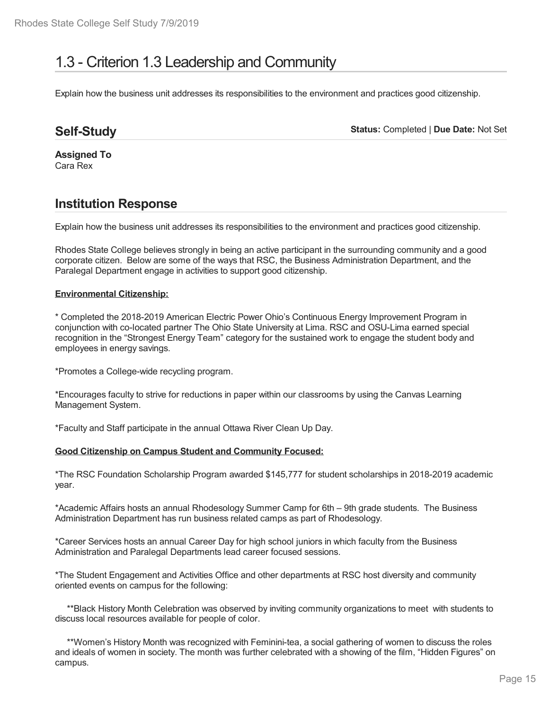# 1.3 - Criterion 1.3 Leadership and Community

Explain how the business unit addresses its responsibilities to the environment and practices good citizenship.

## **Self-Study**

**Status:** Completed | **Due Date:** Not Set

**Assigned To** Cara Rex

# **Institution Response**

Explain how the business unit addresses its responsibilities to the environment and practices good citizenship.

Rhodes State College believes strongly in being an active participant in the surrounding community and a good corporate citizen. Below are some of the ways that RSC, the Business Administration Department, and the Paralegal Department engage in activities to support good citizenship.

### **Environmental Citizenship:**

\* Completed the 2018-2019 American Electric Power Ohio's Continuous Energy Improvement Program in conjunction with co-located partner The Ohio State University at Lima. RSC and OSU-Lima earned special recognition in the "Strongest Energy Team" category for the sustained work to engage the student body and employees in energy savings.

\*Promotes a College-wide recycling program.

\*Encourages faculty to strive for reductions in paper within our classrooms by using the Canvas Learning Management System.

\*Faculty and Staff participate in the annual Ottawa River Clean Up Day.

### **Good Citizenship on Campus Student and Community Focused:**

\*The RSC Foundation Scholarship Program awarded \$145,777 for student scholarships in 2018-2019 academic year.

\*Academic Affairs hosts an annual Rhodesology Summer Camp for 6th – 9th grade students. The Business Administration Department has run business related camps as part of Rhodesology.

\*Career Services hosts an annual Career Day for high school juniors in which faculty from the Business Administration and Paralegal Departments lead career focused sessions.

\*The Student Engagement and Activities Office and other departments at RSC host diversity and community oriented events on campus for the following:

\*\*Black History Month Celebration was observed by inviting community organizations to meet with students to discuss local resources available for people of color.

\*\*Women's History Month was recognized with Feminini-tea, a social gathering of women to discuss the roles and ideals of women in society. The month was further celebrated with a showing of the film, "Hidden Figures" on campus.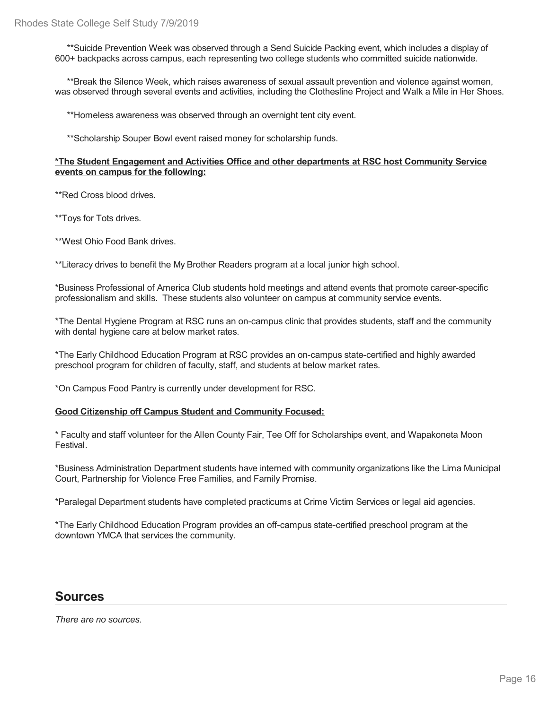\*\*Suicide Prevention Week was observed through a Send Suicide Packing event, which includes a display of 600+ backpacks across campus, each representing two college students who committed suicide nationwide.

\*\*Break the Silence Week, which raises awareness of sexual assault prevention and violence against women, was observed through several events and activities, including the Clothesline Project and Walk a Mile in Her Shoes.

\*\*Homeless awareness was observed through an overnight tent city event.

\*\*Scholarship Souper Bowl event raised money for scholarship funds.

#### **\*The Student Engagement and Activities Office and other departments at RSC host Community Service events on campus for the following:**

\*\*Red Cross blood drives.

\*\*Toys for Tots drives.

\*\*West Ohio Food Bank drives.

\*\*Literacy drives to benefit the My Brother Readers program at a local junior high school.

\*Business Professional of America Club students hold meetings and attend events that promote career-specific professionalism and skills. These students also volunteer on campus at community service events.

\*The Dental Hygiene Program at RSC runs an on-campus clinic that provides students, staff and the community with dental hygiene care at below market rates.

\*The Early Childhood Education Program at RSC provides an on-campus state-certified and highly awarded preschool program for children of faculty, staff, and students at below market rates.

\*On Campus Food Pantry is currently under development for RSC.

#### **Good Citizenship off Campus Student and Community Focused:**

\* Faculty and staff volunteer for the Allen County Fair, Tee Off for Scholarships event, and Wapakoneta Moon Festival.

\*Business Administration Department students have interned with community organizations like the Lima Municipal Court, Partnership for Violence Free Families, and Family Promise.

\*Paralegal Department students have completed practicums at Crime Victim Services or legal aid agencies.

\*The Early Childhood Education Program provides an off-campus state-certified preschool program at the downtown YMCA that services the community.

## **Sources**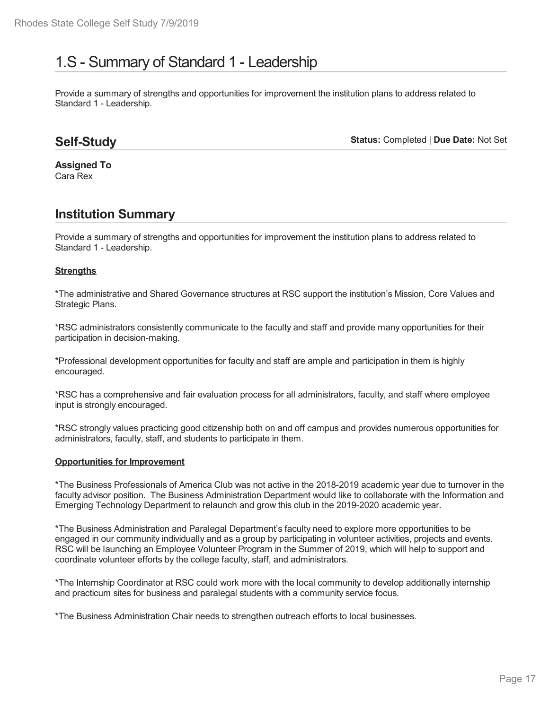# 1.S - Summary of Standard 1 - Leadership

Provide a summary of strengths and opportunities for improvement the institution plans to address related to Standard 1 - Leadership.

## **Self-Study**

**Status:** Completed | **Due Date:** Not Set

**Assigned To** Cara Rex

## **Institution Summary**

Provide a summary of strengths and opportunities for improvement the institution plans to address related to Standard 1 - Leadership.

### **Strengths**

\*The administrative and Shared Governance structures at RSC support the institution's Mission, Core Values and Strategic Plans.

\*RSC administrators consistently communicate to the faculty and staff and provide many opportunities for their participation in decision-making.

\*Professional development opportunities for faculty and staff are ample and participation in them is highly encouraged.

\*RSC has a comprehensive and fair evaluation process for all administrators, faculty, and staff where employee input is strongly encouraged.

\*RSC strongly values practicing good citizenship both on and off campus and provides numerous opportunities for administrators, faculty, staff, and students to participate in them.

#### **Opportunities for Improvement**

\*The Business Professionals of America Club was not active in the 2018-2019 academic year due to turnover in the faculty advisor position. The Business Administration Department would like to collaborate with the Information and Emerging Technology Department to relaunch and grow this club in the 2019-2020 academic year.

\*The Business Administration and Paralegal Department's faculty need to explore more opportunities to be engaged in our community individually and as a group by participating in volunteer activities, projects and events. RSC will be launching an Employee Volunteer Program in the Summer of 2019, which will help to support and coordinate volunteer efforts by the college faculty, staff, and administrators.

\*The Internship Coordinator at RSC could work more with the local community to develop additionally internship and practicum sites for business and paralegal students with a community service focus.

\*The Business Administration Chair needs to strengthen outreach efforts to local businesses.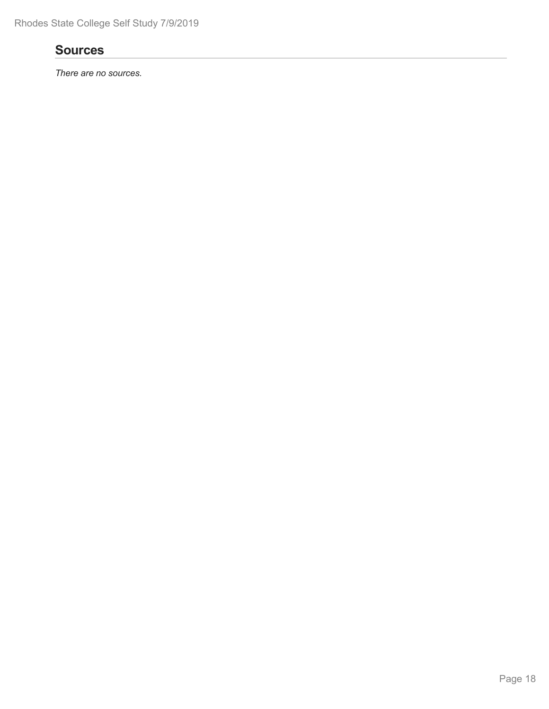## **Sources**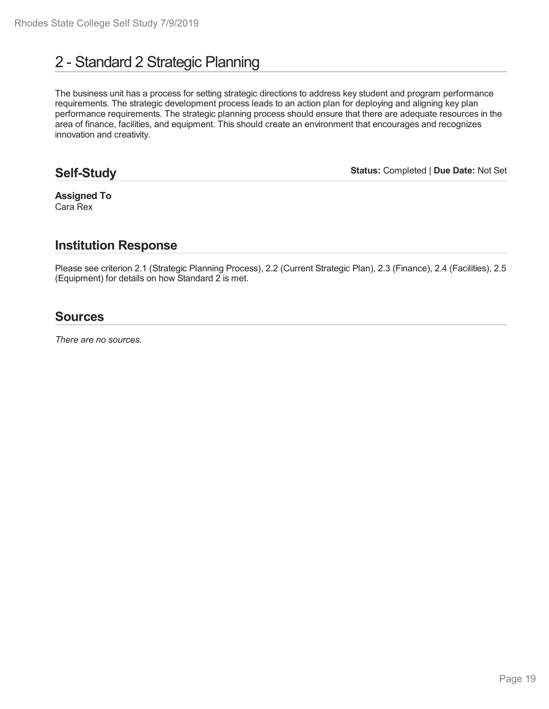# 2 - Standard 2 Strategic Planning

The business unit has a process for setting strategic directions to address key student and program performance requirements. The strategic development process leads to an action plan for deploying and aligning key plan performance requirements. The strategic planning process should ensure that there are adequate resources in the area of finance, facilities, and equipment. This should create an environment that encourages and recognizes innovation and creativity.

## **Self-Study**

**Status:** Completed | **Due Date:** Not Set

**Assigned To** Cara Rex

## **Institution Response**

Please see criterion 2.1 (Strategic Planning Process), 2.2 (Current Strategic Plan), 2.3 (Finance), 2.4 (Facilities), 2.5 (Equipment) for details on how Standard 2 is met.

## **Sources**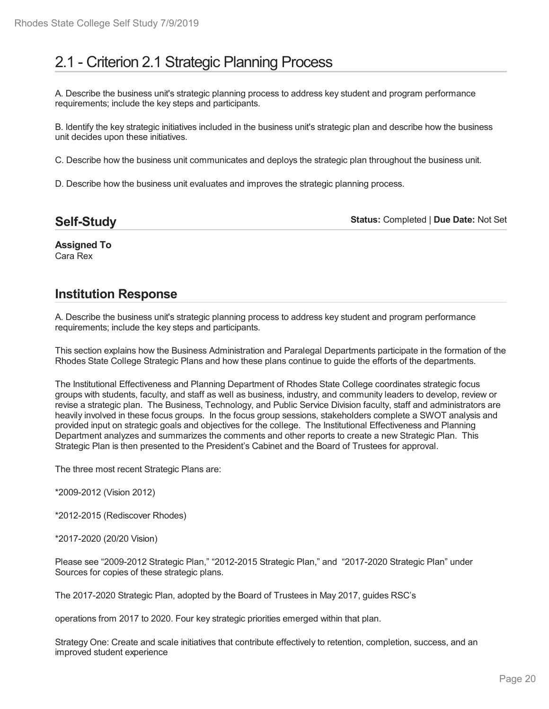# 2.1 - Criterion 2.1 Strategic Planning Process

A. Describe the business unit's strategic planning process to address key student and program performance requirements; include the key steps and participants.

B. Identify the key strategic initiatives included in the business unit's strategic plan and describe how the business unit decides upon these initiatives.

C. Describe how the business unit communicates and deploys the strategic plan throughout the business unit.

D. Describe how the business unit evaluates and improves the strategic planning process.

**Self-Study**

**Status:** Completed | **Due Date:** Not Set

**Assigned To** Cara Rex

## **Institution Response**

A. Describe the business unit's strategic planning process to address key student and program performance requirements; include the key steps and participants.

This section explains how the Business Administration and Paralegal Departments participate in the formation of the Rhodes State College Strategic Plans and how these plans continue to guide the efforts of the departments.

The Institutional Effectiveness and Planning Department of Rhodes State College coordinates strategic focus groups with students, faculty, and staff as well as business, industry, and community leaders to develop, review or revise a strategic plan. The Business, Technology, and Public Service Division faculty, staff and administrators are heavily involved in these focus groups. In the focus group sessions, stakeholders complete a SWOT analysis and provided input on strategic goals and objectives for the college. The Institutional Effectiveness and Planning Department analyzes and summarizes the comments and other reports to create a new Strategic Plan. This Strategic Plan is then presented to the President's Cabinet and the Board of Trustees for approval.

The three most recent Strategic Plans are:

\*2009-2012 (Vision 2012)

\*2012-2015 (Rediscover Rhodes)

\*2017-2020 (20/20 Vision)

Please see "2009-2012 Strategic Plan," "2012-2015 Strategic Plan," and "2017-2020 Strategic Plan" under Sources for copies of these strategic plans.

The 2017-2020 Strategic Plan, adopted by the Board of Trustees in May 2017, guides RSC's

operations from 2017 to 2020. Four key strategic priorities emerged within that plan.

Strategy One: Create and scale initiatives that contribute effectively to retention, completion, success, and an improved student experience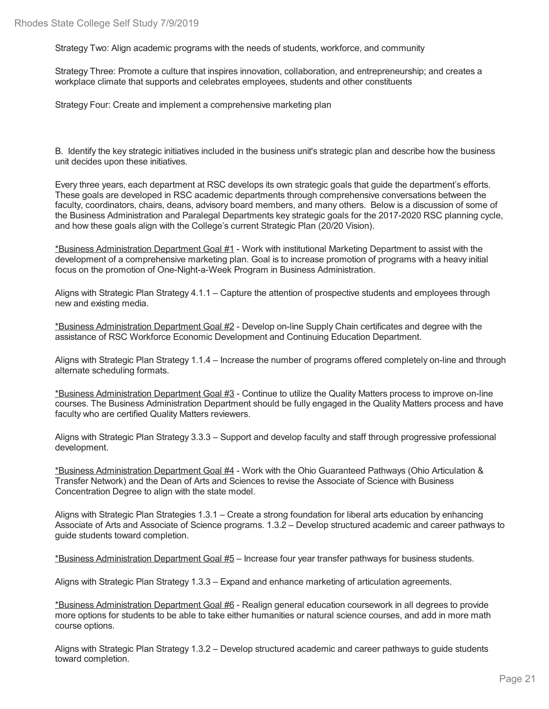Strategy Two: Align academic programs with the needs of students, workforce, and community

Strategy Three: Promote a culture that inspires innovation, collaboration, and entrepreneurship; and creates a workplace climate that supports and celebrates employees, students and other constituents

Strategy Four: Create and implement a comprehensive marketing plan

B. Identify the key strategic initiatives included in the business unit's strategic plan and describe how the business unit decides upon these initiatives.

Every three years, each department at RSC develops its own strategic goals that guide the department's efforts. These goals are developed in RSC academic departments through comprehensive conversations between the faculty, coordinators, chairs, deans, advisory board members, and many others. Below is a discussion of some of the Business Administration and Paralegal Departments key strategic goals for the 2017-2020 RSC planning cycle, and how these goals align with the College's current Strategic Plan (20/20 Vision).

\*Business Administration Department Goal #1 - Work with institutional Marketing Department to assist with the development of a comprehensive marketing plan. Goal is to increase promotion of programs with a heavy initial focus on the promotion of One-Night-a-Week Program in Business Administration.

Aligns with Strategic Plan Strategy 4.1.1 – Capture the attention of prospective students and employees through new and existing media.

\*Business Administration Department Goal #2 - Develop on-line Supply Chain certificates and degree with the assistance of RSC Workforce Economic Development and Continuing Education Department.

Aligns with Strategic Plan Strategy 1.1.4 – Increase the number of programs offered completely on-line and through alternate scheduling formats.

\*Business Administration Department Goal #3 - Continue to utilize the Quality Matters process to improve on-line courses. The Business Administration Department should be fully engaged in the Quality Matters process and have faculty who are certified Quality Matters reviewers.

Aligns with Strategic Plan Strategy 3.3.3 – Support and develop faculty and staff through progressive professional development.

\*Business Administration Department Goal #4 - Work with the Ohio Guaranteed Pathways (Ohio Articulation & Transfer Network) and the Dean of Arts and Sciences to revise the Associate of Science with Business Concentration Degree to align with the state model.

Aligns with Strategic Plan Strategies 1.3.1 – Create a strong foundation for liberal arts education by enhancing Associate of Arts and Associate of Science programs. 1.3.2 – Develop structured academic and career pathways to guide students toward completion.

\*Business Administration Department Goal #5 – Increase four year transfer pathways for business students.

Aligns with Strategic Plan Strategy 1.3.3 – Expand and enhance marketing of articulation agreements.

\*Business Administration Department Goal #6 - Realign general education coursework in all degrees to provide more options for students to be able to take either humanities or natural science courses, and add in more math course options.

Aligns with Strategic Plan Strategy 1.3.2 – Develop structured academic and career pathways to guide students toward completion.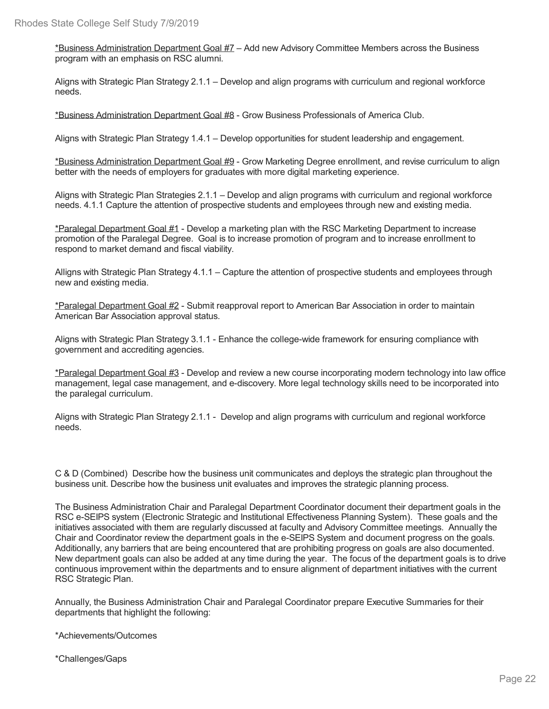\*Business Administration Department Goal #7 – Add new Advisory Committee Members across the Business program with an emphasis on RSC alumni.

Aligns with Strategic Plan Strategy 2.1.1 – Develop and align programs with curriculum and regional workforce needs.

\*Business Administration Department Goal #8 - Grow Business Professionals of America Club.

Aligns with Strategic Plan Strategy 1.4.1 – Develop opportunities for student leadership and engagement.

\*Business Administration Department Goal #9 - Grow Marketing Degree enrollment, and revise curriculum to align better with the needs of employers for graduates with more digital marketing experience.

Aligns with Strategic Plan Strategies 2.1.1 – Develop and align programs with curriculum and regional workforce needs. 4.1.1 Capture the attention of prospective students and employees through new and existing media.

\*Paralegal Department Goal #1 - Develop a marketing plan with the RSC Marketing Department to increase promotion of the Paralegal Degree. Goal is to increase promotion of program and to increase enrollment to respond to market demand and fiscal viability.

Alligns with Strategic Plan Strategy 4.1.1 – Capture the attention of prospective students and employees through new and existing media.

\*Paralegal Department Goal #2 - Submit reapproval report to American Bar Association in order to maintain American Bar Association approval status.

Aligns with Strategic Plan Strategy 3.1.1 - Enhance the college-wide framework for ensuring compliance with government and accrediting agencies.

\*Paralegal Department Goal #3 - Develop and review a new course incorporating modern technology into law office management, legal case management, and e-discovery. More legal technology skills need to be incorporated into the paralegal curriculum.

Aligns with Strategic Plan Strategy 2.1.1 - Develop and align programs with curriculum and regional workforce needs.

C & D (Combined) Describe how the business unit communicates and deploys the strategic plan throughout the business unit. Describe how the business unit evaluates and improves the strategic planning process.

The Business Administration Chair and Paralegal Department Coordinator document their department goals in the RSC e-SEIPS system (Electronic Strategic and Institutional Effectiveness Planning System). These goals and the initiatives associated with them are regularly discussed at faculty and Advisory Committee meetings. Annually the Chair and Coordinator review the department goals in the e-SEIPS System and document progress on the goals. Additionally, any barriers that are being encountered that are prohibiting progress on goals are also documented. New department goals can also be added at any time during the year. The focus of the department goals is to drive continuous improvement within the departments and to ensure alignment of department initiatives with the current RSC Strategic Plan.

Annually, the Business Administration Chair and Paralegal Coordinator prepare Executive Summaries for their departments that highlight the following:

\*Achievements/Outcomes

\*Challenges/Gaps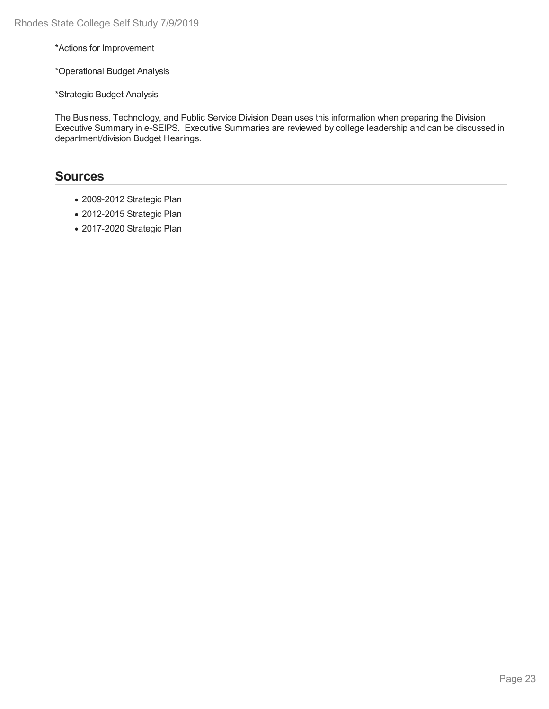\*Actions for Improvement

\*Operational Budget Analysis

\*Strategic Budget Analysis

The Business, Technology, and Public Service Division Dean uses this information when preparing the Division Executive Summary in e-SEIPS. Executive Summaries are reviewed by college leadership and can be discussed in department/division Budget Hearings.

## **Sources**

- 2009-2012 Strategic Plan
- 2012-2015 Strategic Plan
- 2017-2020 Strategic Plan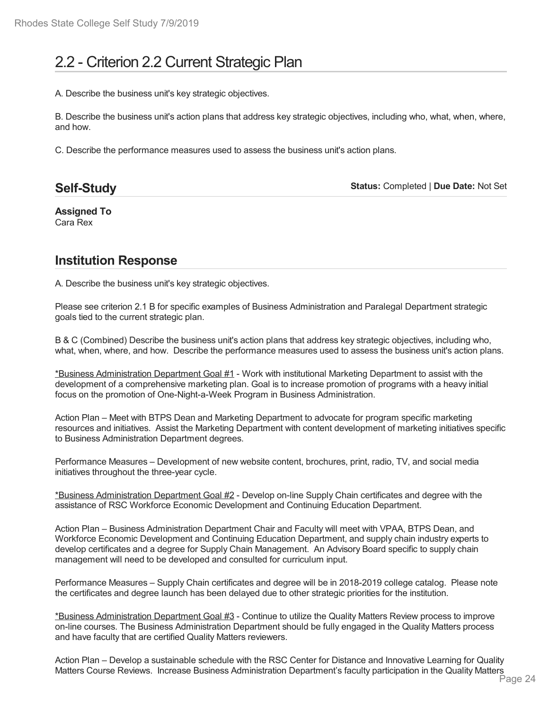# 2.2 - Criterion 2.2 Current Strategic Plan

A. Describe the business unit's key strategic objectives.

B. Describe the business unit's action plans that address key strategic objectives, including who, what, when, where, and how.

C. Describe the performance measures used to assess the business unit's action plans.

| <b>Self-Study</b> | Status: Completed   Due Date: Not Set |
|-------------------|---------------------------------------|
|-------------------|---------------------------------------|

**Assigned To** Cara Rex

## **Institution Response**

A. Describe the business unit's key strategic objectives.

Please see criterion 2.1 B for specific examples of Business Administration and Paralegal Department strategic goals tied to the current strategic plan.

B & C (Combined) Describe the business unit's action plans that address key strategic objectives, including who, what, when, where, and how. Describe the performance measures used to assess the business unit's action plans.

\*Business Administration Department Goal #1 - Work with institutional Marketing Department to assist with the development of a comprehensive marketing plan. Goal is to increase promotion of programs with a heavy initial focus on the promotion of One-Night-a-Week Program in Business Administration.

Action Plan – Meet with BTPS Dean and Marketing Department to advocate for program specific marketing resources and initiatives. Assist the Marketing Department with content development of marketing initiatives specific to Business Administration Department degrees.

Performance Measures – Development of new website content, brochures, print, radio, TV, and social media initiatives throughout the three-year cycle.

\*Business Administration Department Goal #2 - Develop on-line Supply Chain certificates and degree with the assistance of RSC Workforce Economic Development and Continuing Education Department.

Action Plan – Business Administration Department Chair and Faculty will meet with VPAA, BTPS Dean, and Workforce Economic Development and Continuing Education Department, and supply chain industry experts to develop certificates and a degree for Supply Chain Management. An Advisory Board specific to supply chain management will need to be developed and consulted for curriculum input.

Performance Measures – Supply Chain certificates and degree will be in 2018-2019 college catalog. Please note the certificates and degree launch has been delayed due to other strategic priorities for the institution.

\*Business Administration Department Goal #3 - Continue to utilize the Quality Matters Review process to improve on-line courses. The Business Administration Department should be fully engaged in the Quality Matters process and have faculty that are certified Quality Matters reviewers.

Action Plan – Develop a sustainable schedule with the RSC Center for Distance and Innovative Learning for Quality Matters Course Reviews. Increase Business Administration Department's faculty participation in the Quality Matters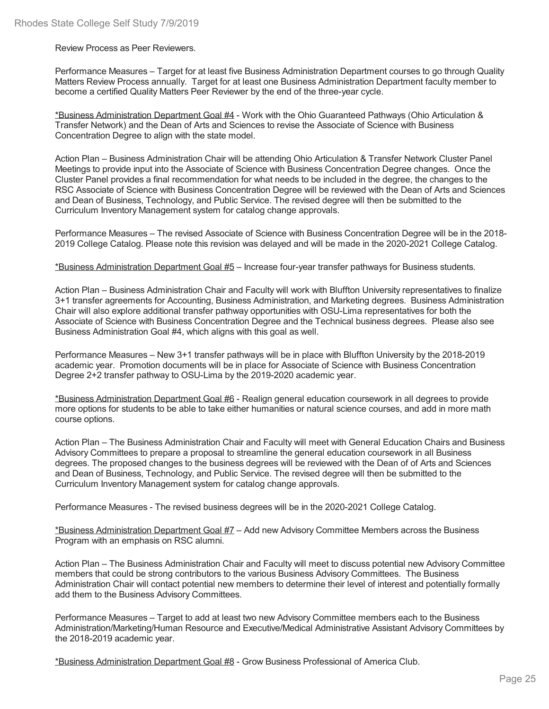Review Process as Peer Reviewers.

Performance Measures – Target for at least five Business Administration Department courses to go through Quality Matters Review Process annually. Target for at least one Business Administration Department faculty member to become a certified Quality Matters Peer Reviewer by the end of the three-year cycle.

\*Business Administration Department Goal #4 - Work with the Ohio Guaranteed Pathways (Ohio Articulation & Transfer Network) and the Dean of Arts and Sciences to revise the Associate of Science with Business Concentration Degree to align with the state model.

Action Plan – Business Administration Chair will be attending Ohio Articulation & Transfer Network Cluster Panel Meetings to provide input into the Associate of Science with Business Concentration Degree changes. Once the Cluster Panel provides a final recommendation for what needs to be included in the degree, the changes to the RSC Associate of Science with Business Concentration Degree will be reviewed with the Dean of Arts and Sciences and Dean of Business, Technology, and Public Service. The revised degree will then be submitted to the Curriculum Inventory Management system for catalog change approvals.

Performance Measures – The revised Associate of Science with Business Concentration Degree will be in the 2018- 2019 College Catalog. Please note this revision was delayed and will be made in the 2020-2021 College Catalog.

\*Business Administration Department Goal #5 – Increase four-year transfer pathways for Business students.

Action Plan – Business Administration Chair and Faculty will work with Bluffton University representatives to finalize 3+1 transfer agreements for Accounting, Business Administration, and Marketing degrees. Business Administration Chair will also explore additional transfer pathway opportunities with OSU-Lima representatives for both the Associate of Science with Business Concentration Degree and the Technical business degrees. Please also see Business Administration Goal #4, which aligns with this goal as well.

Performance Measures – New 3+1 transfer pathways will be in place with Bluffton University by the 2018-2019 academic year. Promotion documents will be in place for Associate of Science with Business Concentration Degree 2+2 transfer pathway to OSU-Lima by the 2019-2020 academic year.

\*Business Administration Department Goal #6 - Realign general education coursework in all degrees to provide more options for students to be able to take either humanities or natural science courses, and add in more math course options.

Action Plan – The Business Administration Chair and Faculty will meet with General Education Chairs and Business Advisory Committees to prepare a proposal to streamline the general education coursework in all Business degrees. The proposed changes to the business degrees will be reviewed with the Dean of of Arts and Sciences and Dean of Business, Technology, and Public Service. The revised degree will then be submitted to the Curriculum Inventory Management system for catalog change approvals.

Performance Measures - The revised business degrees will be in the 2020-2021 College Catalog.

\*Business Administration Department Goal #7 – Add new Advisory Committee Members across the Business Program with an emphasis on RSC alumni.

Action Plan – The Business Administration Chair and Faculty will meet to discuss potential new Advisory Committee members that could be strong contributors to the various Business Advisory Committees. The Business Administration Chair will contact potential new members to determine their level of interest and potentially formally add them to the Business Advisory Committees.

Performance Measures – Target to add at least two new Advisory Committee members each to the Business Administration/Marketing/Human Resource and Executive/Medical Administrative Assistant Advisory Committees by the 2018-2019 academic year.

\*Business Administration Department Goal #8 - Grow Business Professional of America Club.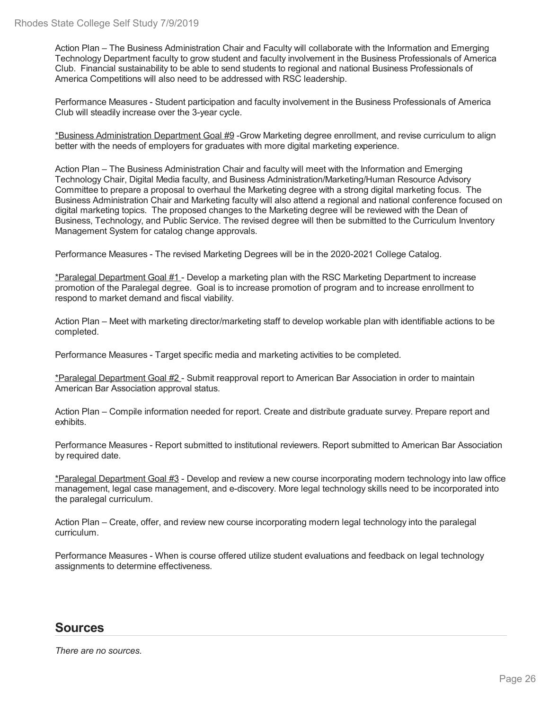Action Plan – The Business Administration Chair and Faculty will collaborate with the Information and Emerging Technology Department faculty to grow student and faculty involvement in the Business Professionals of America Club. Financial sustainability to be able to send students to regional and national Business Professionals of America Competitions will also need to be addressed with RSC leadership.

Performance Measures - Student participation and faculty involvement in the Business Professionals of America Club will steadily increase over the 3-year cycle.

\*Business Administration Department Goal #9 -Grow Marketing degree enrollment, and revise curriculum to align better with the needs of employers for graduates with more digital marketing experience.

Action Plan – The Business Administration Chair and faculty will meet with the Information and Emerging Technology Chair, Digital Media faculty, and Business Administration/Marketing/Human Resource Advisory Committee to prepare a proposal to overhaul the Marketing degree with a strong digital marketing focus. The Business Administration Chair and Marketing faculty will also attend a regional and national conference focused on digital marketing topics. The proposed changes to the Marketing degree will be reviewed with the Dean of Business, Technology, and Public Service. The revised degree will then be submitted to the Curriculum Inventory Management System for catalog change approvals.

Performance Measures - The revised Marketing Degrees will be in the 2020-2021 College Catalog.

\*Paralegal Department Goal #1 - Develop a marketing plan with the RSC Marketing Department to increase promotion of the Paralegal degree. Goal is to increase promotion of program and to increase enrollment to respond to market demand and fiscal viability.

Action Plan – Meet with marketing director/marketing staff to develop workable plan with identifiable actions to be completed.

Performance Measures - Target specific media and marketing activities to be completed.

\*Paralegal Department Goal #2 - Submit reapproval report to American Bar Association in order to maintain American Bar Association approval status.

Action Plan – Compile information needed for report. Create and distribute graduate survey. Prepare report and exhibits.

Performance Measures - Report submitted to institutional reviewers. Report submitted to American Bar Association by required date.

\*Paralegal Department Goal #3 - Develop and review a new course incorporating modern technology into law office management, legal case management, and e-discovery. More legal technology skills need to be incorporated into the paralegal curriculum.

Action Plan – Create, offer, and review new course incorporating modern legal technology into the paralegal curriculum.

Performance Measures - When is course offered utilize student evaluations and feedback on legal technology assignments to determine effectiveness.

## **Sources**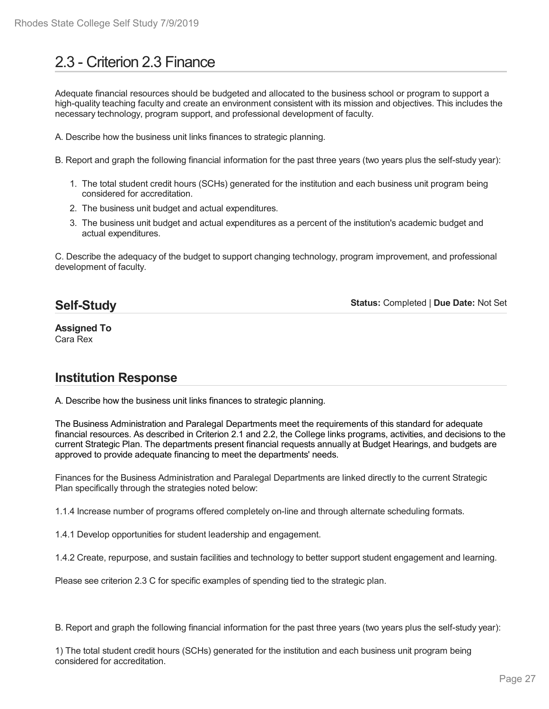# 2.3 - Criterion 2.3 Finance

Adequate financial resources should be budgeted and allocated to the business school or program to support a high-quality teaching faculty and create an environment consistent with its mission and objectives. This includes the necessary technology, program support, and professional development of faculty.

A. Describe how the business unit links finances to strategic planning.

B. Report and graph the following financial information for the past three years (two years plus the self-study year):

- 1. The total student credit hours (SCHs) generated for the institution and each business unit program being considered for accreditation.
- 2. The business unit budget and actual expenditures.
- 3. The business unit budget and actual expenditures as a percent of the institution's academic budget and actual expenditures.

C. Describe the adequacy of the budget to support changing technology, program improvement, and professional development of faculty.

## **Self-Study**

**Status:** Completed | **Due Date:** Not Set

**Assigned To** Cara Rex

## **Institution Response**

A. Describe how the business unit links finances to strategic planning.

The Business Administration and Paralegal Departments meet the requirements of this standard for adequate financial resources. As described in Criterion 2.1 and 2.2, the College links programs, activities, and decisions to the current Strategic Plan. The departments present financial requests annually at Budget Hearings, and budgets are approved to provide adequate financing to meet the departments' needs.

Finances for the Business Administration and Paralegal Departments are linked directly to the current Strategic Plan specifically through the strategies noted below:

1.1.4 Increase number of programs offered completely on-line and through alternate scheduling formats.

1.4.1 Develop opportunities for student leadership and engagement.

1.4.2 Create, repurpose, and sustain facilities and technology to better support student engagement and learning.

Please see criterion 2.3 C for specific examples of spending tied to the strategic plan.

B. Report and graph the following financial information for the past three years (two years plus the self-study year):

1) The total student credit hours (SCHs) generated for the institution and each business unit program being considered for accreditation.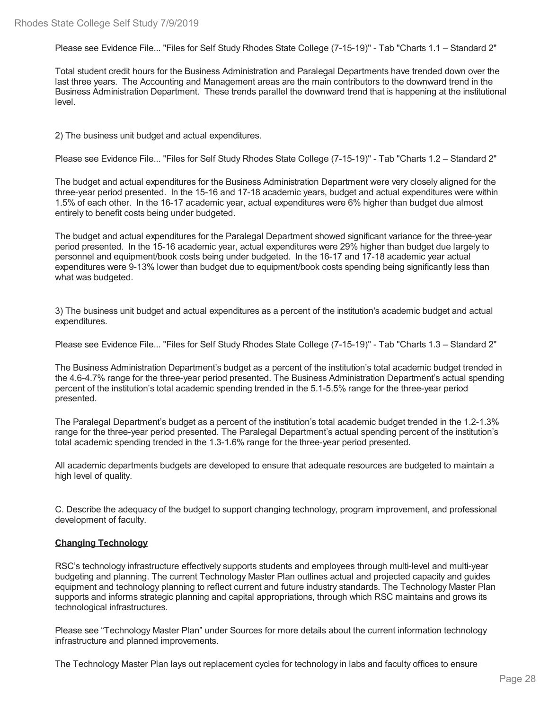Please see Evidence File... "Files for Self Study Rhodes State College (7-15-19)" - Tab "Charts 1.1 – Standard 2"

Total student credit hours for the Business Administration and Paralegal Departments have trended down over the last three years. The Accounting and Management areas are the main contributors to the downward trend in the Business Administration Department. These trends parallel the downward trend that is happening at the institutional level.

2) The business unit budget and actual expenditures.

Please see Evidence File... "Files for Self Study Rhodes State College (7-15-19)" - Tab "Charts 1.2 – Standard 2"

The budget and actual expenditures for the Business Administration Department were very closely aligned for the three-year period presented. In the 15-16 and 17-18 academic years, budget and actual expenditures were within 1.5% of each other. In the 16-17 academic year, actual expenditures were 6% higher than budget due almost entirely to benefit costs being under budgeted.

The budget and actual expenditures for the Paralegal Department showed significant variance for the three-year period presented. In the 15-16 academic year, actual expenditures were 29% higher than budget due largely to personnel and equipment/book costs being under budgeted. In the 16-17 and 17-18 academic year actual expenditures were 9-13% lower than budget due to equipment/book costs spending being significantly less than what was budgeted.

3) The business unit budget and actual expenditures as a percent of the institution's academic budget and actual expenditures.

Please see Evidence File... "Files for Self Study Rhodes State College (7-15-19)" - Tab "Charts 1.3 – Standard 2"

The Business Administration Department's budget as a percent of the institution's total academic budget trended in the 4.6-4.7% range for the three-year period presented. The Business Administration Department's actual spending percent of the institution's total academic spending trended in the 5.1-5.5% range for the three-year period presented.

The Paralegal Department's budget as a percent of the institution's total academic budget trended in the 1.2-1.3% range for the three-year period presented. The Paralegal Department's actual spending percent of the institution's total academic spending trended in the 1.3-1.6% range for the three-year period presented.

All academic departments budgets are developed to ensure that adequate resources are budgeted to maintain a high level of quality.

C. Describe the adequacy of the budget to support changing technology, program improvement, and professional development of faculty.

#### **Changing Technology**

RSC's technology infrastructure effectively supports students and employees through multi-level and multi-year budgeting and planning. The current Technology Master Plan outlines actual and projected capacity and guides equipment and technology planning to reflect current and future industry standards. The Technology Master Plan supports and informs strategic planning and capital appropriations, through which RSC maintains and grows its technological infrastructures.

Please see "Technology Master Plan" under Sources for more details about the current information technology infrastructure and planned improvements.

The Technology Master Plan lays out replacement cycles for technology in labs and faculty offices to ensure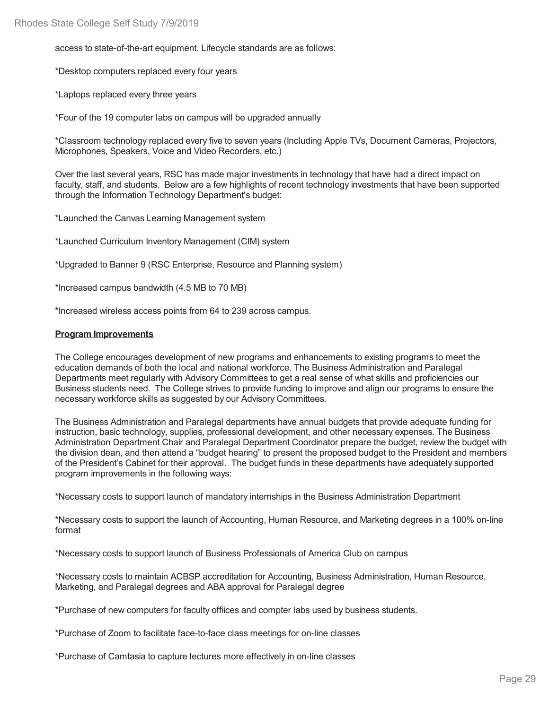access to state-of-the-art equipment. Lifecycle standards are as follows:

\*Desktop computers replaced every four years

\*Laptops replaced every three years

\*Four of the 19 computer labs on campus will be upgraded annually

\*Classroom technology replaced every five to seven years (Including Apple TVs, Document Cameras, Projectors, Microphones, Speakers, Voice and Video Recorders, etc.)

Over the last several years, RSC has made major investments in technology that have had a direct impact on faculty, staff, and students. Below are a few highlights of recent technology investments that have been supported through the Information Technology Department's budget:

\*Launched the Canvas Learning Management system

\*Launched Curriculum Inventory Management (CIM) system

\*Upgraded to Banner 9 (RSC Enterprise, Resource and Planning system)

\*Increased campus bandwidth (4.5 MB to 70 MB)

\*Increased wireless access points from 64 to 239 across campus.

#### **Program Improvements**

The College encourages development of new programs and enhancements to existing programs to meet the education demands of both the local and national workforce. The Business Administration and Paralegal Departments meet regularly with Advisory Committees to get a real sense of what skills and proficiencies our Business students need. The College strives to provide funding to improve and align our programs to ensure the necessary workforce skills as suggested by our Advisory Committees.

The Business Administration and Paralegal departments have annual budgets that provide adequate funding for instruction, basic technology, supplies, professional development, and other necessary expenses. The Business Administration Department Chair and Paralegal Department Coordinator prepare the budget, review the budget with the division dean, and then attend a "budget hearing" to present the proposed budget to the President and members of the President's Cabinet for their approval. The budget funds in these departments have adequately supported program improvements in the following ways:

\*Necessary costs to support launch of mandatory internships in the Business Administration Department

\*Necessary costs to support the launch of Accounting, Human Resource, and Marketing degrees in a 100% on-line format

\*Necessary costs to support launch of Business Professionals of America Club on campus

\*Necessary costs to maintain ACBSP accreditation for Accounting, Business Administration, Human Resource, Marketing, and Paralegal degrees and ABA approval for Paralegal degree

\*Purchase of new computers for faculty offiices and compter labs used by business students.

\*Purchase of Zoom to facilitate face-to-face class meetings for on-line classes

\*Purchase of Camtasia to capture lectures more effectively in on-line classes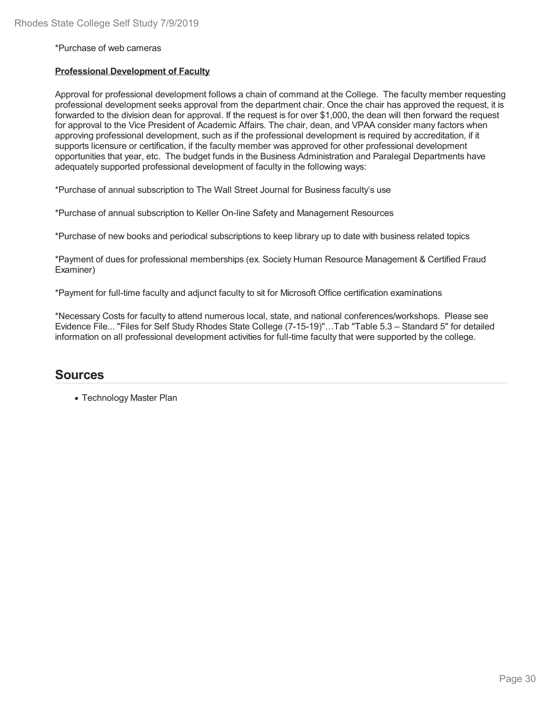#### \*Purchase of web cameras

#### **Professional Development of Faculty**

Approval for professional development follows a chain of command at the College. The faculty member requesting professional development seeks approval from the department chair. Once the chair has approved the request, it is forwarded to the division dean for approval. If the request is for over \$1,000, the dean will then forward the request for approval to the Vice President of Academic Affairs. The chair, dean, and VPAA consider many factors when approving professional development, such as ifthe professional development is required by accreditation, if it supports licensure or certification, if the faculty member was approved for other professional development opportunities that year, etc. The budget funds in the Business Administration and Paralegal Departments have adequately supported professional development of faculty in the following ways:

\*Purchase of annual subscription to The Wall Street Journal for Business faculty's use

\*Purchase of annual subscription to Keller On-line Safety and Management Resources

\*Purchase of new books and periodical subscriptions to keep library up to date with business related topics

\*Payment of dues for professional memberships (ex. Society Human Resource Management & Certified Fraud Examiner)

\*Payment for full-time faculty and adjunct faculty to sit for Microsoft Office certification examinations

\*Necessary Costs for faculty to attend numerous local, state, and national conferences/workshops. Please see Evidence File... "Files for Self Study Rhodes State College (7-15-19)"…Tab "Table 5.3 – Standard 5" for detailed information on all professional development activities for full-time faculty that were supported by the college.

### **Sources**

Technology Master Plan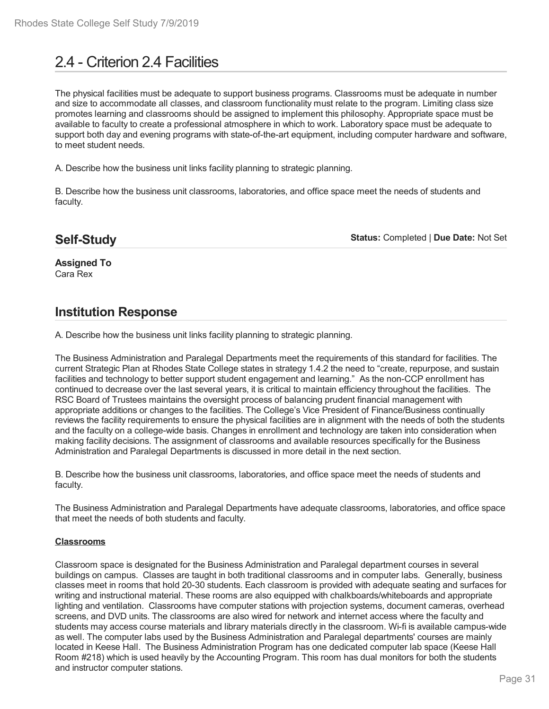# 2.4 - Criterion 2.4 Facilities

The physical facilities must be adequate to support business programs. Classrooms must be adequate in number and size to accommodate all classes, and classroom functionality must relate to the program. Limiting class size promotes learning and classrooms should be assigned to implement this philosophy. Appropriate space must be available to faculty to create a professional atmosphere in which to work. Laboratory space must be adequate to support both day and evening programs with state-of-the-art equipment, including computer hardware and software, to meet student needs.

A. Describe how the business unit links facility planning to strategic planning.

B. Describe how the business unit classrooms, laboratories, and office space meet the needs of students and faculty.

## **Self-Study**

**Status:** Completed | **Due Date:** Not Set

**Assigned To** Cara Rex

## **Institution Response**

A. Describe how the business unit links facility planning to strategic planning.

The Business Administration and Paralegal Departments meet the requirements of this standard for facilities. The current Strategic Plan at Rhodes State College states in strategy 1.4.2 the need to "create, repurpose, and sustain facilities and technology to better support student engagement and learning." As the non-CCP enrollment has continued to decrease over the last several years, it is critical to maintain efficiency throughout the facilities. The RSC Board of Trustees maintains the oversight process of balancing prudent financial management with appropriate additions or changes to the facilities. The College's Vice President of Finance/Business continually reviews the facility requirements to ensure the physical facilities are in alignment with the needs of both the students and the faculty on a college-wide basis. Changes in enrollment and technology are taken into consideration when making facility decisions. The assignment of classrooms and available resources specifically for the Business Administration and Paralegal Departments is discussed in more detail in the next section.

B. Describe how the business unit classrooms, laboratories, and office space meet the needs of students and faculty.

The Business Administration and Paralegal Departments have adequate classrooms, laboratories, and office space that meet the needs of both students and faculty.

#### **Classrooms**

Classroom space is designated for the Business Administration and Paralegal department courses in several buildings on campus. Classes are taught in both traditional classrooms and in computer labs. Generally, business classes meet in rooms that hold 20-30 students. Each classroom isprovided with adequate seating and surfaces for writing and instructional material. These rooms are also equipped with chalkboards/whiteboards and appropriate lighting and ventilation. Classrooms have computer stations with projection systems, document cameras, overhead screens, and DVD units. The classrooms are also wired for network and internet access where the faculty and students may access course materials and library materials directly in the classroom. Wi-fi is available campus-wide as well. The computer labs used by the Business Administration and Paralegal departments' courses are mainly located in Keese Hall. The Business Administration Program has one dedicated computer lab space (Keese Hall Room #218) which is used heavily by the Accounting Program. This room has dual monitors for both the students and instructor computer stations.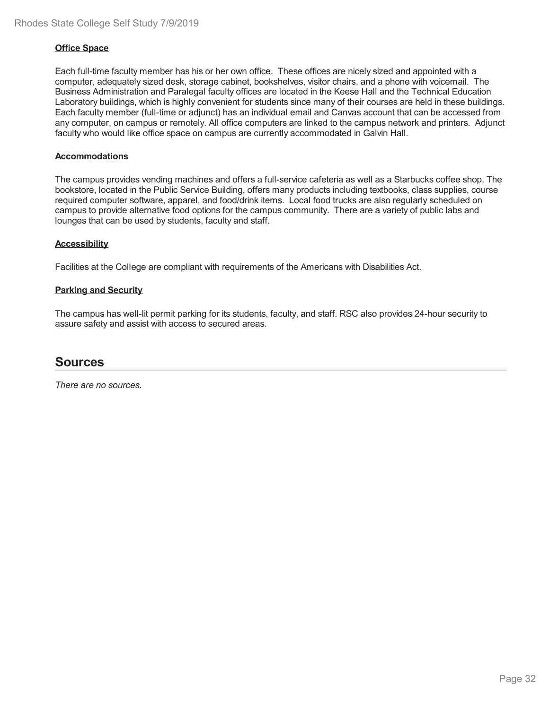#### **Office Space**

Each full-time faculty member has his or her own office. These offices are nicely sized and appointed with a computer, adequately sized desk, storage cabinet, bookshelves, visitor chairs, and a phone with voicemail. The Business Administration and Paralegal faculty offices are located in the Keese Hall and the Technical Education Laboratory buildings, which is highly convenient for students since many of their courses are held in these buildings. Each faculty member (full-time or adjunct) has an individual email and Canvas account that can be accessed from any computer, on campus or remotely. All office computers are linked to the campus network and printers. Adjunct faculty who would like office space on campus are currently accommodated in Galvin Hall.

#### **Accommodations**

The campus provides vending machines and offers a full-service cafeteria as well as a Starbucks coffee shop. The bookstore, located in the Public Service Building, offers many products including textbooks, class supplies, course required computer software, apparel, and food/drink items. Local food trucks are also regularly scheduled on campus to provide alternative food options for the campus community. There are a variety of public labs and lounges that can be used by students, faculty and staff.

#### **Accessibility**

Facilities at the College are compliant with requirements of the Americans with Disabilities Act.

#### **Parking and Security**

The campus has well-lit permit parking for its students, faculty, and staff. RSC also provides 24-hour security to assure safety and assist with access to secured areas.

## **Sources**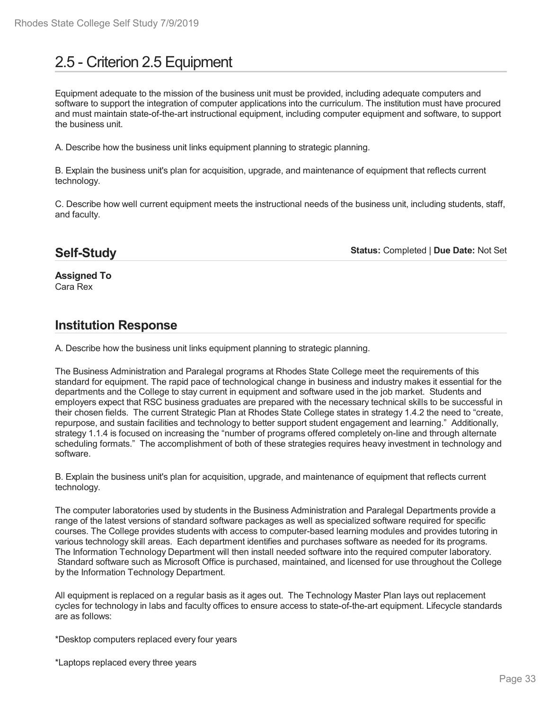# 2.5 - Criterion 2.5 Equipment

Equipment adequate to the mission of the business unit must be provided, including adequate computers and software to support the integration of computer applications into the curriculum. The institution must have procured and must maintain state-of-the-art instructional equipment, including computer equipment and software, to support the business unit.

A. Describe how the business unit links equipment planning to strategic planning.

B. Explain the business unit's plan for acquisition, upgrade, and maintenance of equipment that reflects current technology.

C. Describe how well current equipment meets the instructional needs of the business unit, including students, staff, and faculty.

## **Self-Study**

**Status:** Completed | **Due Date:** Not Set

**Assigned To** Cara Rex

## **Institution Response**

A. Describe how the business unit links equipment planning to strategic planning.

The Business Administration and Paralegal programs at Rhodes State College meet the requirements of this standard for equipment. The rapid pace of technological change in business and industry makes it essential for the departments and the College to stay current in equipment and software used in the job market. Students and employers expect that RSC business graduates are prepared with the necessary technical skills to be successful in their chosen fields. The current Strategic Plan at Rhodes State College states in strategy 1.4.2 the need to "create, repurpose, and sustain facilities and technology to better support student engagement and learning." Additionally, strategy 1.1.4 is focused on increasing the "number of programs offered completely on-line and through alternate scheduling formats." The accomplishment of both of these strategies requires heavy investment in technology and software.

B. Explain the business unit's plan for acquisition, upgrade, and maintenance of equipment that reflects current technology.

The computer laboratories used by students in the Business Administration and Paralegal Departments provide a range of the latest versions of standard software packages as well as specialized software required for specific courses. The College provides students with access to computer-based learning modules and provides tutoring in various technology skill areas. Each department identifies and purchases software as needed for its programs. The Information Technology Department will then install needed software into the required computer laboratory. Standard software such as Microsoft Office is purchased, maintained, and licensed for use throughout the College by the Information Technology Department.

All equipment is replaced on a regular basis as it ages out. The Technology Master Plan lays out replacement cycles for technology in labs and faculty offices to ensure access to state-of-the-art equipment. Lifecycle standards are as follows:

\*Desktop computers replaced every four years

\*Laptops replaced every three years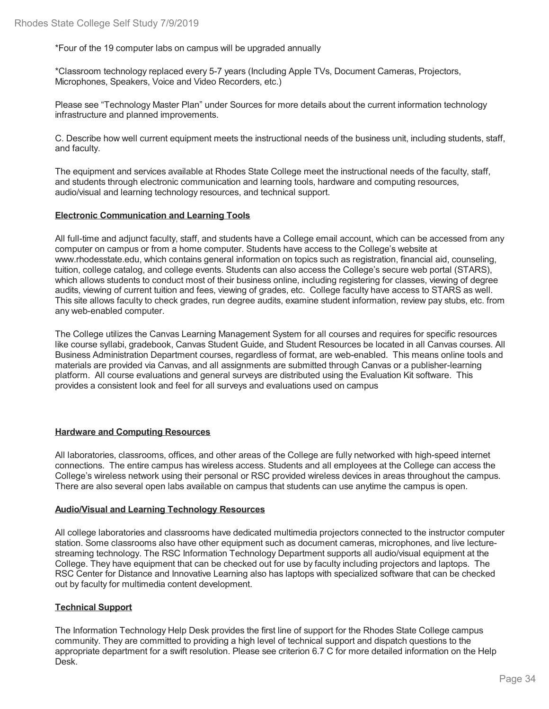\*Four of the 19 computer labs on campus will be upgraded annually

\*Classroom technology replaced every 5-7 years (Including Apple TVs, Document Cameras, Projectors, Microphones, Speakers, Voice and Video Recorders, etc.)

Please see "Technology Master Plan" under Sources for more details about the current information technology infrastructure and planned improvements.

C. Describe how well current equipment meets the instructional needs of the business unit, including students, staff, and faculty.

The equipment and services available at Rhodes State College meet the instructional needs of the faculty, staff, and students through electronic communication and learning tools, hardware and computing resources, audio/visual and learning technology resources, and technical support.

#### **Electronic Communication and Learning Tools**

All full-time and adjunct faculty, staff, and students have a College email account, which can be accessed from any computer on campus or from a home computer. Students have access to the College's website at www.rhodesstate.edu, which contains general information on topics such as registration, financial aid, counseling, tuition, college catalog, and college events. Students can also access the College's secure web portal (STARS), which allows students to conduct most of their business online, including registering for classes, viewing of degree audits, viewing of current tuition and fees, viewing of grades, etc. College faculty have access to STARS as well. This site allows faculty to check grades, run degree audits, examine student information, review pay stubs, etc. from any web-enabled computer.

The College utilizes the Canvas Learning Management System for all courses and requires for specific resources like course syllabi, gradebook, Canvas Student Guide, and Student Resources be located in all Canvas courses. All Business Administration Department courses, regardless of format, are web-enabled. This means online tools and materials are provided via Canvas, and all assignments are submitted through Canvas or a publisher-learning platform. All course evaluations and general surveys are distributed using the Evaluation Kit software. This provides a consistent look and feel for all surveys and evaluations used on campus

#### **Hardware and Computing Resources**

All laboratories, classrooms, offices, and other areas of the College are fully networked with high-speed internet connections. The entire campus has wireless access. Students and all employees at the College can access the College's wireless network using their personal or RSC provided wireless devices in areas throughout the campus. There are also several open labs available on campus that students can use anytime the campus is open.

#### **Audio/Visual and Learning Technology Resources**

All college laboratories and classrooms have dedicated multimedia projectors connected to the instructor computer station. Some classrooms also have other equipment such as document cameras, microphones, and live lecture streaming technology. The RSC Information Technology Department supports all audio/visual equipment at the College. They have equipment that can be checked out for use by faculty including projectors and laptops. The RSC Center for Distance and Innovative Learning also has laptops with specialized software that can be checked out by faculty for multimedia content development.

### **Technical Support**

The Information Technology Help Desk provides the first line of support for the Rhodes State College campus community. They are committed to providing a high level of technical support and dispatch questions to the appropriate department for a swift resolution. Please see criterion 6.7 C for more detailed information on the Help Desk.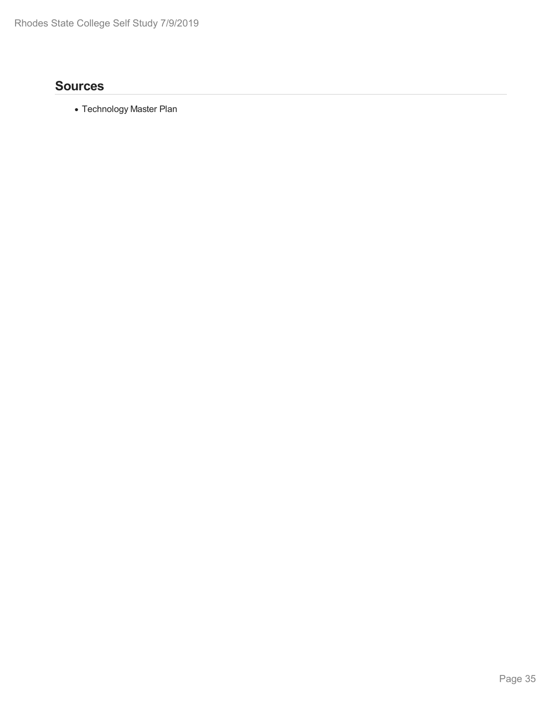## **Sources**

Technology Master Plan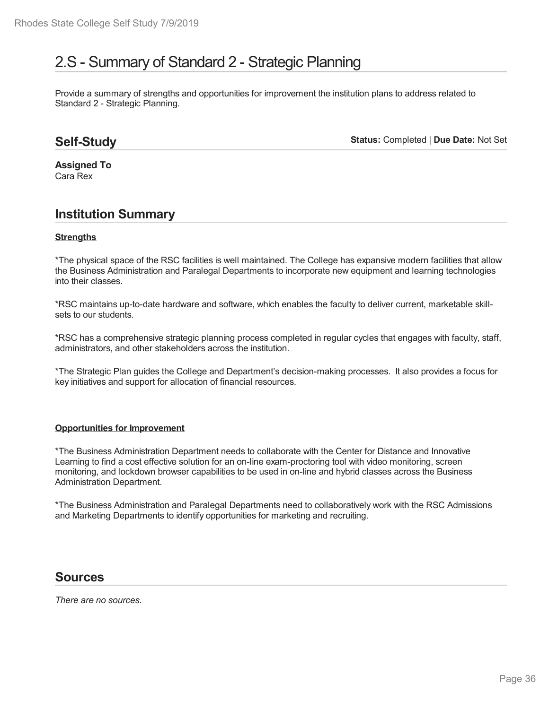# 2.S - Summary of Standard 2 - Strategic Planning

Provide a summary of strengths and opportunities for improvement the institution plans to address related to Standard 2 - Strategic Planning.

## **Self-Study**

**Status:** Completed | **Due Date:** Not Set

**Assigned To** Cara Rex

## **Institution Summary**

#### **Strengths**

\*The physical space of the RSC facilities is well maintained. The College has expansive modern facilities that allow the Business Administration and Paralegal Departments to incorporate new equipment and learning technologies into their classes.

\*RSC maintains up-to-date hardware and software, which enables the faculty to deliver current, marketable skill sets to our students.

\*RSC has a comprehensive strategic planning process completed in regular cycles that engages with faculty, staff, administrators, and other stakeholders across the institution.

\*The Strategic Plan guides the College and Department's decision-making processes. It also provides a focus for key initiatives and support for allocation of financial resources.

#### **Opportunities for Improvement**

\*The Business Administration Department needs to collaborate with the Center for Distance and Innovative Learning to find a cost effective solution for an on-line exam-proctoring tool with video monitoring, screen monitoring, and lockdown browser capabilities to be used in on-line and hybrid classes across the Business Administration Department.

\*The Business Administration and Paralegal Departments need to collaboratively work with the RSC Admissions and Marketing Departments to identify opportunities for marketing and recruiting.

## **Sources**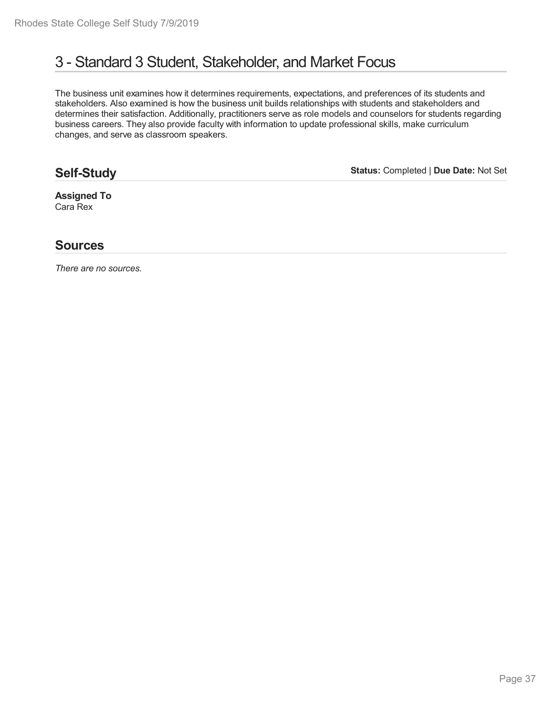# 3 - Standard 3 Student, Stakeholder, and Market Focus

The business unit examines how it determines requirements, expectations, and preferences of its students and stakeholders. Also examined is how the business unit builds relationships with students and stakeholders and determines their satisfaction. Additionally, practitioners serve as role models and counselors for students regarding business careers. They also provide faculty with information to update professional skills, make curriculum changes, and serve as classroom speakers.

# **Self-Study**

**Status:** Completed | **Due Date:** Not Set

**Assigned To** Cara Rex

### **Sources**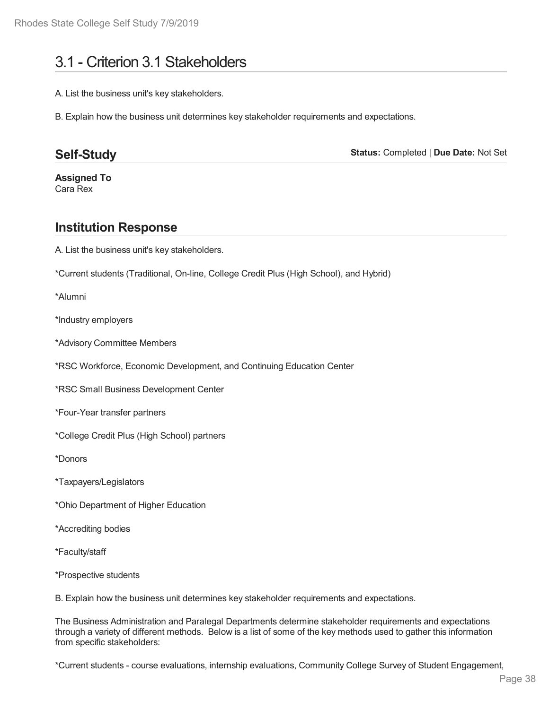# 3.1 - Criterion 3.1 Stakeholders

A. List the business unit's key stakeholders.

B. Explain how the business unit determines key stakeholder requirements and expectations.

# **Self-Study**

**Status:** Completed | **Due Date:** Not Set

**Assigned To** Cara Rex

# **Institution Response**

A. List the business unit's key stakeholders.

\*Current students (Traditional, On-line, College Credit Plus (High School), and Hybrid)

\*Alumni

\*Industry employers

\*Advisory Committee Members

\*RSC Workforce, Economic Development, and Continuing Education Center

\*RSC Small Business Development Center

\*Four-Year transfer partners

\*College Credit Plus (High School) partners

\*Donors

\*Taxpayers/Legislators

\*Ohio Department of Higher Education

\*Accrediting bodies

\*Faculty/staff

\*Prospective students

B. Explain how the business unit determines key stakeholder requirements and expectations.

The Business Administration and Paralegal Departments determine stakeholder requirements and expectations through a variety of different methods. Below is a list of some of the key methods used to gather this information from specific stakeholders:

\*Current students - course evaluations, internship evaluations, Community College Survey of Student Engagement,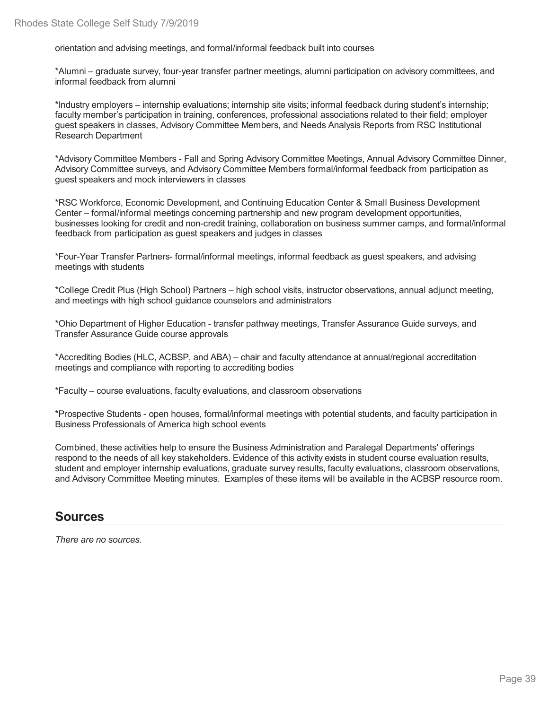orientation and advising meetings, and formal/informal feedback built into courses

\*Alumni – graduate survey, four-year transfer partner meetings, alumni participation on advisory committees, and informal feedback from alumni

\*Industry employers – internship evaluations; internship site visits; informal feedback during student's internship; faculty member's participation in training, conferences, professional associations related to their field; employer guest speakers in classes, Advisory Committee Members, and Needs Analysis Reports from RSC Institutional Research Department

\*Advisory Committee Members -Fall and Spring Advisory Committee Meetings, Annual Advisory Committee Dinner, Advisory Committee surveys, and Advisory Committee Members formal/informal feedback from participation as guest speakers and mock interviewers in classes

\*RSC Workforce, Economic Development, and Continuing Education Center & Small Business Development Center – formal/informal meetings concerning partnership and new program development opportunities, businesses looking for credit and non-credit training, collaboration on business summer camps, and formal/informal feedback from participation as guest speakers and judges in classes

\*Four-Year Transfer Partners- formal/informal meetings, informal feedback as guest speakers, and advising meetings with students

\*College Credit Plus (High School) Partners – high school visits, instructor observations, annual adjunct meeting, and meetings with high school guidance counselors and administrators

\*Ohio Department of Higher Education - transfer pathway meetings, Transfer Assurance Guide surveys, and Transfer Assurance Guide course approvals

\*Accrediting Bodies (HLC, ACBSP, and ABA) – chair and faculty attendance at annual/regional accreditation meetings and compliance with reporting to accrediting bodies

\*Faculty – course evaluations, faculty evaluations, and classroom observations

\*Prospective Students -open houses, formal/informal meetings with potential students, and faculty participation in Business Professionals of America high school events

Combined, these activities help to ensure the Business Administration and Paralegal Departments' offerings respond to the needs of all key stakeholders. Evidence of this activity exists in student course evaluation results, student and employer internship evaluations, graduate survey results, faculty evaluations, classroom observations, and Advisory Committee Meeting minutes. Examples of these items will be available in the ACBSP resource room.

## **Sources**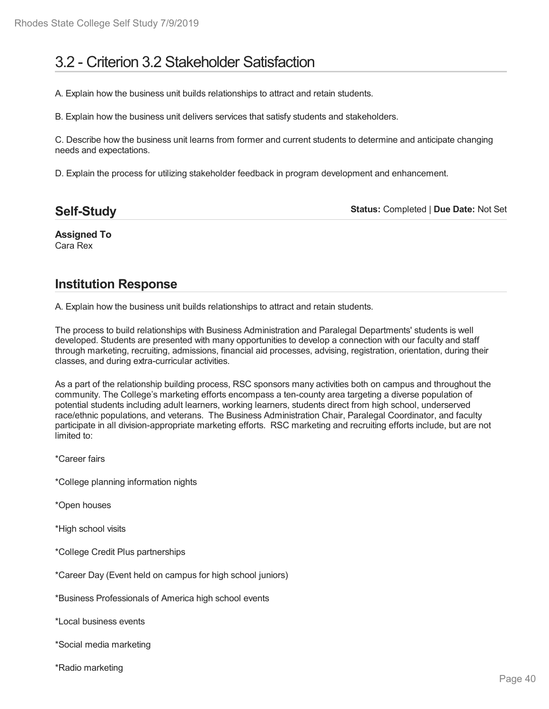# 3.2 - Criterion 3.2 Stakeholder Satisfaction

A. Explain how the business unit builds relationships to attract and retain students.

B. Explain how the business unit delivers services that satisfy students and stakeholders.

C. Describe how the business unit learns from former and current students to determine and anticipate changing needs and expectations.

D. Explain the process for utilizing stakeholder feedback in program development and enhancement.

| <b>Self-Study</b> |  |
|-------------------|--|
|                   |  |

**Status:** Completed | **Due Date:** Not Set

**Assigned To** Cara Rex

# **Institution Response**

A. Explain how the business unit builds relationships to attract and retain students.

The process to build relationships with Business Administration and Paralegal Departments' students is well developed. Students are presented with many opportunities to develop a connection with our faculty and staff through marketing, recruiting, admissions, financial aid processes, advising, registration, orientation, during their classes, and during extra-curricular activities.

As a part of the relationship building process, RSC sponsors many activities both on campus and throughout the community. The College's marketing efforts encompass a ten-county area targeting a diverse population of potential students including adult learners, working learners, students direct from high school, underserved race/ethnic populations, and veterans. The Business Administration Chair, Paralegal Coordinator, and faculty participate in all division-appropriate marketing efforts. RSC marketing and recruiting efforts include, but are not limited to:

\*Career fairs

- \*College planning information nights
- \*Open houses
- \*High school visits
- \*College Credit Plus partnerships
- \*Career Day (Event held on campus for high school juniors)
- \*Business Professionals of America high school events

\*Local business events

- \*Social media marketing
- \*Radio marketing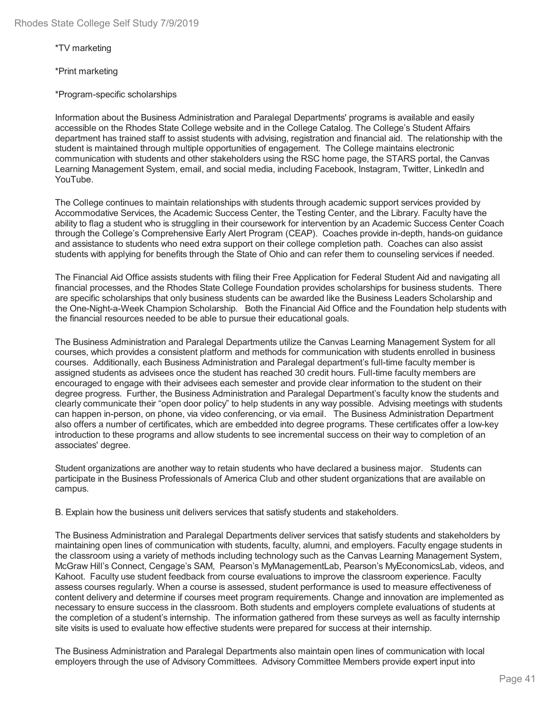\*TV marketing

\*Print marketing

\*Program-specific scholarships

Information about the Business Administration and Paralegal Departments' programs is available and easily accessible on the Rhodes State College website and in the College Catalog. The College's Student Affairs department has trained staff to assist students with advising, registration and financial aid. The relationship with the student is maintained through multiple opportunities of engagement. The College maintains electronic communication with students and other stakeholders using the RSC home page, the STARS portal, the Canvas Learning Management System, email, and social media, including Facebook, Instagram, Twitter, LinkedIn and YouTube.

The College continues to maintain relationships with students through academic support services provided by Accommodative Services, the Academic Success Center, the Testing Center, and the Library. Faculty have the ability to flag a student who is struggling in their coursework for intervention by an Academic Success Center Coach through the College's Comprehensive Early Alert Program (CEAP). Coaches provide in-depth, hands-on guidance and assistance to students who need extra support on their college completion path. Coaches can also assist students with applying for benefits through the State of Ohio and can refer them to counseling services if needed.

The Financial Aid Office assists students with filing their Free Application for Federal Student Aid and navigating all financial processes, and the Rhodes State College Foundation provides scholarships for business students. There are specific scholarships that only business students can be awarded like the Business Leaders Scholarship and the One-Night-a-Week Champion Scholarship. Both the Financial Aid Office and the Foundation help students with the financial resources needed to be able to pursue their educational goals.

The Business Administration and Paralegal Departments utilize the Canvas Learning Management System for all courses, which provides a consistent platform and methods for communication with students enrolled in business courses. Additionally, each Business Administration and Paralegal department's full-time faculty member is assigned students as advisees once the student has reached 30 credit hours. Full-time faculty members are encouraged to engage with their advisees each semester and provide clear information to the student on their degree progress. Further, the Business Administration and Paralegal Department's faculty know the students and clearly communicate their "open door policy" to help students in any way possible. Advising meetings with students can happen in-person, on phone, via video conferencing, or via email. The Business Administration Department also offers a number of certificates, which are embedded into degree programs. These certificates offer a low-key introduction to these programs and allow students to see incremental success on their way to completion of an associates' degree.

Student organizations are another way to retain students who have declared a business major. Students can participate in the Business Professionals of America Club and other student organizations that are available on campus.

B. Explain how the business unit delivers services that satisfy students and stakeholders.

The Business Administration and Paralegal Departments deliver services that satisfy students and stakeholders by maintaining open lines of communication with students, faculty, alumni, and employers. Faculty engage students in the classroom using a variety of methods including technology such as the Canvas Learning Management System, McGraw Hill's Connect, Cengage's SAM, Pearson's MyManagementLab, Pearson's MyEconomicsLab, videos, and Kahoot. Faculty use student feedback from course evaluations to improve the classroom experience. Faculty assess courses regularly. When a course is assessed, student performance is used to measure effectiveness of content delivery and determine if courses meet program requirements. Change and innovation are implemented as necessary to ensure success in the classroom. Both students and employers complete evaluations of students at the completion of a student's internship. The information gathered from these surveys as well as faculty internship site visits is used to evaluate how effective students were prepared for success at their internship.

The Business Administration and Paralegal Departments also maintain open lines of communication with local employers through the use of Advisory Committees. Advisory Committee Members provide expert input into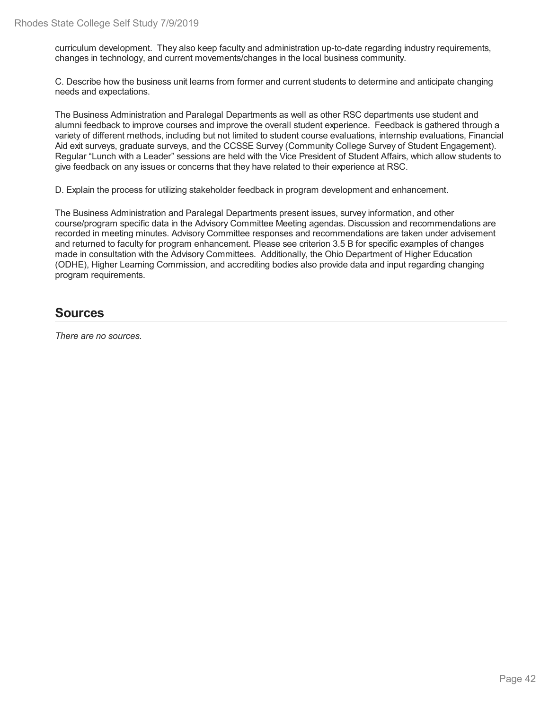curriculum development. They also keep faculty and administration up-to-date regarding industry requirements, changes in technology, and current movements/changes in the local business community.

C. Describe how the business unit learns from former and current students to determine and anticipate changing needs and expectations.

The Business Administration and Paralegal Departments as well as other RSC departments use student and alumni feedback to improve courses and improve the overall student experience. Feedback is gathered through a variety of different methods, including but not limited to student course evaluations, internship evaluations, Financial Aid exit surveys, graduate surveys, and the CCSSE Survey (Community College Survey of Student Engagement). Regular "Lunch with a Leader" sessions are held with the Vice President of Student Affairs, which allow students to give feedback on any issues or concerns that they have related to their experience at RSC.

D. Explain the process for utilizing stakeholder feedback in program development and enhancement.

The Business Administration and Paralegal Departments present issues, survey information, and other course/program specific data in the Advisory Committee Meeting agendas. Discussion and recommendations are recorded in meeting minutes. Advisory Committee responses and recommendations are taken under advisement and returned to faculty for program enhancement. Please see criterion 3.5 B for specific examples of changes made in consultation with the Advisory Committees. Additionally, the Ohio Department of Higher Education (ODHE), Higher Learning Commission, and accrediting bodies also provide data and input regarding changing program requirements.

### **Sources**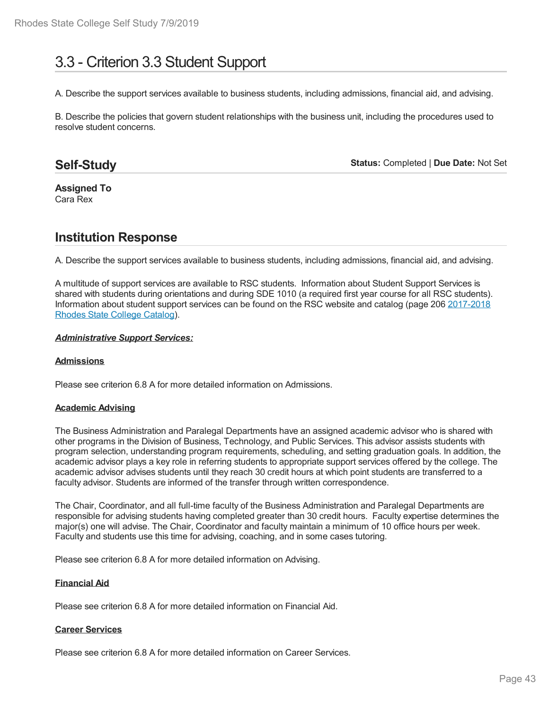# 3.3 - Criterion 3.3 Student Support

A. Describe the support services available to business students, including admissions, financial aid, and advising.

B. Describe the policies that govern student relationships with the business unit, including the procedures used to resolve student concerns.

## **Self-Study**

**Status:** Completed | **Due Date:** Not Set

#### **Assigned To** Cara Rex

## **Institution Response**

A. Describe the support services available to business students, including admissions, financial aid, and advising.

A multitude of support services are available to RSC students. Information about Student Support Services is shared with students during orientations and during SDE 1010 (a required first year course for all RSC students). Information about student support services can be found on the RSC website and catalog (page 206 2017-2018 Rhodes State College Catalog).

#### *Administrative Support Services:*

#### **Admissions**

Please see criterion 6.8 A for more detailed information on Admissions.

#### **Academic Advising**

The Business Administration and Paralegal Departments have an assigned academic advisor who is shared with other programs in the Division of Business, Technology, and Public Services. This advisor assists students with program selection, understanding program requirements, scheduling, and setting graduation goals. In addition, the academic advisor plays a key role in referring students to appropriate support services offered by the college. The academic advisor advises students until they reach 30 credit hours at which point students are transferred to a faculty advisor. Students are informed of the transfer through written correspondence.

The Chair, Coordinator, and all full-time faculty of the Business Administration and Paralegal Departments are responsible for advising students having completed greater than 30 credit hours. Faculty expertise determines the major(s) one will advise. The Chair, Coordinator and faculty maintain a minimum of 10 office hours per week. Faculty and students use this time for advising, coaching, and in some cases tutoring.

Please see criterion 6.8 A for more detailed information on Advising.

#### **Financial Aid**

Please see criterion 6.8 A for more detailed information on Financial Aid.

#### **Career Services**

Please see criterion 6.8 A for more detailed information on Career Services.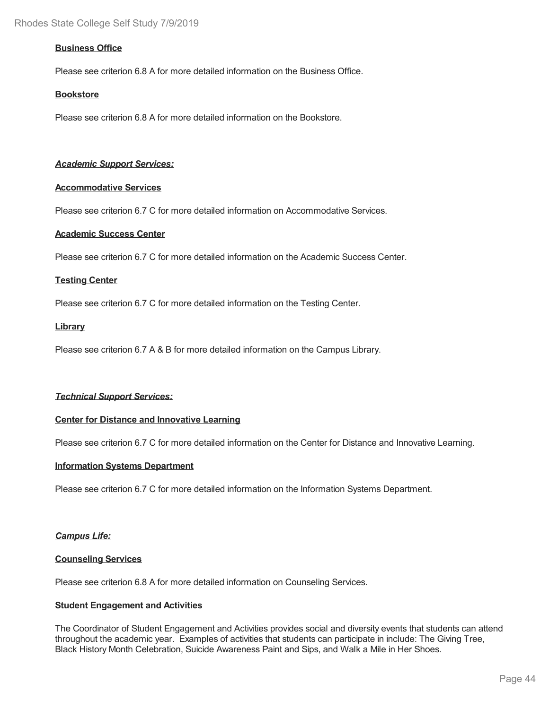#### **Business Office**

Please see criterion 6.8 A for more detailed information on the Business Office.

#### **Bookstore**

Please see criterion 6.8 A for more detailed information on the Bookstore.

#### *Academic Support Services:*

#### **Accommodative Services**

Please see criterion 6.7 C for more detailed information on Accommodative Services.

#### **Academic Success Center**

Please see criterion 6.7 C for more detailed information on the Academic Success Center.

#### **Testing Center**

Please see criterion 6.7 C for more detailed information on the Testing Center.

#### **Library**

Please see criterion 6.7 A & B for more detailed information on the Campus Library.

#### *Technical Support Services:*

#### **Center for Distance and Innovative Learning**

Please see criterion 6.7 C for more detailed information on the Center for Distance and Innovative Learning.

#### **Information Systems Department**

Please see criterion 6.7 C for more detailed information on the Information Systems Department.

#### *Campus Life:*

#### **Counseling Services**

Please see criterion 6.8 A for more detailed information on Counseling Services.

#### **Student Engagement and Activities**

The Coordinator of Student Engagement and Activities provides social and diversity events that students can attend throughout the academic year. Examples of activities that students can participate in include: The Giving Tree, Black History Month Celebration, Suicide Awareness Paint and Sips, and Walk a Mile in Her Shoes.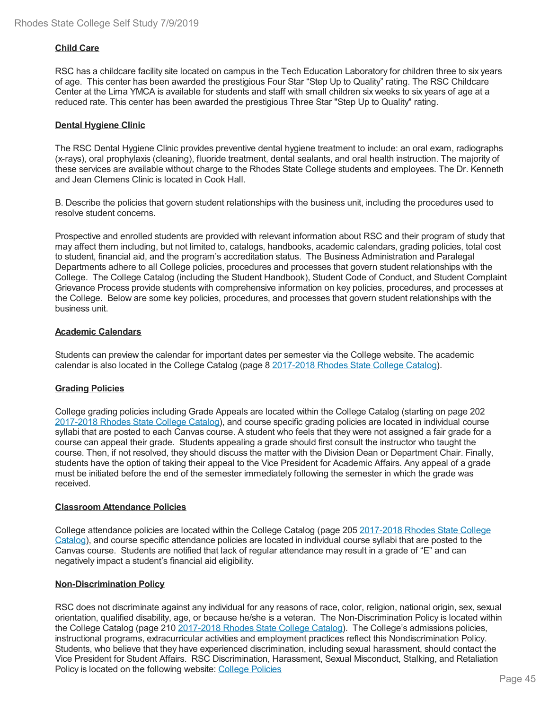#### **Child Care**

RSC has a childcare facility site located on campus in the Tech Education Laboratory for children three to six years of age. This center has been awarded the prestigious Four Star "Step Up to Quality" rating. The RSC Childcare Center at the Lima YMCA is available for students and staff with small children six weeks to six years of age at a reduced rate. This center has been awarded the prestigious Three Star "Step Up to Quality" rating.

#### **Dental Hygiene Clinic**

The RSC Dental Hygiene Clinic provides preventive dental hygiene treatment to include: an oral exam, radiographs (x-rays), oral prophylaxis (cleaning), fluoride treatment, dental sealants, and oral health instruction. The majority of these services are available without charge to the Rhodes State College students and employees. The Dr. Kenneth and Jean Clemens Clinic is located in Cook Hall.

B. Describe the policies that govern student relationships with the business unit, including the procedures used to resolve student concerns.

Prospective and enrolled students are provided with relevant information about RSC and their program of study that may affect them including, but not limited to, catalogs, handbooks, academic calendars, grading policies, total cost to student, financial aid, and the program's accreditation status. The Business Administration and Paralegal Departments adhere to all College policies, procedures and processes that govern student relationships with the College. The College Catalog (including the Student Handbook), Student Code of Conduct, and Student Complaint Grievance Process provide students with comprehensive information on key policies, procedures, and processes at the College. Below are some key policies, procedures, and processes that govern student relationships with the business unit.

#### **Academic Calendars**

Students can preview the calendar for important dates per semester via the College website. The academic calendar is also located in the College Catalog (page 8 2017-2018 Rhodes State College Catalog).

#### **Grading Policies**

College grading policies including Grade Appeals are located within the College Catalog (starting on page 202 2017-2018 Rhodes State College Catalog), and course specific grading policies are located in individual course syllabi that are posted to each Canvas course. A student who feels that they were not assigned a fair grade for a course can appeal their grade. Students appealing a grade should first consult the instructor who taught the course. Then, if not resolved, they should discuss the matter with the Division Dean or Department Chair. Finally, students have the option of taking their appeal to the Vice President for Academic Affairs. Any appeal of a grade must be initiated before the end of the semester immediately following the semester in which the grade was received.

#### **Classroom Attendance Policies**

College attendance policies are located within the College Catalog (page 205 2017-2018 Rhodes State College Catalog), and course specific attendance policies are located in individual course syllabi that are posted to the Canvas course. Students are notified that lack of regular attendance may result in a grade of "E" and can negatively impact a student's financial aid eligibility.

#### **Non-Discrimination Policy**

RSC does not discriminate against any individual for any reasons of race, color, religion, national origin, sex, sexual orientation, qualified disability, age, or because he/she is a veteran. The Non-Discrimination Policy is located within the College Catalog (page 210 2017-2018 Rhodes State College Catalog). The College's admissions policies, instructional programs, extracurricular activities and employment practices reflect this Nondiscrimination Policy. Students, who believe that they have experienced discrimination, including sexual harassment, should contact the Vice President for Student Affairs. RSC Discrimination, Harassment, Sexual Misconduct, Stalking, and Retaliation Policy is located on the following website: College Policies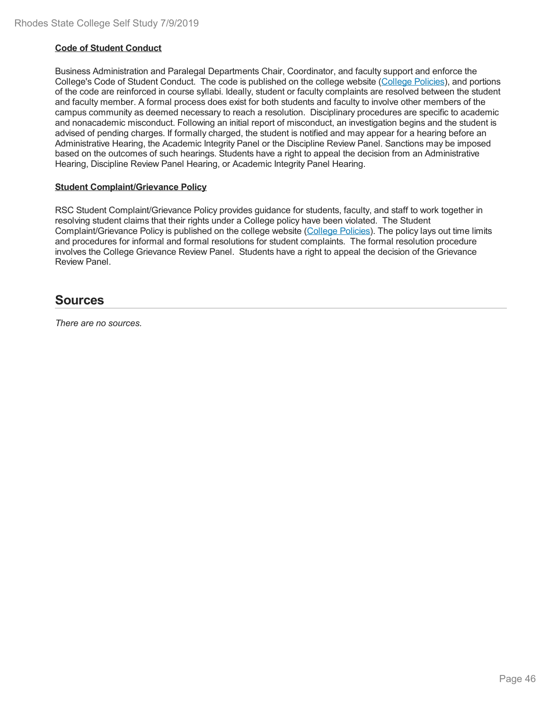#### **Code of Student Conduct**

Business Administration and Paralegal Departments Chair, Coordinator, and faculty support and enforce the College's Code of Student Conduct. The code is published on the college website (College Policies), and portions of the code are reinforced in course syllabi. Ideally, student or faculty complaints are resolved between the student and faculty member. A formal process does exist for both students and faculty to involve other members of the campus community as deemed necessary to reach a resolution. Disciplinary procedures are specific to academic and nonacademic misconduct. Following an initial report of misconduct, an investigation begins and the student is advised of pending charges. If formally charged, the student is notified and may appear for a hearing before an Administrative Hearing, the Academic Integrity Panel or the Discipline Review Panel. Sanctions may be imposed based on the outcomes of such hearings. Students have a right to appeal the decision from an Administrative Hearing, Discipline Review Panel Hearing, or Academic Integrity Panel Hearing.

#### **Student Complaint/Grievance Policy**

RSC Student Complaint/Grievance Policy provides guidance for students, faculty, and staff to work together in resolving student claims that their rights under a College policy have been violated. The Student Complaint/Grievance Policy is published on the college website (College Policies). The policy lays out time limits and procedures for informal and formal resolutions for student complaints. The formal resolution procedure involves the College Grievance Review Panel. Students have a right to appeal the decision of the Grievance Review Panel.

### **Sources**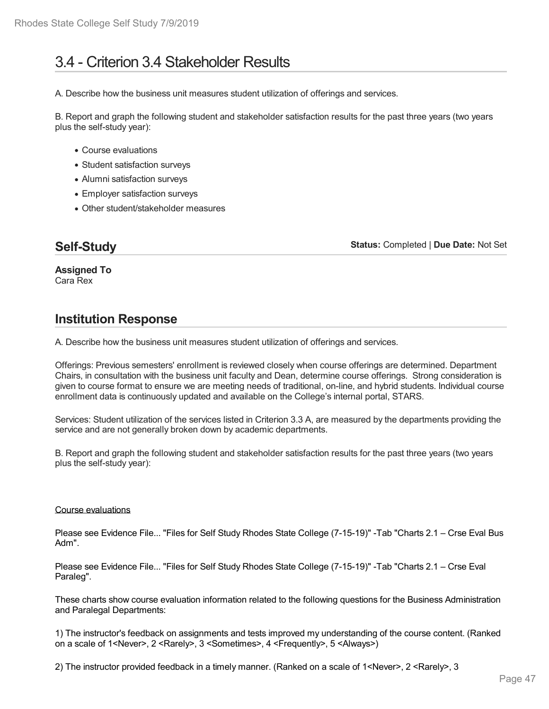# 3.4 - Criterion 3.4 Stakeholder Results

A. Describe how the business unit measures student utilization of offerings and services.

B. Report and graph the following student and stakeholder satisfaction results for the past three years (two years plus the self-study year):

- Course evaluations
- Student satisfaction surveys
- Alumni satisfaction surveys
- Employer satisfaction surveys
- Other student/stakeholder measures

# **Self-Study**

**Status:** Completed | **Due Date:** Not Set

**Assigned To** Cara Rex

# **Institution Response**

A. Describe how the business unit measures student utilization of offerings and services.

Offerings: Previous semesters' enrollment is reviewed closely when course offerings are determined. Department Chairs, in consultation with the business unit faculty and Dean, determine course offerings. Strong consideration is given to course format to ensure we are meeting needs of traditional, on-line, and hybrid students. Individual course enrollment data is continuously updated and available on the College's internal portal, STARS.

Services: Student utilization of the services listed in Criterion 3.3 A, are measured by the departments providing the service and are not generally broken down by academic departments.

B. Report and graph the following student and stakeholder satisfaction results for the past three years (two years plus the self-study year):

#### Course evaluations

Please see Evidence File... "Files for Self Study Rhodes State College (7-15-19)" -Tab "Charts 2.1 – Crse Eval Bus Adm".

Please see Evidence File... "Files for Self Study Rhodes State College (7-15-19)" -Tab "Charts 2.1 – Crse Eval Paraleg".

These charts show course evaluation information related to the following questions for the Business Administration and Paralegal Departments:

1) The instructor's feedback on assignments and tests improved my understanding of the course content. (Ranked on a scale of 1<Never>, 2 <Rarely>, 3 <Sometimes>, 4 <Frequently>, 5 <Always>)

2) The instructor provided feedback in a timely manner. (Ranked on a scale of 1<Never>, 2 <Rarely>, 3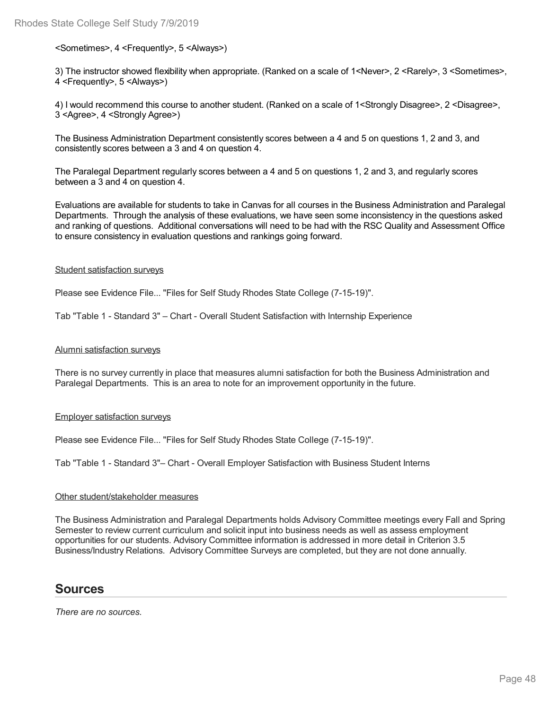#### <Sometimes>, 4 <Frequently>, 5 <Always>)

3) The instructor showed flexibility when appropriate. (Ranked on a scale of 1<Never>, 2 <Rarely>, 3 <Sometimes>, 4 <Frequently>, 5 <Always>)

4) I would recommend this course to another student. (Ranked on a scale of 1<Strongly Disagree>, 2 <Disagree>, 3 <Agree>, 4 <Strongly Agree>)

The Business Administration Department consistently scores between a 4 and 5 on questions 1, 2 and 3, and consistently scores between a 3 and 4 on question 4.

The Paralegal Department regularly scores between a 4 and 5 on questions 1, 2 and 3, and regularly scores between a 3 and 4 on question 4.

Evaluations are available for students to take in Canvas for all courses in the Business Administration and Paralegal Departments. Through the analysis of these evaluations, we have seen some inconsistency in the questions asked and ranking of questions. Additional conversations will need to be had with the RSC Quality and Assessment Office to ensure consistency in evaluation questions and rankings going forward.

#### Student satisfaction surveys

Please see Evidence File... "Files for Self Study Rhodes State College (7-15-19)".

Tab "Table 1 - Standard 3" – Chart - Overall Student Satisfaction with Internship Experience

#### Alumni satisfaction surveys

There is no survey currently in place that measures alumni satisfaction for both the Business Administration and Paralegal Departments. This is an area to note for an improvement opportunity in the future.

Employer satisfaction surveys

Please see Evidence File... "Files for Self Study Rhodes State College (7-15-19)".

Tab "Table 1 - Standard 3"– Chart - Overall Employer Satisfaction with Business Student Interns

#### Other student/stakeholder measures

The Business Administration and Paralegal Departments holds Advisory Committee meetings every Fall and Spring Semester to review current curriculum and solicit input into business needs as well as assess employment opportunities for our students. Advisory Committee information is addressed in more detail in Criterion 3.5 Business/Industry Relations. Advisory Committee Surveys are completed, but they are not done annually.

#### **Sources**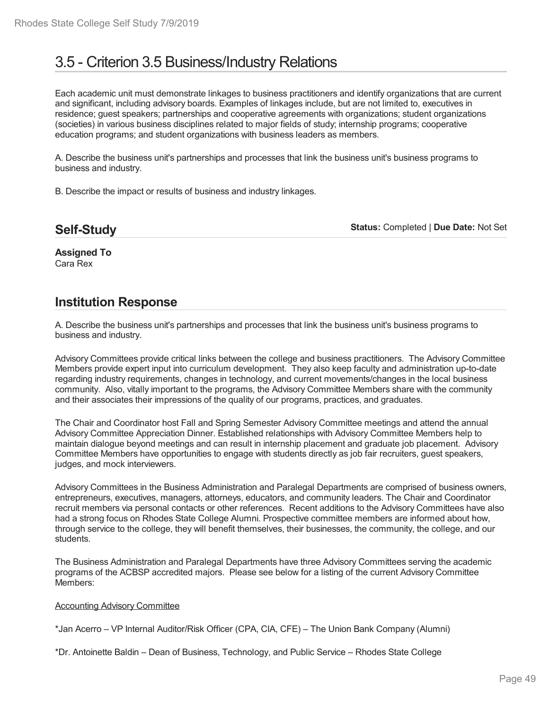# 3.5 - Criterion 3.5 Business/Industry Relations

Each academic unit must demonstrate linkages to business practitioners and identify organizations that are current and significant, including advisory boards. Examples of linkages include, but are not limited to, executives in residence; guest speakers; partnerships and cooperative agreements with organizations; student organizations (societies) in various business disciplines related to major fields of study; internship programs; cooperative education programs; and student organizations with business leaders as members.

A. Describe the business unit's partnerships and processes that link the business unit's business programs to business and industry.

B. Describe the impact or results of business and industry linkages.

| <b>Self-Study</b> |  |
|-------------------|--|
|                   |  |

**Status:** Completed | **Due Date:** Not Set

**Assigned To** Cara Rex

### **Institution Response**

A. Describe the business unit's partnerships and processes that link the business unit's business programs to business and industry.

Advisory Committees provide critical links between the college and business practitioners. The Advisory Committee Members provide expert input into curriculum development. They also keep faculty and administration up-to-date regarding industry requirements, changes in technology, and current movements/changes in the local business community. Also, vitally important to the programs, the Advisory Committee Members share with the community and their associates their impressions of the quality of our programs, practices, and graduates.

The Chair and Coordinator host Fall and Spring Semester Advisory Committee meetings and attend the annual Advisory Committee Appreciation Dinner. Established relationships with Advisory Committee Members help to maintain dialogue beyond meetings and can result in internship placement and graduate job placement. Advisory Committee Members have opportunities to engage with students directly as job fair recruiters, guest speakers, judges, and mock interviewers.

Advisory Committees in the Business Administration and Paralegal Departments are comprised of business owners, entrepreneurs, executives, managers, attorneys, educators, and community leaders. The Chair and Coordinator recruit members via personal contacts or other references. Recent additions to the Advisory Committees have also had a strong focus on Rhodes State College Alumni. Prospective committee members are informed about how, through service to the college, they will benefit themselves, their businesses, the community, the college, and our students.

The Business Administration and Paralegal Departments have three Advisory Committees serving the academic programs of the ACBSP accredited majors. Please see below for a listing of the current Advisory Committee Members:

#### Accounting Advisory Committee

\*Jan Acerro – VP Internal Auditor/Risk Officer (CPA, CIA, CFE) – The Union Bank Company (Alumni)

\*Dr. Antoinette Baldin – Dean of Business, Technology, and Public Service – Rhodes State College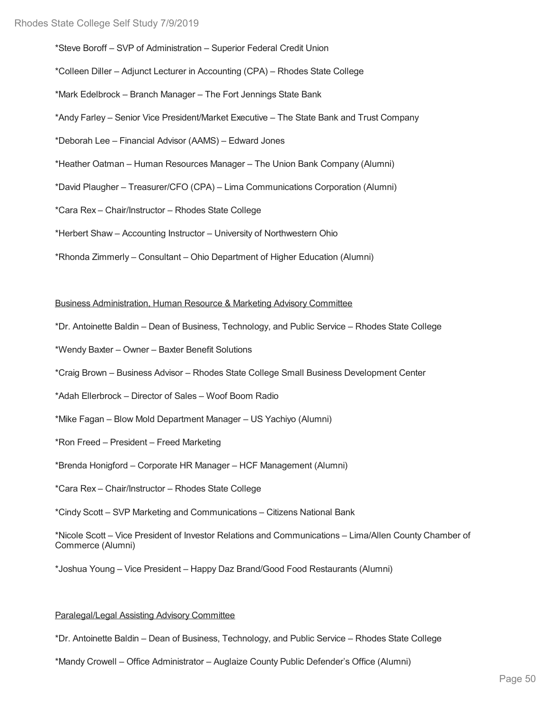\*Steve Boroff – SVP of Administration – Superior Federal Credit Union

\*Colleen Diller – Adjunct Lecturer in Accounting (CPA) – Rhodes State College

\*Mark Edelbrock – Branch Manager – The Fort Jennings State Bank

\*Andy Farley – Senior Vice President/Market Executive – The State Bank and Trust Company

\*Deborah Lee – Financial Advisor (AAMS) – Edward Jones

\*Heather Oatman – Human Resources Manager – The Union Bank Company (Alumni)

\*David Plaugher – Treasurer/CFO (CPA) – Lima Communications Corporation (Alumni)

\*Cara Rex – Chair/Instructor – Rhodes State College

\*Herbert Shaw – Accounting Instructor – University of Northwestern Ohio

\*Rhonda Zimmerly – Consultant – Ohio Department of Higher Education (Alumni)

#### Business Administration, Human Resource & Marketing Advisory Committee

- \*Dr. Antoinette Baldin Dean of Business, Technology, and Public Service Rhodes State College
- \*Wendy Baxter Owner Baxter Benefit Solutions
- \*Craig Brown Business Advisor Rhodes State College Small Business Development Center
- \*Adah Ellerbrock Director of Sales Woof Boom Radio
- \*Mike Fagan Blow Mold Department Manager US Yachiyo (Alumni)
- \*Ron Freed President Freed Marketing
- \*Brenda Honigford Corporate HR Manager HCF Management (Alumni)
- \*Cara Rex Chair/Instructor Rhodes State College

\*Cindy Scott – SVP Marketing and Communications – Citizens National Bank

\*Nicole Scott – Vice President of Investor Relations and Communications – Lima/Allen County Chamber of Commerce (Alumni)

\*Joshua Young – Vice President – Happy Daz Brand/Good Food Restaurants (Alumni)

#### Paralegal/Legal Assisting Advisory Committee

\*Dr. Antoinette Baldin – Dean of Business, Technology, and Public Service – Rhodes State College

\*Mandy Crowell – Office Administrator – Auglaize County Public Defender's Office (Alumni)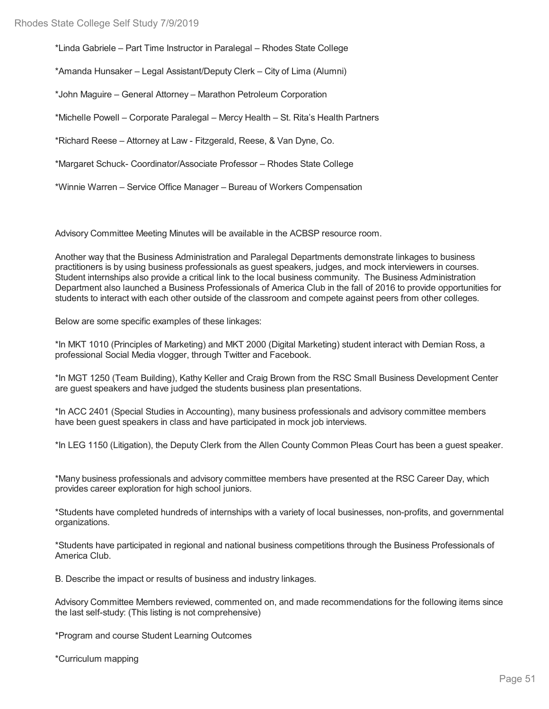\*Linda Gabriele – Part Time Instructor in Paralegal – Rhodes State College

\*Amanda Hunsaker – Legal Assistant/Deputy Clerk – City of Lima (Alumni)

\*John Maguire – General Attorney – Marathon Petroleum Corporation

\*Michelle Powell – Corporate Paralegal – Mercy Health – St. Rita's Health Partners

\*Richard Reese – Attorney at Law - Fitzgerald, Reese, & Van Dyne, Co.

\*Margaret Schuck- Coordinator/Associate Professor – Rhodes State College

\*Winnie Warren – Service Office Manager – Bureau of Workers Compensation

Advisory Committee Meeting Minutes will be available in the ACBSP resource room.

Another way that the Business Administration and Paralegal Departments demonstrate linkages to business practitioners is by using business professionals as guest speakers, judges, and mock interviewers in courses. Student internships also provide a critical link to the local business community. The Business Administration Department also launched a Business Professionals of America Club in the fall of 2016 to provide opportunities for students to interact with each other outside of the classroom and compete against peers from other colleges.

Below are some specific examples of these linkages:

\*In MKT 1010 (Principles of Marketing) and MKT 2000 (Digital Marketing) student interact with Demian Ross, a professional Social Media vlogger, through Twitter and Facebook.

\*In MGT 1250 (Team Building), Kathy Keller and Craig Brown from the RSC Small Business Development Center are guest speakers and have judged the students business plan presentations.

\*In ACC 2401 (Special Studies in Accounting), many business professionals and advisory committee members have been guest speakers in class and have participated in mock job interviews.

\*In LEG 1150 (Litigation), the Deputy Clerk from the Allen County Common Pleas Court has been a guest speaker.

\*Many business professionals and advisory committee members have presented at the RSC Career Day, which provides career exploration for high school juniors.

\*Students have completed hundreds of internships with a variety of local businesses, non-profits, and governmental organizations.

\*Students have participated in regional and national business competitions through the Business Professionals of America Club.

B. Describe the impact or results of business and industry linkages.

Advisory Committee Members reviewed, commented on, and made recommendations for the following items since the last self-study: (This listing is not comprehensive)

\*Program and course Student Learning Outcomes

\*Curriculum mapping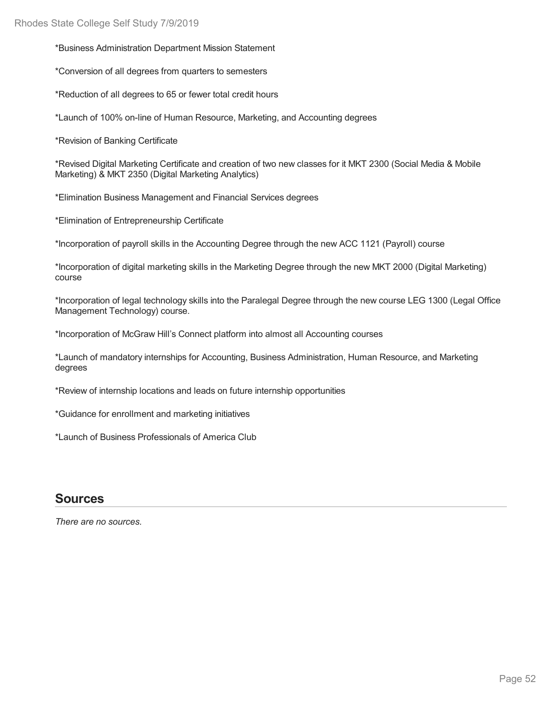\*Business Administration Department Mission Statement

\*Conversion of all degrees from quarters to semesters

\*Reduction of all degrees to 65 or fewer total credit hours

\*Launch of 100% on-line of Human Resource, Marketing, and Accounting degrees

\*Revision of Banking Certificate

\*Revised Digital Marketing Certificate and creation of two new classes for it MKT 2300 (Social Media & Mobile Marketing) & MKT 2350 (Digital Marketing Analytics)

\*Elimination Business Management and Financial Services degrees

\*Elimination of Entrepreneurship Certificate

\*Incorporation of payroll skills in the Accounting Degree through the new ACC 1121 (Payroll) course

\*Incorporation of digital marketing skills in the Marketing Degree through the new MKT 2000 (Digital Marketing) course

\*Incorporation of legal technology skills into the Paralegal Degree through the new course LEG 1300 (Legal Office Management Technology) course.

\*Incorporation of McGraw Hill's Connect platform into almost all Accounting courses

\*Launch of mandatory internships for Accounting, Business Administration, Human Resource, and Marketing degrees

\*Review of internship locations and leads on future internship opportunities

\*Guidance for enrollment and marketing initiatives

\*Launch of Business Professionals of America Club

### **Sources**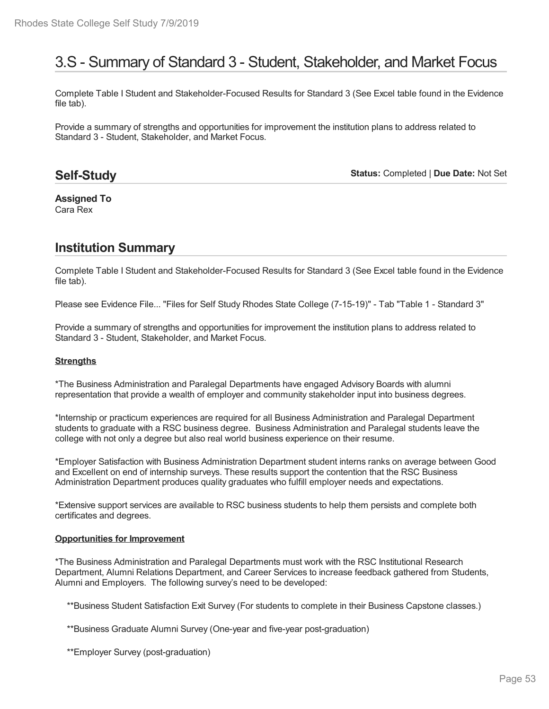# 3.S - Summary of Standard 3 - Student, Stakeholder, and Market Focus

Complete Table I Student and Stakeholder-Focused Results for Standard 3 (See Excel table found in the Evidence file tab).

Provide a summary of strengths and opportunities for improvement the institution plans to address related to Standard 3 - Student, Stakeholder, and Market Focus.

### **Self-Study**

**Status:** Completed | **Due Date:** Not Set

**Assigned To** Cara Rex

# **Institution Summary**

Complete Table I Student and Stakeholder-Focused Results for Standard 3 (See Excel table found in the Evidence file tab).

Please see Evidence File... "Files for Self Study Rhodes State College (7-15-19)" - Tab "Table 1 - Standard 3"

Provide a summary of strengths and opportunities for improvement the institution plans to address related to Standard 3 - Student, Stakeholder, and Market Focus.

#### **Strengths**

\*The Business Administration and Paralegal Departments have engaged Advisory Boards with alumni representation that provide a wealth of employer and community stakeholder input into business degrees.

\*Internship or practicum experiences are required for all Business Administration and Paralegal Department students to graduate with a RSC business degree. Business Administration and Paralegal students leave the college with not only a degree but also real world business experience on their resume.

\*Employer Satisfaction with Business Administration Department student interns ranks on average between Good and Excellent on end of internship surveys. These results support the contention that the RSC Business Administration Department produces quality graduates who fulfill employer needs and expectations.

\*Extensive support services are available to RSC business students to help them persists and complete both certificates and degrees.

#### **Opportunities for Improvement**

\*The Business Administration and Paralegal Departments must work with the RSC Institutional Research Department, Alumni Relations Department, and Career Services to increase feedback gathered from Students, Alumni and Employers. The following survey's need to be developed:

\*\*Business Student Satisfaction Exit Survey (For students to complete in their Business Capstone classes.)

\*\*Business Graduate Alumni Survey (One-year and five-year post-graduation)

\*\*Employer Survey (post-graduation)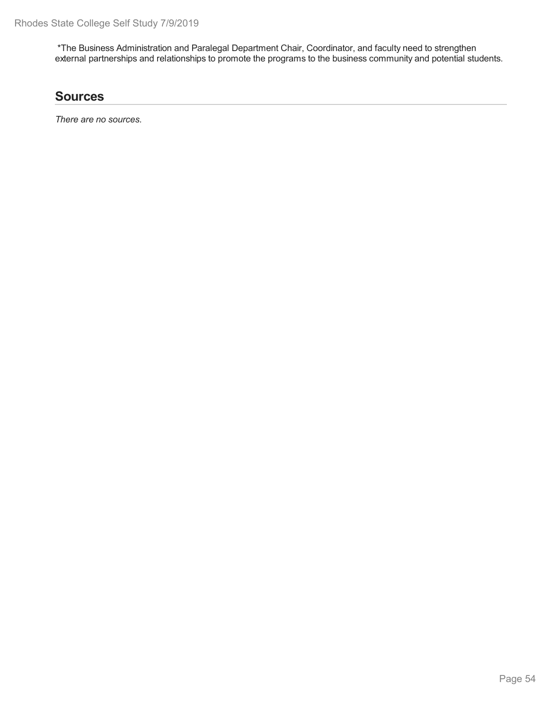\*The Business Administration and Paralegal Department Chair, Coordinator, and faculty need to strengthen external partnerships and relationships to promote the programs to the business community and potential students.

## **Sources**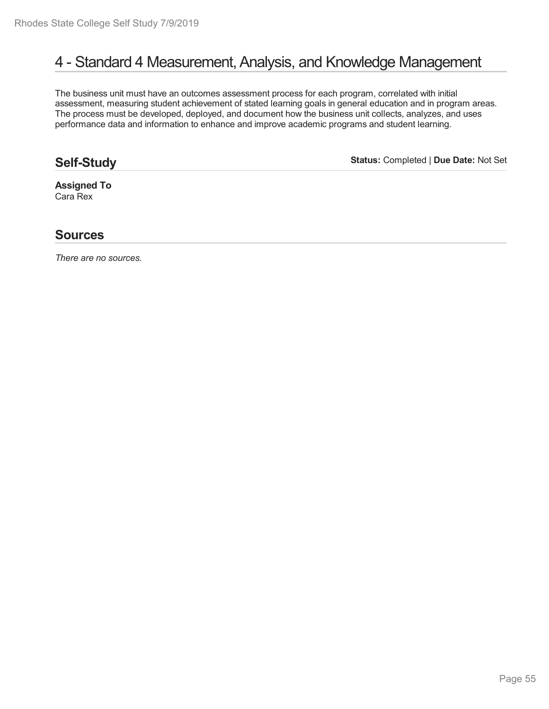# 4 - Standard 4 Measurement, Analysis, and Knowledge Management

The business unit must have an outcomes assessment process for each program, correlated with initial assessment, measuring student achievement of stated learning goals in general education and in program areas. The process must be developed, deployed, and document how the business unit collects, analyzes, and uses performance data and information to enhance and improve academic programs and student learning.

## **Self-Study**

**Status:** Completed | **Due Date:** Not Set

**Assigned To** Cara Rex

### **Sources**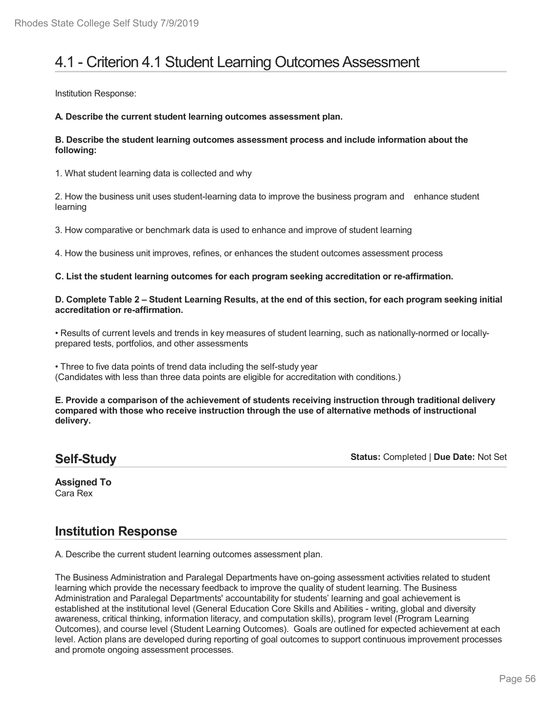# 4.1 - Criterion 4.1 Student Learning Outcomes Assessment

Institution Response:

**A. Describe the current student learning outcomes assessment plan.**

#### **B. Describe the student learning outcomes assessment process and include information about the following:**

1. What student learning data is collected and why

2. How the business unit uses student-learning data to improve the business program and enhance student learning

3. How comparative or benchmark data is used to enhance and improve of student learning

4. How the business unit improves, refines, or enhances the student outcomes assessment process

#### **C. List the student learning outcomes for each program seeking accreditation or re-affirmation.**

#### D. Complete Table 2 – Student Learning Results, at the end of this section, for each program seeking initial **accreditation or re-affirmation.**

• Results of current levels and trends in key measures of student learning, such as nationally-normed or locally prepared tests, portfolios, and other assessments

• Three to five data points of trend data including the self-study year (Candidates with less than three data points are eligible for accreditation with conditions.)

**E. Provide a comparison of the achievement of students receiving instruction through traditional delivery compared with those who receive instruction through the use of alternative methods of instructional delivery.**

### **Self-Study**

**Status:** Completed | **Due Date:** Not Set

**Assigned To** Cara Rex

## **Institution Response**

A. Describe the current student learning outcomes assessment plan.

The Business Administration and Paralegal Departments have on-going assessment activities related to student learning which provide the necessary feedback to improve the quality of student learning. The Business Administration and Paralegal Departments' accountability for students' learning and goal achievement is established at the institutional level (General Education Core Skills and Abilities - writing, global and diversity awareness, critical thinking, information literacy, and computation skills), program level (Program Learning Outcomes), and course level (Student Learning Outcomes). Goals are outlined for expected achievement at each level. Action plans are developed during reporting of goal outcomes to support continuous improvement processes and promote ongoing assessment processes.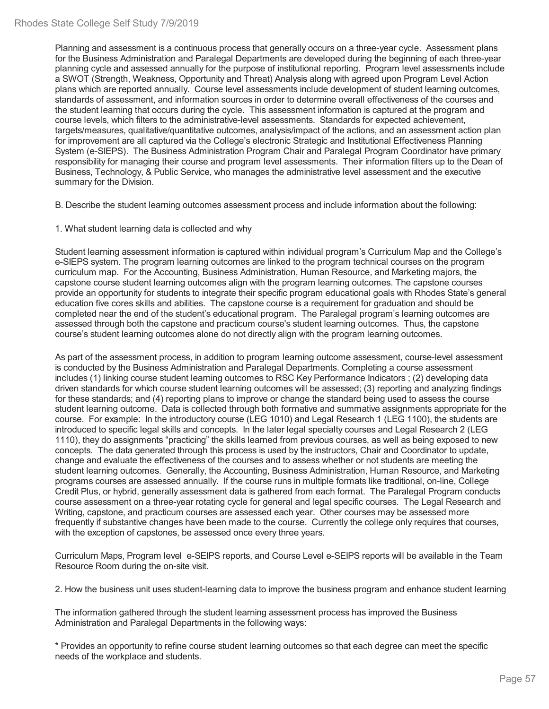Planning and assessment is a continuous process that generally occurs on a three-year cycle. Assessment plans for the Business Administration and Paralegal Departments are developed during the beginning of each three-year planning cycle and assessed annually for the purpose of institutional reporting. Program level assessments include a SWOT (Strength, Weakness, Opportunity and Threat) Analysis along with agreed upon Program Level Action plans which are reported annually. Course level assessments include development of student learning outcomes, standards of assessment, and information sources in order to determine overall effectiveness of the courses and the student learning that occurs during the cycle. This assessment information is captured at the program and course levels, which filters to the administrative-level assessments. Standards for expected achievement, targets/measures, qualitative/quantitative outcomes, analysis/impact of the actions, and an assessment action plan for improvement are all captured via the College's electronic Strategic and Institutional Effectiveness Planning System (e-SIEPS). The Business Administration Program Chair and Paralegal Program Coordinator have primary responsibility for managing their course and program level assessments. Their information filters up to the Dean of Business, Technology, & Public Service, who manages the administrative level assessment and the executive summary for the Division.

B. Describe the student learning outcomes assessment process and include information about the following:

1. What student learning data is collected and why

Student learning assessment information is captured within individual program's Curriculum Map and the College's e-SIEPS system. The program learning outcomes are linked to the program technical courses on the program curriculum map. For the Accounting, Business Administration, Human Resource, and Marketing majors, the capstone course student learning outcomes align with the program learning outcomes. The capstone courses provide an opportunity for students to integrate their specific program educational goals with Rhodes State's general education five cores skills and abilities. The capstone course is a requirement for graduation and should be completed near the end of the student's educational program. The Paralegal program's learning outcomes are assessed through both the capstone and practicum course's student learning outcomes. Thus, the capstone course's student learning outcomes alone do not directly align with the program learning outcomes.

As part of the assessment process, in addition to program learning outcome assessment, course-level assessment is conducted by the Business Administration and Paralegal Departments. Completing a course assessment includes (1) linking course student learning outcomes to RSC Key Performance Indicators ; (2) developing data driven standards for which course student learning outcomes will be assessed; (3) reporting and analyzing findings for these standards; and (4) reporting plans to improve or change the standard being used to assess the course student learning outcome. Data is collected through both formative and summative assignments appropriate for the course. For example: In the introductory course (LEG 1010) and Legal Research 1 (LEG 1100), the students are introduced to specific legal skills and concepts. In the later legal specialty courses and Legal Research 2 (LEG 1110), they do assignments "practicing" the skills learned from previous courses, as well as being exposed to new concepts. The data generated through this process is used by the instructors, Chair and Coordinator to update, change and evaluate the effectiveness of the courses and to assess whether or not students are meeting the student learning outcomes. Generally, the Accounting, Business Administration, Human Resource, and Marketing programs courses are assessed annually. If the course runs in multiple formats like traditional, on-line, College Credit Plus, or hybrid, generally assessment data is gathered from each format. The Paralegal Program conducts course assessment on a three-year rotating cycle for general and legal specific courses. The Legal Research and Writing, capstone, and practicum courses are assessed each year. Other courses may be assessed more frequently if substantive changes have been made to the course. Currently the college only requires that courses, with the exception of capstones, be assessed once every three years.

Curriculum Maps, Program level e-SEIPS reports, and Course Level e-SEIPS reports will be available in the Team Resource Room during the on-site visit.

2. How the business unit uses student-learning data to improve the business program and enhance student learning

The information gathered through the student learning assessment process has improved the Business Administration and Paralegal Departments in the following ways:

\* Provides an opportunity to refine course student learning outcomes so that each degree can meet the specific needs of the workplace and students.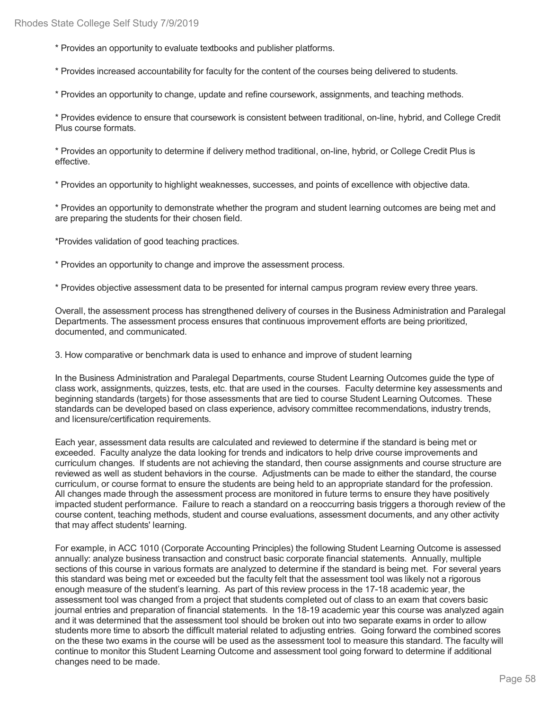\* Provides an opportunity to evaluate textbooks and publisher platforms.

\* Provides increased accountability for faculty for the content of the courses being delivered to students.

\* Provides an opportunity to change, update and refine coursework, assignments, and teaching methods.

\* Provides evidence to ensure that coursework is consistent between traditional, on-line, hybrid, and College Credit Plus course formats.

\* Provides an opportunity to determine if delivery method traditional, on-line, hybrid, or College Credit Plus is effective.

\* Provides an opportunity to highlight weaknesses, successes, and points of excellence with objective data.

\* Provides an opportunity to demonstrate whether the program and student learning outcomes are being met and are preparing the students for their chosen field.

\*Provides validation of good teaching practices.

\* Provides an opportunity to change and improve the assessment process.

\* Provides objective assessment data to be presented for internal campus program review every three years.

Overall, the assessment process has strengthened delivery of courses in the Business Administration and Paralegal Departments. The assessment process ensures that continuous improvement efforts are being prioritized, documented, and communicated.

3. How comparative or benchmark data is used to enhance and improve of student learning

In the Business Administration and Paralegal Departments, course Student Learning Outcomes guide the type of class work, assignments, quizzes, tests, etc. that are used in the courses. Faculty determine key assessments and beginning standards (targets) for those assessments that are tied to course Student Learning Outcomes. These standards can be developed based on class experience, advisory committee recommendations, industry trends, and licensure/certification requirements.

Each year, assessment data results are calculated and reviewed to determine if the standard is being met or exceeded. Faculty analyze the data looking for trends and indicators to help drive course improvements and curriculum changes. If students are not achieving the standard, then course assignments and course structure are reviewed as well as student behaviors in the course. Adjustments can be made to either the standard, the course curriculum, or course format to ensure the students are being held to an appropriate standard for the profession. All changes made through the assessment process are monitored in future terms to ensure they have positively impacted student performance. Failure to reach a standard on a reoccurring basis triggers a thorough review of the course content, teaching methods, student and course evaluations, assessment documents, and any other activity that may affect students' learning.

For example, in ACC 1010 (Corporate Accounting Principles) the following Student Learning Outcome is assessed annually: analyze business transaction and construct basic corporate financial statements. Annually, multiple sections of this course in various formats are analyzed to determine if the standard is being met. For several years this standard was being met or exceeded but the faculty felt that the assessment tool was likely not a rigorous enough measure of the student's learning. As part of this review process in the 17-18 academic year, the assessment tool was changed from a project that students completed out of class to an exam that covers basic journal entries and preparation of financial statements. In the 18-19 academic year this course was analyzed again and it was determined that the assessment tool should be broken out into two separate exams in order to allow students more time to absorb the difficult material related to adjusting entries. Going forward the combined scores on the these two exams in the course will be used as the assessment tool to measure this standard. The faculty will continue to monitor this Student Learning Outcome and assessment tool going forward to determine if additional changes need to be made.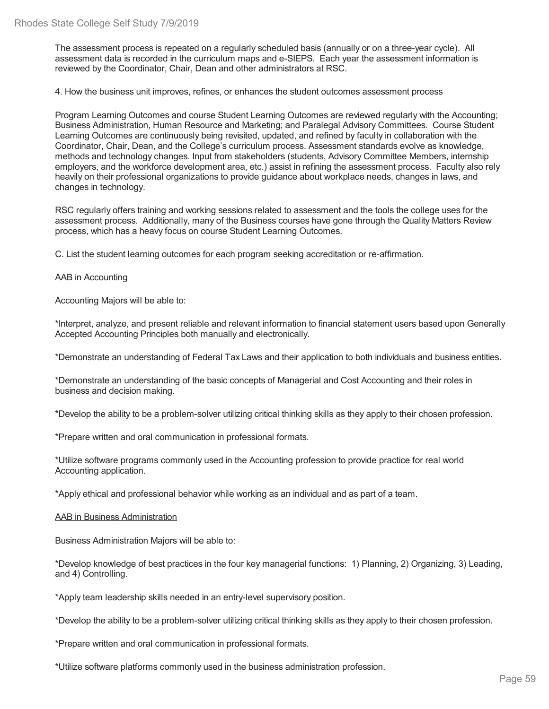The assessment process is repeated on a regularly scheduled basis (annually or on a three-year cycle). All assessment data is recorded in the curriculum maps and e-SIEPS. Each year the assessment information is reviewed by the Coordinator, Chair, Dean and other administrators at RSC.

4. How the business unit improves, refines, or enhances the student outcomes assessment process

Program Learning Outcomes and course Student Learning Outcomes are reviewed regularly with the Accounting; Business Administration, Human Resource and Marketing; and Paralegal Advisory Committees. Course Student Learning Outcomes are continuously being revisited, updated, and refined by faculty in collaboration with the Coordinator, Chair, Dean, and the College's curriculum process. Assessment standards evolve as knowledge, methods and technology changes. Input from stakeholders (students, Advisory Committee Members, internship employers, and the workforce development area, etc.) assist in refining the assessment process. Faculty also rely heavily on their professional organizations to provide guidance about workplace needs, changes in laws, and changes in technology.

RSC regularly offers training and working sessions related to assessment and the tools the college uses for the assessment process. Additionally, many of the Business courses have gone through the Quality Matters Review process, which has a heavy focus on course Student Learning Outcomes.

C. List the student learning outcomes for each program seeking accreditation or re-affirmation.

#### AAB in Accounting

Accounting Majors will be able to:

\*Interpret, analyze, and present reliable and relevant information to financial statement users based upon Generally Accepted Accounting Principles both manually and electronically.

\*Demonstrate an understanding of Federal Tax Laws and their application to both individuals and business entities.

\*Demonstrate an understanding of the basic concepts of Managerial and Cost Accounting and their roles in business and decision making.

\*Develop the ability to be a problem-solver utilizing critical thinking skills as they apply to their chosen profession.

\*Prepare written and oral communication in professional formats.

\*Utilize software programs commonly used in the Accounting profession to provide practice for real world Accounting application.

\*Apply ethical and professional behavior while working as an individual and as part of a team.

AAB in Business Administration

Business Administration Majors will be able to:

\*Develop knowledge of best practices in the four key managerial functions: 1) Planning, 2) Organizing, 3) Leading, and 4) Controlling.

\*Apply team leadership skills needed in an entry-level supervisory position.

\*Develop the ability to be a problem-solver utilizing critical thinking skills as they apply to their chosen profession.

\*Prepare written and oral communication in professional formats.

\*Utilize software platforms commonly used in the business administration profession.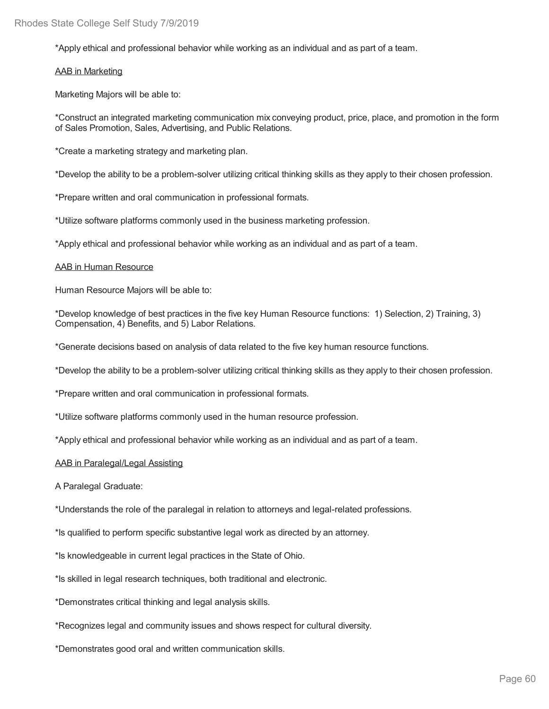\*Apply ethical and professional behavior while working as an individual and as part of a team.

#### AAB in Marketing

Marketing Majors will be able to:

\*Construct an integrated marketing communication mix conveying product, price, place, and promotion in the form of Sales Promotion, Sales, Advertising, and Public Relations.

\*Create a marketing strategy and marketing plan.

\*Develop the ability to be a problem-solver utilizing critical thinking skills as they apply to their chosen profession.

\*Prepare written and oral communication in professional formats.

\*Utilize software platforms commonly used in the business marketing profession.

\*Apply ethical and professional behavior while working as an individual and as part of a team.

#### AAB in Human Resource

Human Resource Majors will be able to:

\*Develop knowledge of best practices in the five key Human Resource functions: 1) Selection, 2) Training, 3) Compensation, 4) Benefits, and 5) Labor Relations.

\*Generate decisions based on analysis of data related to the five key human resource functions.

\*Develop the ability to be a problem-solver utilizing critical thinking skills as they apply to their chosen profession.

\*Prepare written and oral communication in professional formats.

\*Utilize software platforms commonly used in the human resource profession.

\*Apply ethical and professional behavior while working as an individual and as part of a team.

#### AAB in Paralegal/Legal Assisting

A Paralegal Graduate:

\*Understands the role of the paralegal in relation to attorneys and legal-related professions.

\*Is qualified to perform specific substantive legal work as directed by an attorney.

\*Is knowledgeable in current legal practices in the State of Ohio.

\*Is skilled in legal research techniques, both traditional and electronic.

\*Demonstrates critical thinking and legal analysis skills.

\*Recognizes legal and community issues and shows respect for cultural diversity.

\*Demonstrates good oral and written communication skills.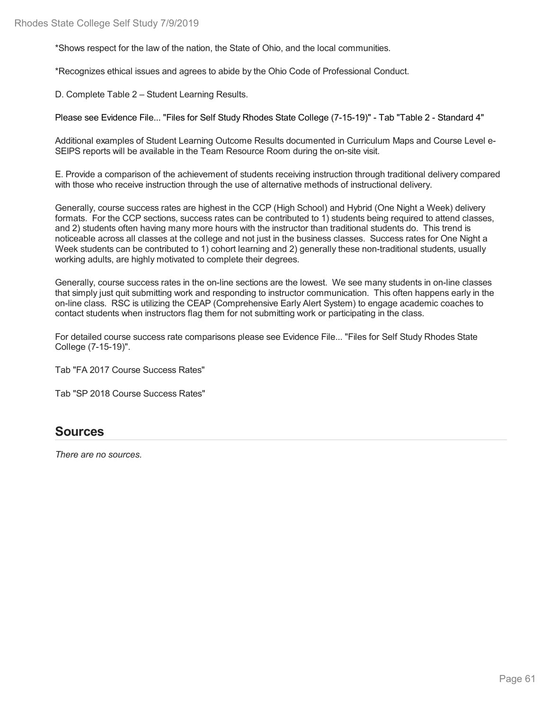\*Shows respect for the law of the nation, the State of Ohio, and the local communities.

\*Recognizes ethical issues and agrees to abide by the Ohio Code of Professional Conduct.

D. Complete Table 2 – Student Learning Results.

Please see Evidence File... "Files for Self Study Rhodes State College (7-15-19)" - Tab "Table 2 - Standard 4"

Additional examples of Student Learning Outcome Results documented in Curriculum Maps and Course Level e- SEIPS reports will be available in the Team Resource Room during the on-site visit.

E. Provide a comparison of the achievement of students receiving instruction through traditional delivery compared with those who receive instruction through the use of alternative methods of instructional delivery.

Generally, course success rates are highest in the CCP (High School) and Hybrid (One Night a Week) delivery formats. For the CCP sections, success rates can be contributed to 1) students being required to attend classes, and 2) students often having many more hours with the instructor than traditional students do. This trend is noticeable across all classes at the college and not just in the business classes. Success rates for One Night a Week students can be contributed to 1) cohort learning and 2) generally these non-traditional students, usually working adults, are highly motivated to complete their degrees.

Generally, course success rates in the on-line sections are the lowest. We see many students in on-line classes that simply just quit submitting work and responding to instructor communication. This often happens early in the on-line class. RSC is utilizing the CEAP (Comprehensive Early Alert System) to engage academic coaches to contact students when instructors flag them for not submitting work or participating in the class.

For detailed course success rate comparisons please see Evidence File... "Files for Self Study Rhodes State College (7-15-19)".

Tab "FA 2017 Course Success Rates"

Tab "SP 2018 Course Success Rates"

### **Sources**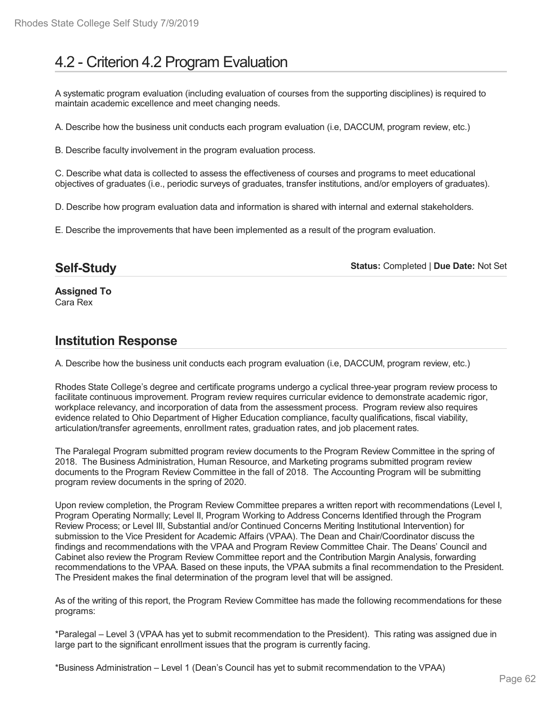# 4.2 - Criterion 4.2 Program Evaluation

A systematic program evaluation (including evaluation of courses from the supporting disciplines) is required to maintain academic excellence and meet changing needs.

A. Describe how the business unit conducts each program evaluation (i.e, DACCUM, program review, etc.)

B. Describe faculty involvement in the program evaluation process.

C. Describe what data is collected to assess the effectiveness of courses and programs to meet educational objectives of graduates (i.e., periodic surveys of graduates, transfer institutions, and/or employers of graduates).

D. Describe how program evaluation data and information is shared with internal and external stakeholders.

E. Describe the improvements that have been implemented as a result of the program evaluation.

### **Self-Study**

**Status:** Completed | **Due Date:** Not Set

**Assigned To** Cara Rex

### **Institution Response**

A. Describe how the business unit conducts each program evaluation (i.e, DACCUM, program review, etc.)

Rhodes State College's degree and certificate programs undergo a cyclical three-year program review process to facilitate continuous improvement. Program review requires curricular evidence to demonstrate academic rigor, workplace relevancy, and incorporation of data from the assessment process. Program review also requires evidence related to Ohio Department of Higher Education compliance, faculty qualifications, fiscal viability, articulation/transfer agreements, enrollment rates, graduation rates, and job placement rates.

The Paralegal Program submitted program review documents to the Program Review Committee in the spring of 2018. The Business Administration, Human Resource, and Marketing programs submitted program review documents to the Program Review Committee in the fall of 2018. The Accounting Program will be submitting program review documents in the spring of 2020.

Upon review completion, the Program Review Committee prepares a written report with recommendations (Level I, Program Operating Normally; Level II, Program Working to Address Concerns Identified through the Program Review Process; or Level III, Substantial and/or Continued Concerns Meriting Institutional Intervention) for submission to the Vice President for Academic Affairs (VPAA). The Dean and Chair/Coordinator discuss the findings and recommendations with the VPAA and Program Review Committee Chair. The Deans' Council and Cabinet also review the Program Review Committee report and the Contribution Margin Analysis, forwarding recommendations to the VPAA. Based on these inputs, the VPAA submits a final recommendation to the President. The President makes the final determination of the program level that will be assigned.

As of the writing of this report, the Program Review Committee has made the following recommendations for these programs:

\*Paralegal – Level 3 (VPAA has yet to submit recommendation to the President). This rating was assigned due in large part to the significant enrollment issues that the program is currently facing.

\*Business Administration – Level 1 (Dean's Council has yet to submit recommendation to the VPAA)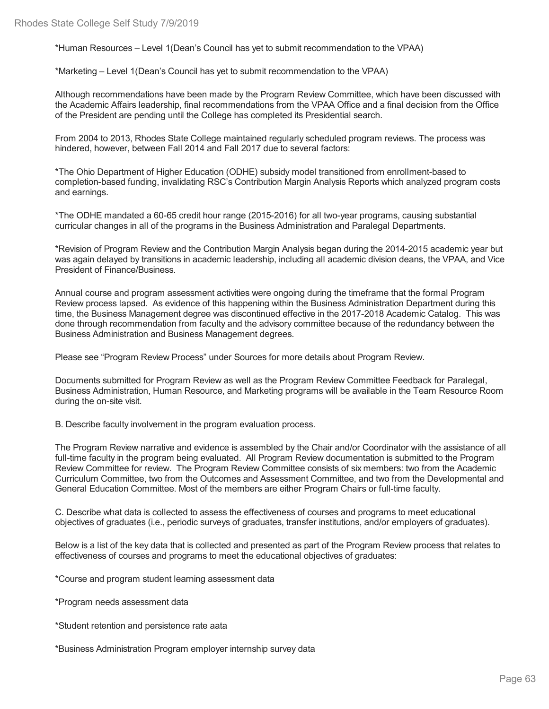\*Human Resources – Level 1(Dean's Council has yet to submit recommendation to the VPAA)

\*Marketing – Level 1(Dean's Council has yet to submit recommendation to the VPAA)

Although recommendations have been made by the Program Review Committee, which have been discussed with the Academic Affairs leadership, final recommendations from the VPAA Office and a final decision from the Office of the President are pending until the College has completed its Presidential search.

From 2004 to 2013, Rhodes State College maintained regularly scheduled program reviews. The process was hindered, however, between Fall 2014 and Fall 2017 due to several factors:

\*The Ohio Department of Higher Education (ODHE) subsidy model transitioned from enrollment-based to completion-based funding, invalidating RSC's Contribution Margin Analysis Reports which analyzed program costs and earnings.

\*The ODHE mandated a 60-65 credit hour range (2015-2016) for all two-year programs, causing substantial curricular changes in all of the programs in the Business Administration and Paralegal Departments.

\*Revision of Program Review and the Contribution Margin Analysis began during the 2014-2015 academic year but was again delayed by transitions in academic leadership, including all academic division deans, the VPAA, and Vice President of Finance/Business.

Annual course and program assessment activities were ongoing during the timeframe that the formal Program Review process lapsed. As evidence of this happening within the Business Administration Department during this time, the Business Management degree was discontinued effective in the 2017-2018 Academic Catalog. This was done through recommendation from faculty and the advisory committee because of the redundancy between the Business Administration and Business Management degrees.

Please see "Program Review Process" under Sources for more details about Program Review.

Documents submitted for Program Review as well as the Program Review Committee Feedback for Paralegal, Business Administration, Human Resource, and Marketing programs will be available in the Team Resource Room during the on-site visit.

B. Describe faculty involvement in the program evaluation process.

The Program Review narrative and evidence is assembled by the Chair and/or Coordinator with the assistance of all full-time faculty in the program being evaluated. All Program Review documentation is submitted to the Program Review Committee for review. The Program Review Committee consists of six members: two from the Academic Curriculum Committee, two from the Outcomes and Assessment Committee, and two from the Developmental and General Education Committee. Most of the members are either Program Chairs or full-time faculty.

C. Describe what data is collected to assess the effectiveness of courses and programs to meet educational objectives of graduates (i.e., periodic surveys of graduates, transfer institutions, and/or employers of graduates).

Below is a list of the key data that is collected and presented as part of the Program Review process that relates to effectiveness of courses and programs to meet the educational objectives of graduates:

\*Course and program student learning assessment data

\*Program needs assessment data

\*Student retention and persistence rate aata

\*Business Administration Program employer internship survey data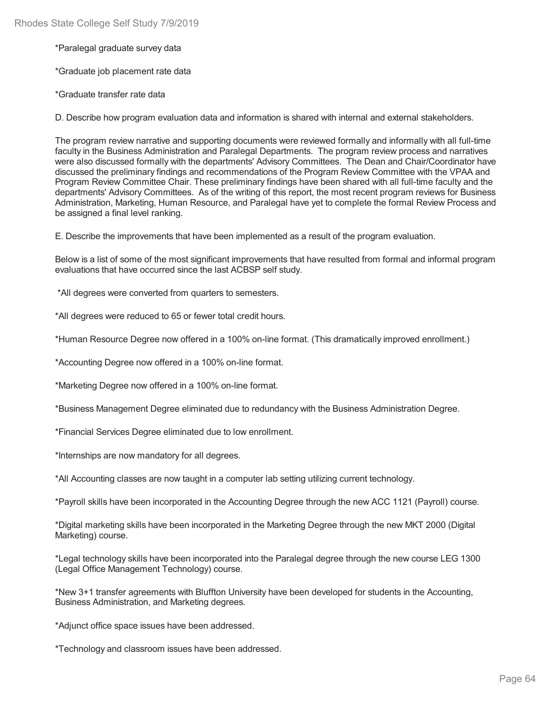\*Paralegal graduate survey data

\*Graduate job placement rate data

\*Graduate transfer rate data

D. Describe how program evaluation data and information is shared with internal and external stakeholders.

The program review narrative and supporting documents were reviewed formally and informally with all full-time faculty in the Business Administration and Paralegal Departments. The program review process and narratives were also discussed formally with the departments' Advisory Committees. The Dean and Chair/Coordinator have discussed the preliminary findings and recommendations of the Program Review Committee with the VPAA and Program Review Committee Chair. These preliminary findings have been shared with all full-time faculty and the departments' Advisory Committees. As of the writing of this report, the most recent program reviews for Business Administration, Marketing, Human Resource, and Paralegal have yet to complete the formal Review Process and be assigned a final level ranking.

E. Describe the improvements that have been implemented as a result of the program evaluation.

Below is a list of some of the most significant improvements that have resulted from formal and informal program evaluations that have occurred since the last ACBSP self study.

\*All degrees were converted from quarters to semesters.

\*All degrees were reduced to 65 or fewer total credit hours.

\*Human Resource Degree now offered in a 100% on-line format. (This dramatically improved enrollment.)

\*Accounting Degree now offered in a 100% on-line format.

\*Marketing Degree now offered in a 100% on-line format.

\*Business Management Degree eliminated due to redundancy with the Business Administration Degree.

\*Financial Services Degree eliminated due to low enrollment.

\*Internships are now mandatory for all degrees.

\*All Accounting classes are now taught in a computer lab setting utilizing current technology.

\*Payroll skills have been incorporated in the Accounting Degree through the new ACC 1121 (Payroll) course.

\*Digital marketing skills have been incorporated in the Marketing Degree through the new MKT 2000 (Digital Marketing) course.

\*Legal technology skills have been incorporated into the Paralegal degree through the new course LEG 1300 (Legal Office Management Technology) course.

\*New 3+1 transfer agreements with Bluffton University have been developed for students in the Accounting, Business Administration, and Marketing degrees.

\*Adjunct office space issues have been addressed.

\*Technology and classroom issues have been addressed.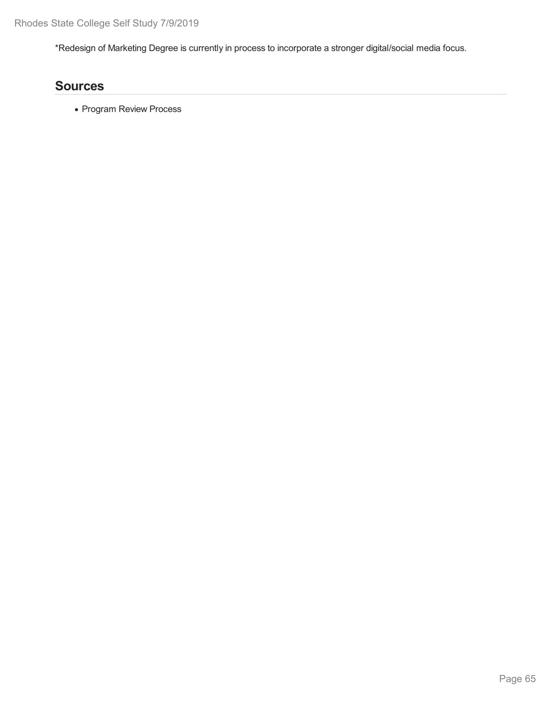\*Redesign of Marketing Degree is currently in process to incorporate a stronger digital/social media focus.

# **Sources**

• Program Review Process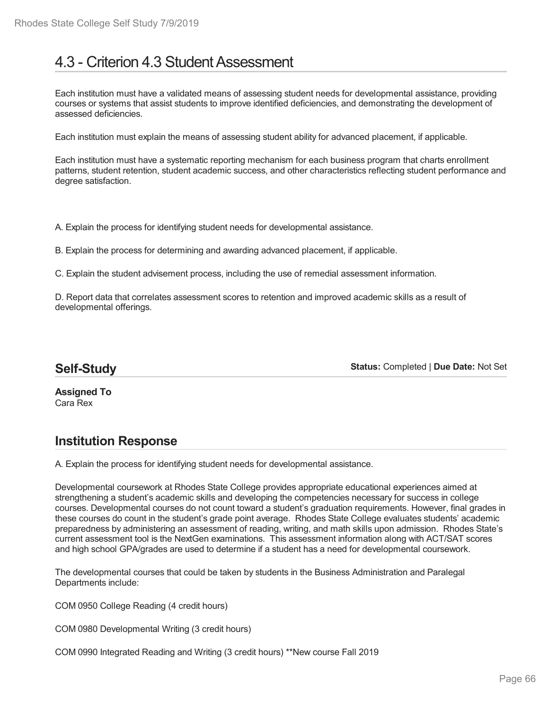# 4.3 - Criterion 4.3 Student Assessment

Each institution must have a validated means of assessing student needs for developmental assistance, providing courses or systems that assist students to improve identified deficiencies, and demonstrating the development of assessed deficiencies.

Each institution must explain the means of assessing student ability for advanced placement, if applicable.

Each institution must have a systematic reporting mechanism for each business program that charts enrollment patterns, student retention, student academic success, and other characteristics reflecting student performance and degree satisfaction.

A. Explain the process for identifying student needs for developmental assistance.

B. Explain the process for determining and awarding advanced placement, if applicable.

C. Explain the student advisement process, including the use of remedial assessment information.

D. Report data that correlates assessment scores to retention and improved academic skills as a result of developmental offerings.

## **Self-Study**

**Status:** Completed | **Due Date:** Not Set

**Assigned To** Cara Rex

# **Institution Response**

A. Explain the process for identifying student needs for developmental assistance.

Developmental coursework at Rhodes State College provides appropriate educational experiences aimed at strengthening a student's academic skills and developing the competencies necessary for success in college courses. Developmental courses do not count toward a student's graduation requirements. However, final grades in these courses do count in the student's grade point average. Rhodes State College evaluates students' academic preparedness by administering an assessment of reading, writing, and math skills upon admission. Rhodes State's current assessment tool is the NextGen examinations. This assessment information along with ACT/SAT scores and high school GPA/grades are used to determine if a student has a need for developmental coursework.

The developmental courses that could be taken by students in the Business Administration and Paralegal Departments include:

COM 0950 College Reading (4 credit hours)

COM 0980 Developmental Writing (3 credit hours)

COM 0990 Integrated Reading and Writing (3 credit hours) \*\*New course Fall 2019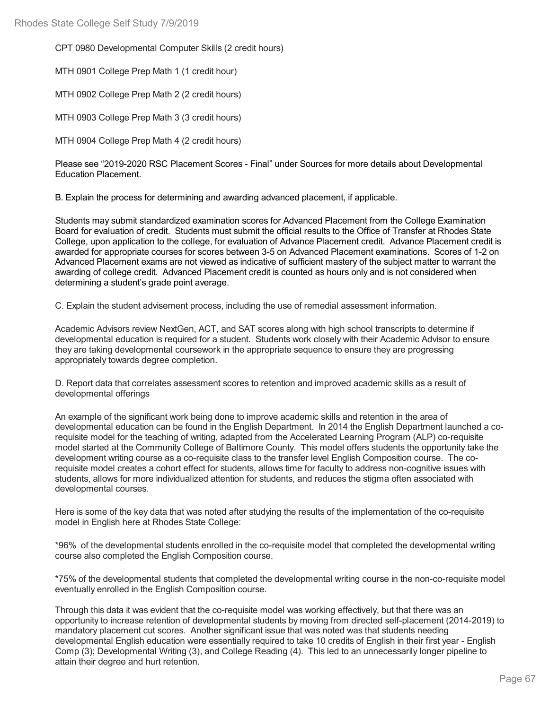CPT 0980 Developmental Computer Skills (2 credit hours)

MTH 0901 College Prep Math 1 (1 credit hour)

MTH 0902 College Prep Math 2 (2 credit hours)

MTH 0903 College Prep Math 3 (3 credit hours)

MTH 0904 College Prep Math 4 (2 credit hours)

Please see "2019-2020 RSC Placement Scores - Final" under Sources for more details about Developmental Education Placement.

B. Explain the process for determining and awarding advanced placement, if applicable.

Students may submit standardized examination scores for Advanced Placement from the College Examination Board for evaluation of credit. Students must submit the official results to the Office of Transfer at Rhodes State College, upon application to the college, for evaluation of Advance Placement credit. Advance Placement credit is awarded for appropriate courses for scores between 3-5 on Advanced Placement examinations. Scores of 1-2 on Advanced Placement exams are not viewed as indicative of sufficient mastery of the subject matter to warrant the awarding of college credit. Advanced Placement credit is counted as hours only and is not considered when determining a student's grade point average.

C. Explain the student advisement process, including the use of remedial assessment information.

Academic Advisors review NextGen, ACT, and SAT scores along with high school transcripts to determine if developmental education is required for a student. Students work closely with their Academic Advisor to ensure they are taking developmental coursework in the appropriate sequence to ensure they are progressing appropriately towards degree completion.

D. Report data that correlates assessment scores to retention and improved academic skills as a result of developmental offerings

An example of the significant work being done to improve academic skills and retention in the area of developmental education can be found in the English Department. In 2014 the English Department launched a corequisite model for the teaching of writing, adapted from the Accelerated Learning Program (ALP) co-requisite model started at the Community College of Baltimore County. This model offers students the opportunity take the development writing course as a co-requisite class to the transfer level English Composition course. The corequisite model creates a cohort effect for students, allows time for faculty to address non-cognitive issues with students, allows for more individualized attention for students, and reduces the stigma often associated with developmental courses.

Here is some of the key data that was noted after studying the results of the implementation of the co-requisite model in English here at Rhodes State College:

\*96% of the developmental students enrolled in the co-requisite model that completed the developmental writing course also completed the English Composition course.

\*75% of the developmental students that completed the developmental writing course in the non-co-requisite model eventually enrolled in the English Composition course.

Through this data it was evident that the co-requisite model was working effectively, but that there was an opportunity to increase retention of developmental students by moving from directed self-placement (2014-2019) to mandatory placement cut scores. Another significant issue that was noted was that students needing developmental English education were essentially required to take 10 credits of English in their first year - English Comp (3); Developmental Writing (3), and College Reading (4). This led to an unnecessarily longer pipeline to attain their degree and hurt retention.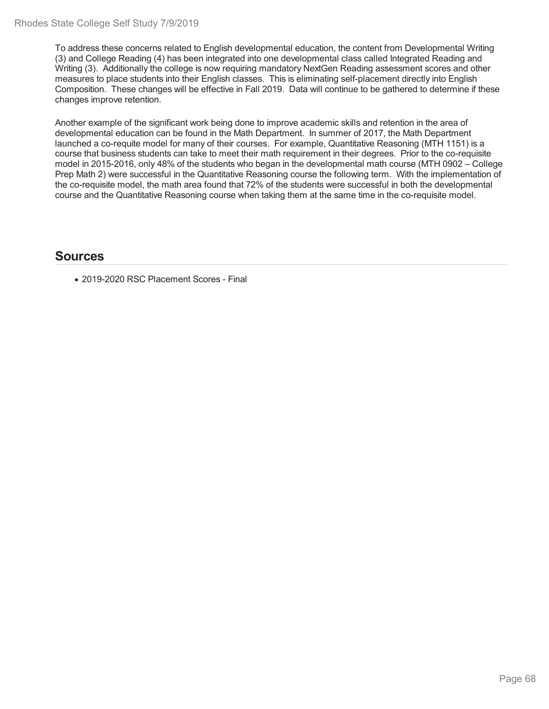To address these concerns related to English developmental education, the content from Developmental Writing (3) and College Reading (4) has been integrated into one developmental class called Integrated Reading and Writing (3). Additionally the college is now requiring mandatory NextGen Reading assessment scores and other measures to place students into their English classes. This is eliminating self-placement directly into English Composition. These changes will be effective in Fall 2019. Data will continue to be gathered to determine if these changes improve retention.

Another example of the significant work being done to improve academic skills and retention in the area of developmental education can be found in the Math Department. In summer of 2017, the Math Department launched a co-requite model for many of their courses. For example, Quantitative Reasoning (MTH 1151) is a course that business students can take to meet their math requirement in their degrees. Prior to the co-requisite model in 2015-2016, only 48% of the students who began in the developmental math course (MTH 0902 – College Prep Math 2) were successful in the Quantitative Reasoning course the following term. With the implementation of the co-requisite model, the math area found that 72% of the students were successful in both the developmental course and the Quantitative Reasoning course when taking them at the same time in the co-requisite model.

### **Sources**

• 2019-2020 RSC Placement Scores - Final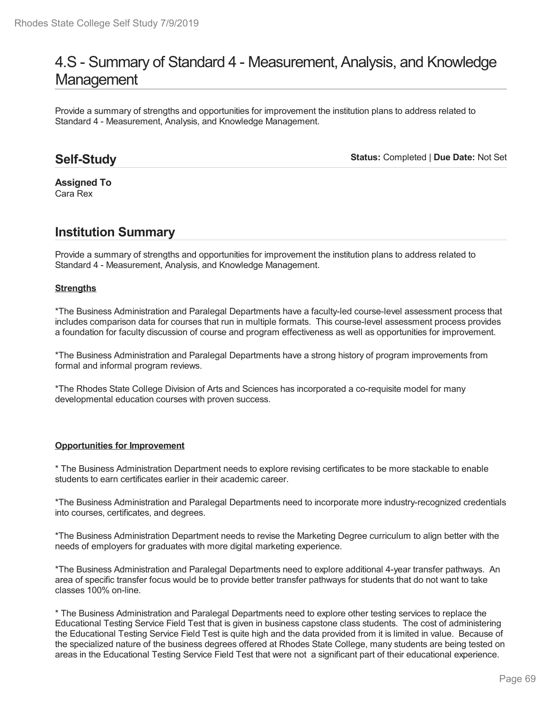# 4.S - Summary of Standard 4 - Measurement, Analysis, and Knowledge **Management**

Provide a summary of strengths and opportunities for improvement the institution plans to address related to Standard 4 - Measurement, Analysis, and Knowledge Management.

### **Self-Study**

**Status:** Completed | **Due Date:** Not Set

**Assigned To** Cara Rex

# **Institution Summary**

Provide a summary of strengths and opportunities for improvement the institution plans to address related to Standard 4 - Measurement, Analysis, and Knowledge Management.

#### **Strengths**

\*The Business Administration and Paralegal Departments have a faculty-led course-level assessment process that includes comparison data for courses that run in multiple formats. This course-level assessment process provides a foundation for faculty discussion of course and program effectiveness as well as opportunities for improvement.

\*The Business Administration and Paralegal Departments have a strong history of program improvements from formal and informal program reviews.

\*The Rhodes State College Division of Arts and Sciences has incorporated a co-requisite model for many developmental education courses with proven success.

#### **Opportunities for Improvement**

\* The Business Administration Department needs to explore revising certificates to be more stackable to enable students to earn certificates earlier in their academic career.

\*The Business Administration and Paralegal Departments need to incorporate more industry-recognized credentials into courses, certificates, and degrees.

\*The Business Administration Department needs to revise the Marketing Degree curriculum to align better with the needs of employers for graduates with more digital marketing experience.

\*The Business Administration and Paralegal Departments need to explore additional 4-year transfer pathways. An area of specific transfer focus would be to provide better transfer pathways for students that do not want to take classes 100% on-line.

\* The Business Administration and Paralegal Departments need to explore other testing services to replace the Educational Testing Service Field Test that is given in business capstone class students. The cost of administering the Educational Testing Service Field Test is quite high and the data provided from it is limited in value. Because of the specialized nature of the business degrees offered at Rhodes State College, many students are being tested on areas in the Educational Testing Service Field Test that were not a significant part of their educational experience.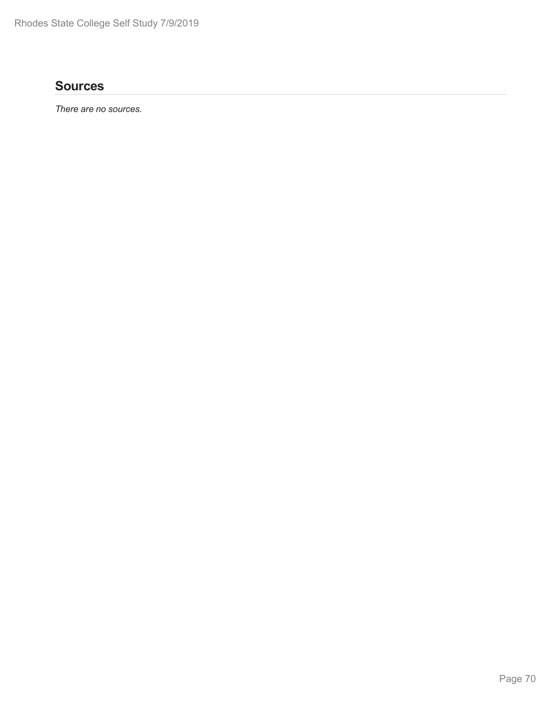# **Sources**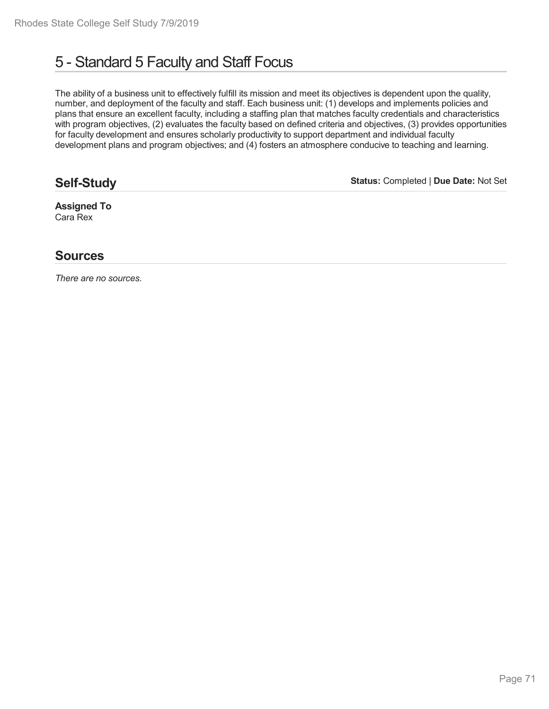# 5 - Standard 5 Faculty and Staff Focus

The ability of a business unit to effectively fulfill its mission and meet its objectives is dependent upon the quality, number, and deployment of the faculty and staff. Each business unit: (1) develops and implements policies and plans that ensure an excellent faculty, including a staffing plan that matches faculty credentials and characteristics with program objectives, (2) evaluates the faculty based on defined criteria and objectives, (3) provides opportunities for faculty development and ensures scholarly productivity to support department and individual faculty development plans and program objectives; and (4) fosters an atmosphere conducive to teaching and learning.

# **Self-Study**

**Status:** Completed | **Due Date:** Not Set

**Assigned To** Cara Rex

## **Sources**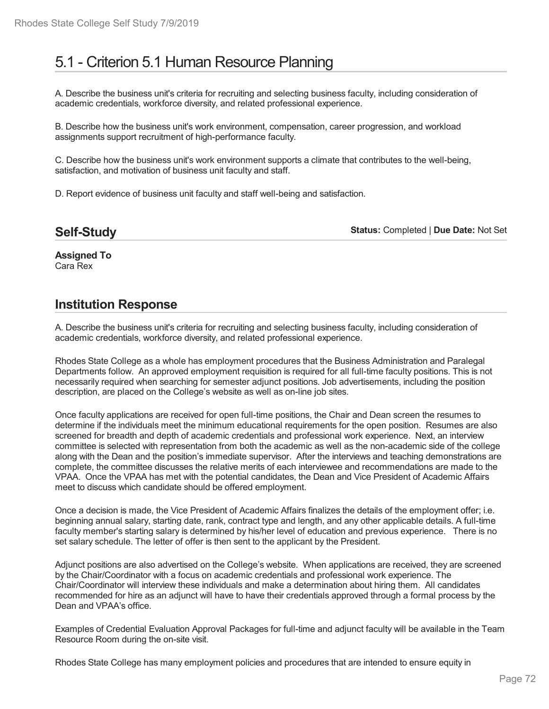# 5.1 - Criterion 5.1 Human Resource Planning

A. Describe the business unit's criteria for recruiting and selecting business faculty, including consideration of academic credentials, workforce diversity, and related professional experience.

B. Describe how the business unit's work environment, compensation, career progression, and workload assignments support recruitment of high-performance faculty.

C. Describe how the business unit's work environment supports a climate that contributes to the well-being, satisfaction, and motivation of business unit faculty and staff.

D. Report evidence of business unit faculty and staff well-being and satisfaction.

**Status:** Completed | **Due Date:** Not Set

**Assigned To** Cara Rex

### **Institution Response**

A. Describe the business unit's criteria for recruiting and selecting business faculty, including consideration of academic credentials, workforce diversity, and related professional experience.

Rhodes State College as a whole has employment procedures that the Business Administration and Paralegal Departments follow. An approved employment requisition is required for all full-time faculty positions. This is not necessarily required when searching for semester adjunct positions. Job advertisements, including the position description, are placed on the College's website as well as on-line job sites.

Once faculty applications are received for open full-time positions, the Chair and Dean screen the resumes to determine if the individuals meet the minimum educational requirements for the open position. Resumes are also screened for breadth and depth of academic credentials and professional work experience. Next, an interview committee is selected with representation from both the academic as well as the non-academic side of the college along with the Dean and the position's immediate supervisor. After the interviews and teaching demonstrations are complete, the committee discusses the relative merits of each interviewee and recommendations are made to the VPAA. Once the VPAA has met with the potential candidates, the Dean and Vice President of Academic Affairs meet to discuss which candidate should be offered employment.

Once a decision is made, the Vice President of Academic Affairs finalizes the details of the employment offer; i.e. beginning annual salary, starting date, rank, contract type and length, and any other applicable details. A full-time faculty member's starting salary is determined by his/her level of education and previous experience. There is no set salary schedule. The letter of offer is then sent to the applicant by the President.

Adjunct positions are also advertised on the College's website. When applications are received, they are screened by the Chair/Coordinator with a focus on academic credentials and professional work experience. The Chair/Coordinator will interview these individuals and make a determination about hiring them. All candidates recommended for hire as an adjunct will have to have their credentials approved through a formal process by the Dean and VPAA's office.

Examples of Credential Evaluation Approval Packages for full-time and adjunct faculty will be available in the Team Resource Room during the on-site visit.

Rhodes State College has many employment policies and procedures that are intended to ensure equity in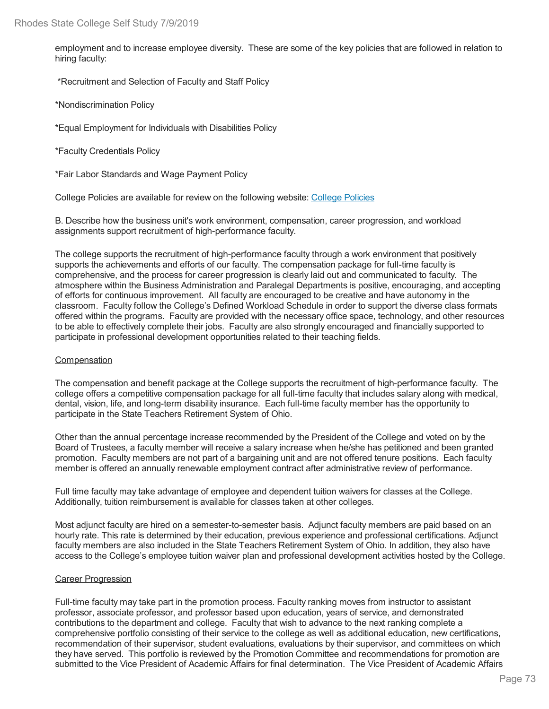employment and to increase employee diversity. These are some of the key policies that are followed in relation to hiring faculty:

\*Recruitment and Selection of Faculty and Staff Policy

\*Nondiscrimination Policy

\*Equal Employment for Individuals with Disabilities Policy

\*Faculty Credentials Policy

\*Fair Labor Standards and Wage Payment Policy

College Policies are available for review on the following website: College Policies

B. Describe how the business unit's work environment, compensation, career progression, and workload assignments support recruitment of high-performance faculty.

The college supports the recruitment of high-performance faculty through a work environment that positively supports the achievements and efforts of our faculty. The compensation package for full-time faculty is comprehensive, and the process for career progression is clearly laid out and communicated to faculty. The atmosphere within the Business Administration and Paralegal Departments is positive, encouraging, and accepting of efforts for continuous improvement. All faculty are encouraged to be creative and have autonomy in the classroom. Faculty follow the College's Defined Workload Schedule in order to support the diverse class formats offered within the programs. Faculty are provided with the necessary office space, technology, and other resources to be able to effectively complete their jobs. Faculty are also strongly encouraged and financially supported to participate in professional development opportunities related to their teaching fields.

#### **Compensation**

The compensation and benefit package at the College supports the recruitment of high-performance faculty. The college offers a competitive compensation package for all full-time faculty that includes salary along with medical, dental, vision, life, and long-term disability insurance. Each full-time faculty member has the opportunity to participate in the State Teachers Retirement System of Ohio.

Other than the annual percentage increase recommended by the President of the College and voted on by the Board of Trustees, a faculty member will receive a salary increase when he/she has petitioned and been granted promotion. Faculty members are not part of a bargaining unit and are not offered tenure positions. Each faculty member is offered an annually renewable employment contract after administrative review of performance.

Full time faculty may take advantage of employee and dependent tuition waivers for classes at the College. Additionally, tuition reimbursement is available for classes taken at other colleges.

Most adjunct faculty are hired on a semester-to-semester basis. Adjunct faculty members are paid based on an hourly rate. This rate is determined by their education, previous experience and professional certifications. Adjunct faculty members are also included in the State Teachers Retirement System of Ohio. In addition, they also have access to the College's employee tuition waiver plan and professional development activities hosted by the College.

#### Career Progression

Full-time faculty may take part in the promotion process. Faculty ranking moves from instructor to assistant professor, associate professor, and professor based upon education, years of service, and demonstrated contributions to the department and college. Faculty that wish to advance to the next ranking complete a comprehensive portfolio consisting of their service to the college as well as additional education, new certifications, recommendation of their supervisor, student evaluations, evaluations by their supervisor, and committees on which they have served. This portfolio is reviewed by the Promotion Committee and recommendations for promotion are submitted to the Vice President of Academic Affairs for final determination. The Vice President of Academic Affairs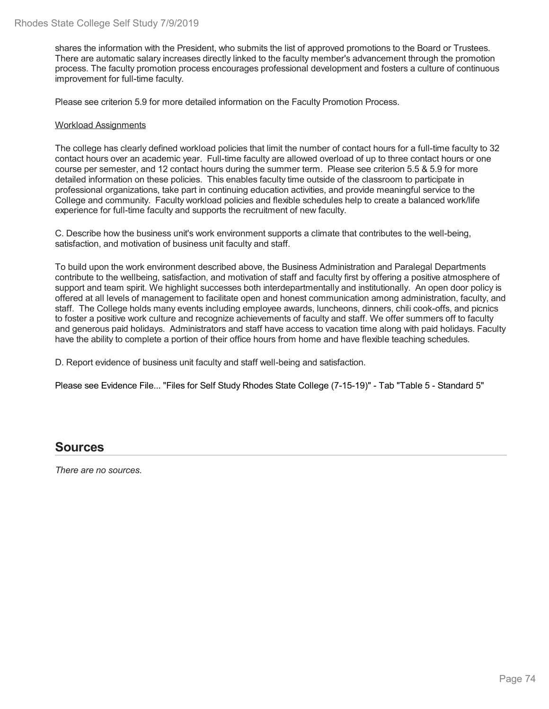shares the information with the President, who submits the list of approved promotions to the Board or Trustees. There are automatic salary increases directly linked to the faculty member's advancement through the promotion process. The faculty promotion process encourages professional development and fosters a culture of continuous improvement for full-time faculty.

Please see criterion 5.9 for more detailed information on the Faculty Promotion Process.

#### Workload Assignments

The college has clearly defined workload policies that limit the number of contact hours for a full-time faculty to 32 contact hours over an academic year. Full-time faculty are allowed overload of up to three contact hours or one course per semester, and 12 contact hours during the summer term. Please see criterion 5.5 & 5.9 for more detailed information on these policies. This enables faculty time outside of the classroom to participate in professional organizations, take part in continuing education activities, and provide meaningful service to the College and community. Faculty workload policies and flexible schedules help to create a balanced work/life experience for full-time faculty and supports the recruitment of new faculty.

C. Describe how the business unit's work environment supports a climate that contributes to the well-being, satisfaction, and motivation of business unit faculty and staff.

To build upon the work environment described above, the Business Administration and Paralegal Departments contribute to the wellbeing, satisfaction, and motivation of staff and faculty first by offering a positive atmosphere of support and team spirit. We highlight successes both interdepartmentally and institutionally. An open door policy is offered at all levels of management to facilitate open and honest communication among administration, faculty, and staff. The College holds many events including employee awards, luncheons, dinners, chili cook-offs, and picnics to foster a positive work culture and recognize achievements of faculty and staff. We offer summers off to faculty and generous paid holidays. Administrators and staff have access to vacation time along with paid holidays. Faculty have the ability to complete a portion of their office hours from home and have flexible teaching schedules.

D. Report evidence of business unit faculty and staff well-being and satisfaction.

Please see Evidence File... "Files for Self Study Rhodes State College (7-15-19)" - Tab "Table 5 - Standard 5"

### **Sources**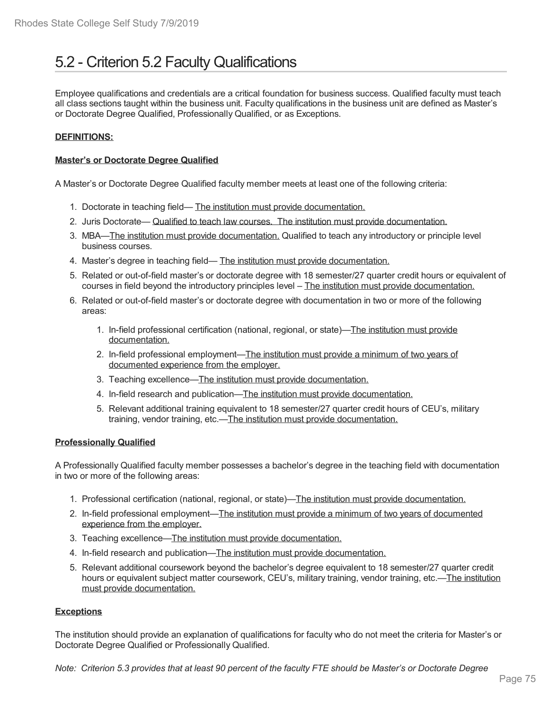# 5.2 - Criterion 5.2 Faculty Qualifications

Employee qualifications and credentials are a critical foundation for business success. Qualified faculty must teach all class sections taught within the business unit. Faculty qualifications in the business unit are defined as Master's or Doctorate Degree Qualified, Professionally Qualified, or as Exceptions.

#### **DEFINITIONS:**

#### **Master's or Doctorate Degree Qualified**

A Master's or Doctorate Degree Qualified faculty member meets at least one of the following criteria:

- 1. Doctorate in teaching field— The institution must provide documentation.
- 2. Juris Doctorate— Qualified to teach law courses. The institution must provide documentation.
- 3. MBA—The institution must provide documentation. Qualified to teach any introductory or principle level business courses.
- 4. Master's degree in teaching field— The institution must provide documentation.
- 5. Related or out-of-field master's or doctorate degree with 18 semester/27 quarter credit hours or equivalent of courses in field beyond the introductory principles level – The institution must provide documentation.
- 6. Related or out-of-field master's or doctorate degree with documentation in two or more of the following areas:
	- 1. In-field professional certification (national, regional, or state)—The institution must provide documentation.
	- 2. In-field professional employment—The institution must provide a minimum of two years of documented experience from the employer.
	- 3. Teaching excellence—The institution must provide documentation.
	- 4. In-field research and publication—The institution must provide documentation.
	- 5. Relevant additional training equivalent to 18 semester/27 quarter credit hours of CEU's, military training, vendor training, etc.—The institution must provide documentation.

#### **Professionally Qualified**

A Professionally Qualified faculty member possesses a bachelor's degree in the teaching field with documentation in two or more of the following areas:

- 1. Professional certification (national, regional, or state)—The institution must provide documentation.
- 2. In-field professional employment—The institution must provide a minimum of two years of documented experience from the employer.
- 3. Teaching excellence—The institution must provide documentation.
- 4. In-field research and publication—The institution must provide documentation.
- 5. Relevant additional coursework beyond the bachelor's degree equivalent to 18 semester/27 quarter credit hours or equivalent subject matter coursework, CEU's, military training, vendor training, etc.—The institution must provide documentation.

#### **Exceptions**

The institution should provide an explanation of qualifications for faculty who do not meet the criteria for Master's or Doctorate Degree Qualified or Professionally Qualified.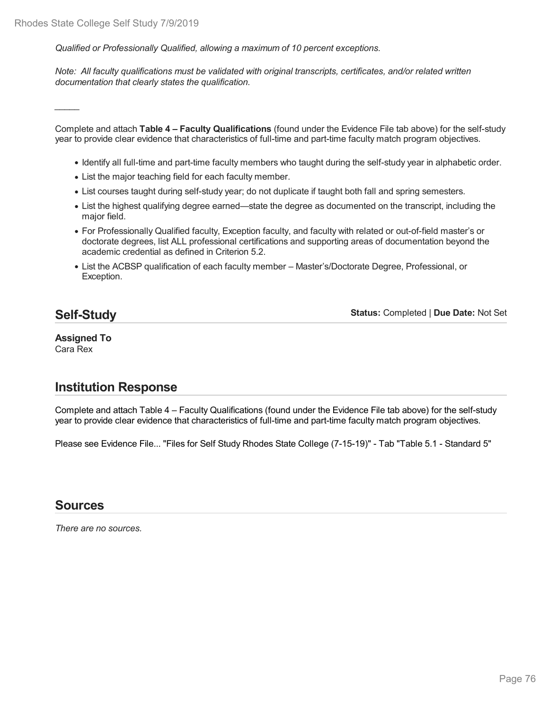*Qualified or Professionally Qualified, allowing a maximum of 10 percent exceptions.*

*Note: All faculty qualifications must be validated with original transcripts, certificates, and/or related written documentation that clearly states the qualification.*

*\_\_\_\_\_*

Complete and attach **Table 4 – Faculty Qualifications** (found under the Evidence File tab above) for the self-study year to provide clear evidence that characteristics of full-time and part-time faculty match program objectives.

- Identify all full-time and part-time faculty members who taught during the self-study year in alphabetic order.
- List the major teaching field for each faculty member.
- List courses taught during self-study year; do not duplicate if taught both fall and spring semesters.
- List the highest qualifying degree earned—state the degree as documented on the transcript, including the major field.
- For Professionally Qualified faculty, Exception faculty, and faculty with related or out-of-field master's or doctorate degrees, list ALL professional certifications and supporting areas of documentation beyond the academic credential as defined in Criterion 5.2.
- List the ACBSP qualification of each faculty member Master's/Doctorate Degree, Professional, or Exception.

## **Self-Study**

**Status:** Completed | **Due Date:** Not Set

#### **Assigned To** Cara Rex

## **Institution Response**

Complete and attach Table 4 – Faculty Qualifications (found under the Evidence File tab above) for the self-study year to provide clear evidence that characteristics of full-time and part-time faculty match program objectives.

Please see Evidence File... "Files for Self Study Rhodes State College (7-15-19)" - Tab "Table 5.1 - Standard 5"

### **Sources**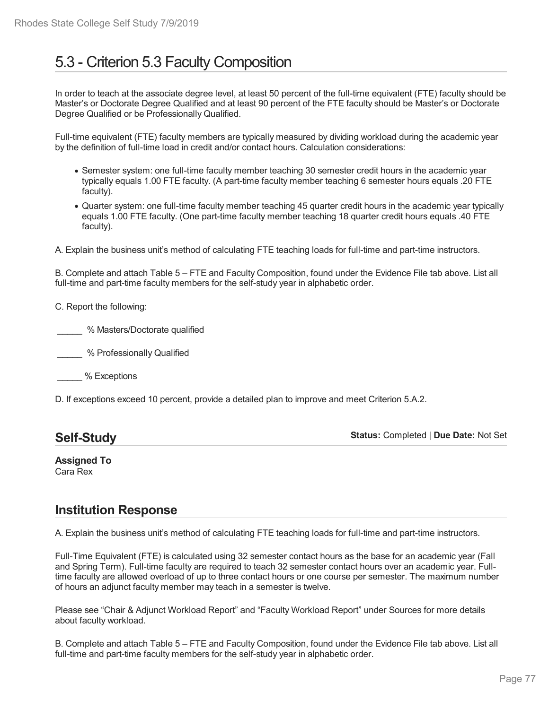# 5.3 - Criterion 5.3 Faculty Composition

In order to teach at the associate degree level, at least 50 percent of the full-time equivalent (FTE) faculty should be Master's or Doctorate Degree Qualified and at least 90 percent of the FTE faculty should be Master's or Doctorate Degree Qualified or be Professionally Qualified.

Full-time equivalent (FTE) faculty members are typically measured by dividing workload during the academic year by the definition of full-time load in credit and/or contact hours. Calculation considerations:

- Semester system: one full-time faculty member teaching 30 semester credit hours in the academic year typically equals 1.00 FTE faculty. (A part-time faculty member teaching 6 semester hours equals .20 FTE faculty).
- Quarter system: one full-time faculty member teaching 45 quarter credit hours in the academic year typically equals 1.00 FTE faculty. (One part-time faculty member teaching 18 quarter credit hours equals .40 FTE faculty).

A. Explain the business unit's method of calculating FTE teaching loads for full-time and part-time instructors.

B. Complete and attach Table 5 – FTE and Faculty Composition, found under the Evidence File tab above. List all full-time and part-time faculty members for the self-study year in alphabetic order.

C. Report the following:

\_\_\_\_\_ % Masters/Doctorate qualified

\_\_\_\_\_ % Professionally Qualified

\_\_\_\_\_ % Exceptions

D. If exceptions exceed 10 percent, provide a detailed plan to improve and meet Criterion 5.A.2.

| <b>Self-Study</b> | <b>Status: Completed   Due Date: Not Set</b> |
|-------------------|----------------------------------------------|
|-------------------|----------------------------------------------|

**Assigned To** Cara Rex

## **Institution Response**

A. Explain the business unit's method of calculating FTE teaching loads for full-time and part-time instructors.

Full-Time Equivalent (FTE) is calculated using 32 semester contact hours as the base for an academic year (Fall and Spring Term). Full-time faculty are required to teach 32 semester contact hours over an academic year. Fulltime faculty are allowed overload of up to three contact hours or one course per semester. The maximum number of hours an adjunct faculty member may teach in a semester is twelve.

Please see "Chair & Adjunct Workload Report" and "Faculty Workload Report" under Sources for more details about faculty workload.

B. Complete and attach Table 5 – FTE and Faculty Composition, found under the Evidence File tab above. List all full-time and part-time faculty members for the self-study year in alphabetic order.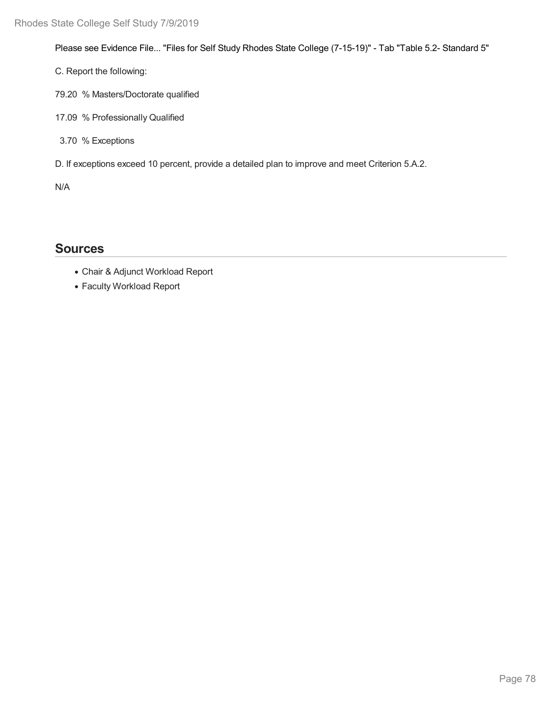Please see Evidence File... "Files for Self Study Rhodes State College (7-15-19)" - Tab "Table 5.2- Standard 5"

C. Report the following:

- 79.20 % Masters/Doctorate qualified
- 17.09 % Professionally Qualified
- 3.70 % Exceptions
- D. If exceptions exceed 10 percent, provide a detailed plan to improve and meet Criterion 5.A.2.

N/A

## **Sources**

- Chair & Adjunct Workload Report
- Faculty Workload Report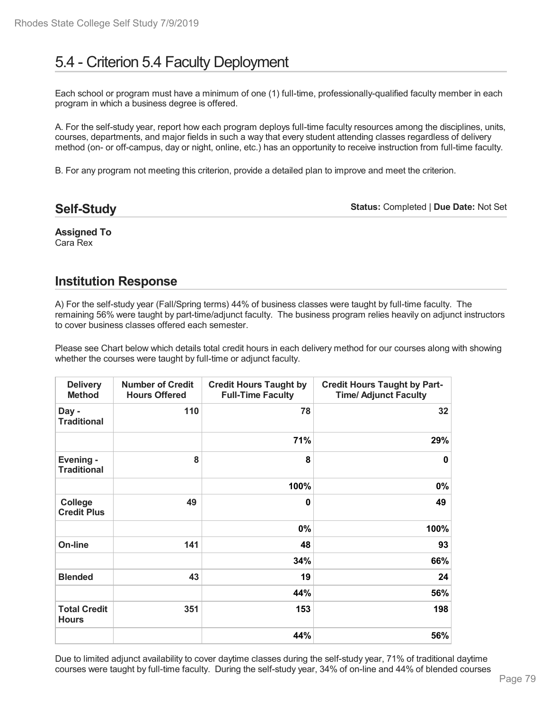# 5.4 - Criterion 5.4 Faculty Deployment

Each school or program must have a minimum of one (1) full-time, professionally-qualified faculty member in each program in which a business degree is offered.

A. For the self-study year, report how each program deploys full-time faculty resources among the disciplines, units, courses, departments, and major fields in such a way that every student attending classes regardless of delivery method (on- or off-campus, day or night, online, etc.) has an opportunity to receive instruction from full-time faculty.

B. For any program not meeting this criterion, provide a detailed plan to improve and meet the criterion.

**Self-Study**

**Status:** Completed | **Due Date:** Not Set

**Assigned To** Cara Rex

## **Institution Response**

A) For the self-study year (Fall/Spring terms) 44% of business classes were taught by full-time faculty. The remaining 56% were taught by part-time/adjunct faculty. The business program relies heavily on adjunct instructors to cover business classes offered each semester.

Please see Chart below which details total credit hours in each delivery method for our courses along with showing whether the courses were taught by full-time or adjunct faculty.

| <b>Delivery</b><br><b>Method</b>     | <b>Number of Credit</b><br><b>Hours Offered</b> | <b>Credit Hours Taught by</b><br><b>Full-Time Faculty</b> | <b>Credit Hours Taught by Part-</b><br><b>Time/ Adjunct Faculty</b> |
|--------------------------------------|-------------------------------------------------|-----------------------------------------------------------|---------------------------------------------------------------------|
| Day -<br><b>Traditional</b>          | 110                                             | 78                                                        | 32                                                                  |
|                                      |                                                 | 71%                                                       | 29%                                                                 |
| Evening -<br><b>Traditional</b>      | 8                                               | 8                                                         | $\Omega$                                                            |
|                                      |                                                 | 100%                                                      | 0%                                                                  |
| <b>College</b><br><b>Credit Plus</b> | 49                                              | $\bf{0}$                                                  | 49                                                                  |
|                                      |                                                 | 0%                                                        | 100%                                                                |
| On-line                              | 141                                             | 48                                                        | 93                                                                  |
|                                      |                                                 | 34%                                                       | 66%                                                                 |
| 43<br><b>Blended</b>                 | 19                                              | 24                                                        |                                                                     |
|                                      | 44%                                             | 56%                                                       |                                                                     |
| <b>Total Credit</b><br><b>Hours</b>  | 351                                             | 153                                                       | 198                                                                 |
|                                      |                                                 | 44%                                                       | 56%                                                                 |

Due to limited adjunct availability to cover daytime classes during the self-study year, 71% of traditional daytime courses were taught by full-time faculty. During the self-study year, 34% of on-line and 44% of blended courses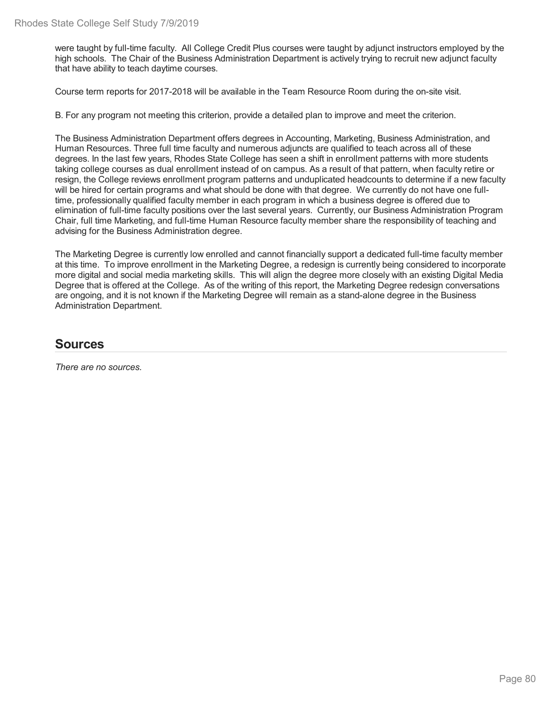were taught by full-time faculty. All College Credit Plus courses were taught by adjunct instructors employed by the high schools. The Chair of the Business Administration Department is actively trying to recruit new adjunct faculty that have ability to teach daytime courses.

Course term reports for 2017-2018 will be available in the Team Resource Room during the on-site visit.

B. For any program not meeting this criterion, provide a detailed plan to improve and meet the criterion.

The Business Administration Department offers degrees in Accounting, Marketing, Business Administration, and Human Resources. Three full time faculty and numerous adjuncts are qualified to teach across all of these degrees. In the last few years, Rhodes State College has seen a shift in enrollment patterns with more students taking college courses as dual enrollment instead of on campus. As a result of that pattern, when faculty retire or resign, the College reviews enrollment program patterns and unduplicated headcounts to determine if a new faculty will be hired for certain programs and what should be done with that degree. We currently do not have one fulltime, professionally qualified faculty member in each program in which a business degree is offered due to elimination of full-time faculty positions over the last several years. Currently, our Business Administration Program Chair, full time Marketing, and full-time Human Resource faculty member share the responsibility of teaching and advising for the Business Administration degree.

The Marketing Degree is currently low enrolled and cannot financially support a dedicated full-time faculty member at this time. To improve enrollment in the Marketing Degree, a redesign is currently being considered to incorporate more digital and social media marketing skills. This will align the degree more closely with an existing Digital Media Degree that is offered at the College. As of the writing of this report, the Marketing Degree redesign conversations are ongoing, and it is not known if the Marketing Degree will remain as a stand-alone degree in the Business Administration Department.

### **Sources**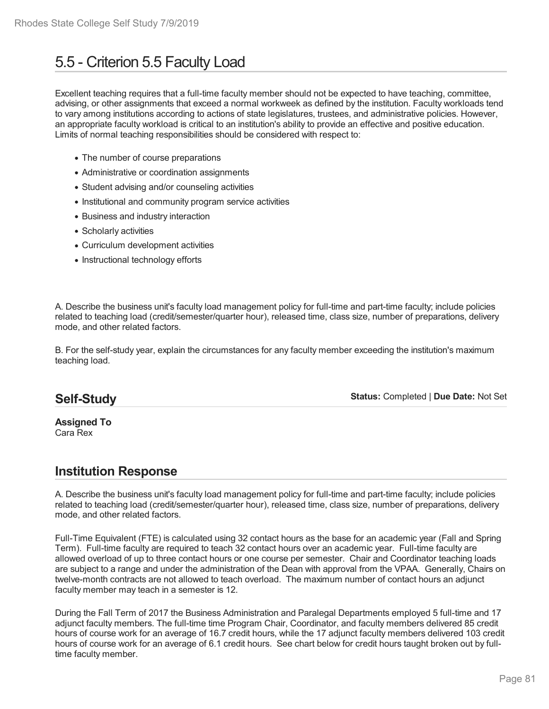# 5.5 - Criterion 5.5 Faculty Load

Excellent teaching requires that a full-time faculty member should not be expected to have teaching, committee, advising, or other assignments that exceed a normal workweek as defined by the institution. Faculty workloads tend to vary among institutions according to actions of state legislatures, trustees, and administrative policies. However, an appropriate faculty workload is critical to an institution's ability to provide an effective and positive education. Limits of normal teaching responsibilities should be considered with respect to:

- The number of course preparations
- Administrative or coordination assignments
- Student advising and/or counseling activities
- Institutional and community program service activities
- Business and industry interaction
- Scholarly activities
- Curriculum development activities
- Instructional technology efforts

A. Describe the business unit's faculty load management policy for full-time and part-time faculty; include policies related to teaching load (credit/semester/quarter hour), released time, class size, number of preparations, delivery mode, and other related factors.

B. For the self-study year, explain the circumstances for any faculty member exceeding the institution's maximum teaching load.

## **Self-Study**

**Status:** Completed | **Due Date:** Not Set

#### **Assigned To** Cara Rex

## **Institution Response**

A. Describe the business unit's faculty load management policy for full-time and part-time faculty; include policies related to teaching load (credit/semester/quarter hour), released time, class size, number of preparations, delivery mode, and other related factors.

Full-Time Equivalent (FTE) is calculated using 32 contact hours as the base for an academic year (Fall and Spring Term). Full-time faculty are required to teach 32 contact hours over an academic year. Full-time faculty are allowed overload of up to three contact hours or one course per semester. Chair and Coordinator teaching loads are subject to a range and under the administration of the Dean with approval from the VPAA. Generally, Chairs on twelve-month contracts are not allowed to teach overload. The maximum number of contact hours an adjunct faculty member may teach in a semester is 12.

During the Fall Term of 2017 the Business Administration and Paralegal Departments employed 5 full-time and 17 adjunct faculty members. The full-time time Program Chair, Coordinator, and faculty members delivered 85 credit hours of course work for an average of 16.7 credit hours, while the 17 adjunct faculty members delivered 103 credit hours of course work for an average of 6.1 credit hours. See chart below for credit hours taught broken out by fulltime faculty member.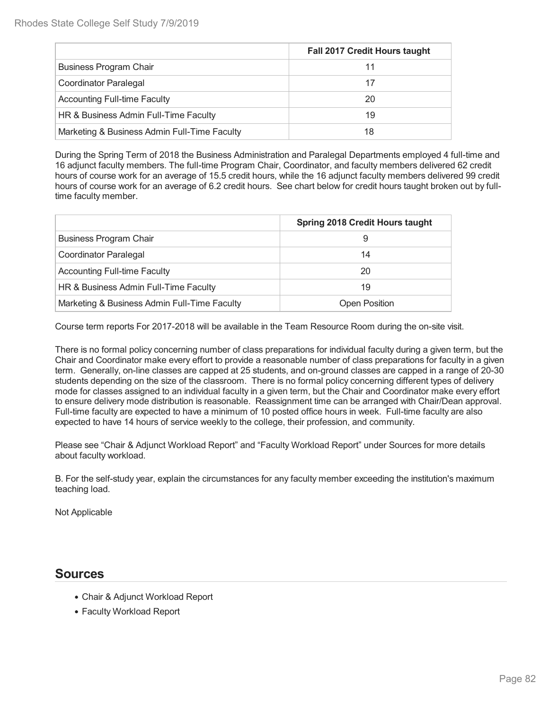|                                              | <b>Fall 2017 Credit Hours taught</b> |
|----------------------------------------------|--------------------------------------|
| <b>Business Program Chair</b>                | 11                                   |
| Coordinator Paralegal                        | 17                                   |
| <b>Accounting Full-time Faculty</b>          | 20                                   |
| HR & Business Admin Full-Time Faculty        | 19                                   |
| Marketing & Business Admin Full-Time Faculty | 18                                   |

During the Spring Term of 2018 the Business Administration and Paralegal Departments employed 4 full-time and 16 adjunct faculty members. The full-time Program Chair, Coordinator, and faculty members delivered 62 credit hours of course work for an average of 15.5 credit hours, while the 16 adjunct faculty members delivered 99 credit hours of course work for an average of 6.2 credit hours. See chart below for credit hours taught broken out by fulltime faculty member.

|                                              | <b>Spring 2018 Credit Hours taught</b> |
|----------------------------------------------|----------------------------------------|
| <b>Business Program Chair</b>                | 9                                      |
| Coordinator Paralegal                        | 14                                     |
| <b>Accounting Full-time Faculty</b>          | 20                                     |
| HR & Business Admin Full-Time Faculty        | 19                                     |
| Marketing & Business Admin Full-Time Faculty | <b>Open Position</b>                   |

Course term reports For 2017-2018 will be available in the Team Resource Room during the on-site visit.

There is no formal policy concerning number of class preparations for individual faculty during a given term, but the Chair and Coordinator make every effort to provide a reasonable number of class preparations for faculty in a given term. Generally, on-line classes are capped at 25 students, and on-ground classes are capped in a range of 20-30 students depending on the size of the classroom. There is no formal policy concerning different types of delivery mode for classes assigned to an individual faculty in a given term, but the Chair and Coordinator make every effort to ensure delivery mode distribution is reasonable. Reassignment time can be arranged with Chair/Dean approval. Full-time faculty are expected to have a minimum of 10 posted office hours in week. Full-time faculty are also expected to have 14 hours of service weekly to the college, their profession, and community.

Please see "Chair & Adjunct Workload Report" and "Faculty Workload Report" under Sources for more details about faculty workload.

B. For the self-study year, explain the circumstances for any faculty member exceeding the institution's maximum teaching load.

Not Applicable

### **Sources**

- Chair & Adjunct Workload Report
- Faculty Workload Report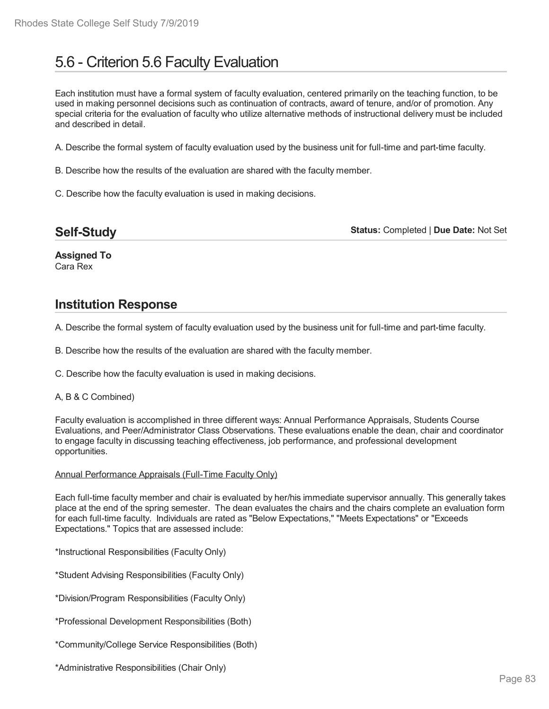# 5.6 - Criterion 5.6 Faculty Evaluation

Each institution must have a formal system of faculty evaluation, centered primarily on the teaching function, to be used in making personnel decisions such as continuation of contracts, award of tenure, and/or of promotion. Any special criteria for the evaluation of faculty who utilize alternative methods of instructional delivery must be included and described in detail.

A. Describe the formal system of faculty evaluation used by the business unit for full-time and part-time faculty.

B. Describe how the results of the evaluation are shared with the faculty member.

C. Describe how the faculty evaluation is used in making decisions.

**Status:** Completed | **Due Date:** Not Set

**Assigned To** Cara Rex

### **Institution Response**

A. Describe the formal system of faculty evaluation used by the business unit for full-time and part-time faculty.

B. Describe how the results of the evaluation are shared with the faculty member.

C. Describe how the faculty evaluation is used in making decisions.

#### A, B & C Combined)

Faculty evaluation is accomplished in three different ways: Annual Performance Appraisals, Students Course Evaluations, and Peer/Administrator Class Observations. These evaluations enable the dean, chair and coordinator to engage faculty in discussing teaching effectiveness, job performance, and professional development opportunities.

#### Annual Performance Appraisals (Full-Time Faculty Only)

Each full-time faculty member and chair is evaluated by her/his immediate supervisor annually. This generally takes place at the end of the spring semester. The dean evaluates the chairs and the chairs complete an evaluation form for each full-time faculty. Individuals are rated as "Below Expectations," "Meets Expectations" or "Exceeds Expectations." Topics that are assessed include:

\*Instructional Responsibilities (Faculty Only)

\*Student Advising Responsibilities (Faculty Only)

\*Division/Program Responsibilities (Faculty Only)

\*Professional Development Responsibilities (Both)

\*Community/College Service Responsibilities (Both)

\*Administrative Responsibilities (Chair Only)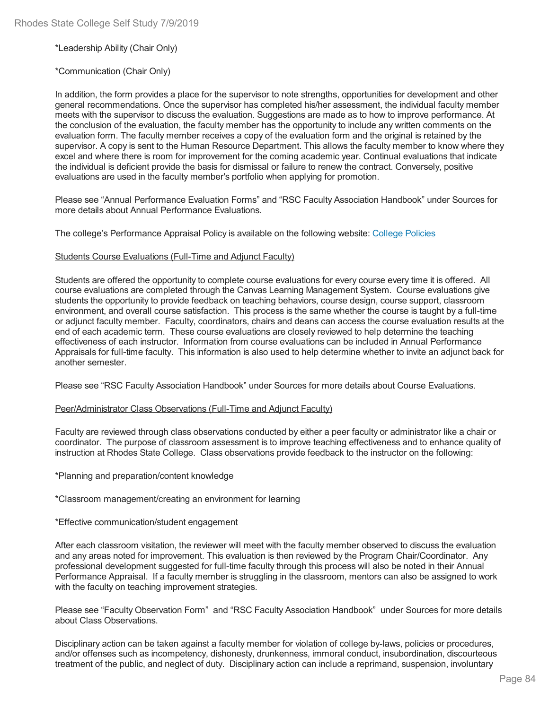\*Leadership Ability (Chair Only)

\*Communication (Chair Only)

In addition, the form provides a place for the supervisor to note strengths, opportunities for development and other general recommendations. Once the supervisor has completed his/her assessment, the individual faculty member meets with the supervisor to discuss the evaluation. Suggestions are made as to how to improve performance. At the conclusion of the evaluation, the faculty member has the opportunity to include any written comments on the evaluation form. The faculty member receives a copy of the evaluation form and the original is retained by the supervisor. A copy is sent to the Human Resource Department. This allows the faculty member to know where they excel and where there is room for improvement for the coming academic year. Continual evaluations that indicate the individual is deficient provide the basis for dismissal or failure to renew the contract. Conversely, positive evaluations are used in the faculty member's portfolio when applying for promotion.

Please see "Annual Performance Evaluation Forms" and "RSC Faculty Association Handbook" under Sources for more details about Annual Performance Evaluations.

The college's Performance Appraisal Policy is available on the following website: College Policies

#### Students Course Evaluations (Full-Time and Adjunct Faculty)

Students are offered the opportunity to complete course evaluations for every course every time it is offered. All course evaluations are completed through the Canvas Learning Management System. Course evaluations give students the opportunity to provide feedback on teaching behaviors, course design, course support, classroom environment, and overall course satisfaction. This process is the same whether the course is taught by a full-time or adjunct faculty member. Faculty, coordinators, chairs and deans can access the course evaluation results at the end of each academic term. These course evaluations are closely reviewed to help determine the teaching effectiveness of each instructor. Information from course evaluations can be included in Annual Performance Appraisals for full-time faculty. This information is also used to help determine whether to invite an adjunct back for another semester.

Please see "RSC Faculty Association Handbook" under Sources for more details about Course Evaluations.

#### Peer/Administrator Class Observations (Full-Time and Adjunct Faculty)

Faculty are reviewed through class observations conducted by either a peer faculty or administrator like a chair or coordinator. The purpose of classroom assessment is to improve teaching effectiveness and to enhance quality of instruction at Rhodes State College. Class observations provide feedback to the instructor on the following:

\*Planning and preparation/content knowledge

\*Classroom management/creating an environment for learning

\*Effective communication/student engagement

After each classroom visitation, the reviewer will meet with the faculty member observed to discuss the evaluation and any areas noted for improvement. This evaluation is then reviewed by the Program Chair/Coordinator. Any professional development suggested for full-time faculty through this process will also be noted in their Annual Performance Appraisal. If a faculty member is struggling in the classroom, mentors can also be assigned to work with the faculty on teaching improvement strategies.

Please see "Faculty Observation Form" and "RSC Faculty Association Handbook" under Sources for more details about Class Observations.

Disciplinary action can be taken against a faculty member for violation of college by-laws, policies or procedures, and/or offenses such as incompetency, dishonesty, drunkenness, immoral conduct, insubordination, discourteous treatment of the public, and neglect of duty. Disciplinary action can include a reprimand, suspension, involuntary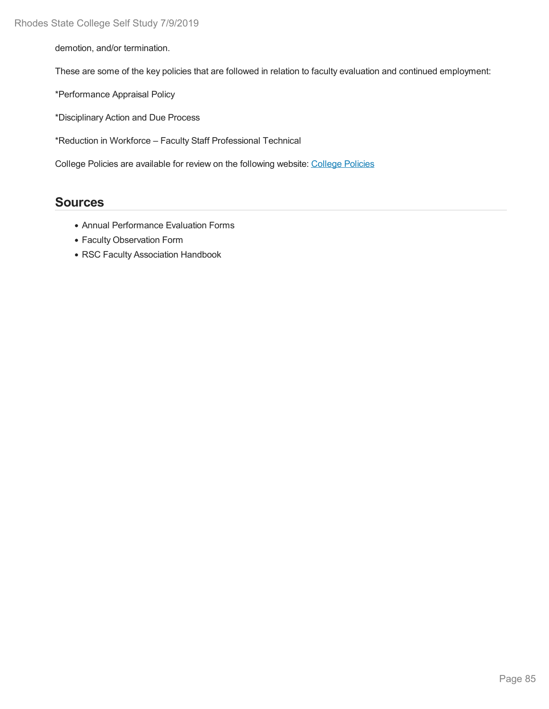demotion, and/or termination.

These are some of the key policies that are followed in relation to faculty evaluation and continued employment:

\*Performance Appraisal Policy

\*Disciplinary Action and Due Process

\*Reduction in Workforce – Faculty Staff Professional Technical

College Policies are available for review on the following website: College Policies

### **Sources**

- Annual Performance Evaluation Forms
- Faculty Observation Form
- RSC Faculty Association Handbook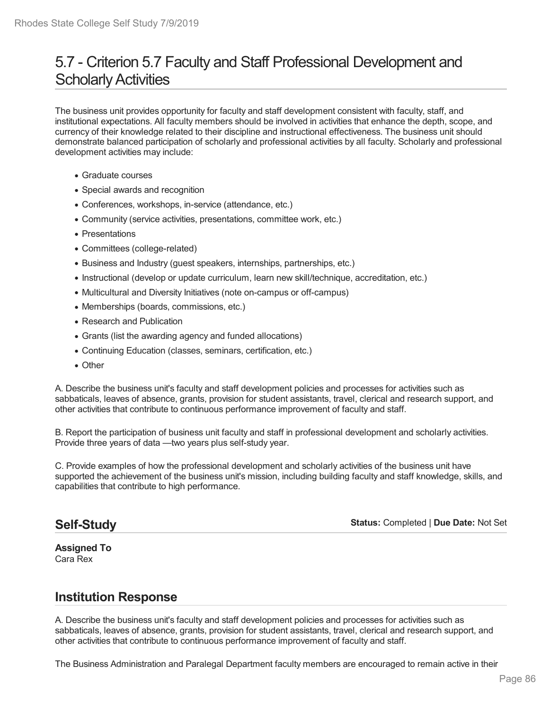## 5.7 - Criterion 5.7 Faculty and Staff Professional Development and **Scholarly Activities**

The business unit provides opportunity for faculty and staff development consistent with faculty, staff, and institutional expectations. All faculty members should be involved in activities that enhance the depth, scope, and currency of their knowledge related to their discipline and instructional effectiveness. The business unit should demonstrate balanced participation of scholarly and professional activities by all faculty. Scholarly and professional development activities may include:

- Graduate courses
- Special awards and recognition
- Conferences, workshops, in-service (attendance, etc.)
- Community (service activities, presentations, committee work, etc.)
- Presentations
- Committees (college-related)
- Business and Industry (guest speakers, internships, partnerships, etc.)
- Instructional (develop or update curriculum, learn new skill/technique, accreditation, etc.)
- Multicultural and Diversity Initiatives (note on-campus or off-campus)
- Memberships (boards, commissions, etc.)
- Research and Publication
- Grants (list the awarding agency and funded allocations)
- Continuing Education (classes, seminars, certification, etc.)
- Other

A. Describe the business unit's faculty and staff development policies and processes for activities such as sabbaticals, leaves of absence, grants, provision for student assistants, travel, clerical and research support, and other activities that contribute to continuous performance improvement of faculty and staff.

B. Report the participation of business unit faculty and staff in professional development and scholarly activities. Provide three years of data —two years plus self-study year.

C. Provide examples of how the professional development and scholarly activities of the business unit have supported the achievement of the business unit's mission, including building faculty and staff knowledge, skills, and capabilities that contribute to high performance.

## **Self-Study**

**Status:** Completed | **Due Date:** Not Set

**Assigned To** Cara Rex

## **Institution Response**

A. Describe the business unit's faculty and staff development policies and processes for activities such as sabbaticals, leaves of absence, grants, provision for student assistants, travel, clerical and research support, and other activities that contribute to continuous performance improvement of faculty and staff.

The Business Administration and Paralegal Department faculty members are encouraged to remain active in their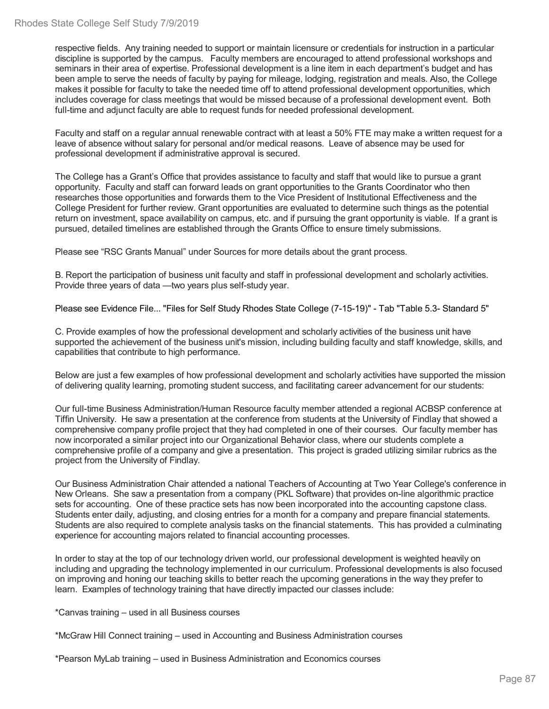respective fields. Any training needed to support or maintain licensure or credentials for instruction in a particular discipline is supported by the campus. Faculty members are encouraged to attend professional workshops and seminars in their area of expertise. Professional development is a line item in each department's budget and has been ample to serve the needs of faculty by paying for mileage, lodging, registration and meals. Also, the College makes it possible for faculty to take the needed time off to attend professional development opportunities, which includes coverage for class meetings that would be missed because of a professional development event. Both full-time and adjunct faculty are able to request funds for needed professional development.

Faculty and staff on a regular annual renewable contract with at least a 50% FTE may make a written request for a leave of absence without salary for personal and/or medical reasons. Leave of absence may be used for professional development if administrative approval is secured.

The College has a Grant's Office that provides assistance to faculty and staff that would like to pursue a grant opportunity. Faculty and staff can forward leads on grant opportunities to the Grants Coordinator who then researches those opportunities and forwards them to the Vice President of Institutional Effectiveness and the College President for further review. Grant opportunities are evaluated to determine such things as the potential return on investment, space availability on campus, etc. and if pursuing the grant opportunity is viable. If a grant is pursued, detailed timelines are established through the Grants Office to ensure timely submissions.

Please see "RSC Grants Manual" under Sources for more details about the grant process.

B. Report the participation of business unit faculty and staff in professional development and scholarly activities. Provide three years of data —two years plus self-study year.

Please see Evidence File... "Files for Self Study Rhodes State College (7-15-19)" - Tab "Table 5.3- Standard 5"

C. Provide examples of how the professional development and scholarly activities of the business unit have supported the achievement of the business unit's mission, including building faculty and staff knowledge, skills, and capabilities that contribute to high performance.

Below are just a few examples of how professional development and scholarly activities have supported the mission of delivering quality learning, promoting student success, and facilitating career advancement for our students:

Our full-time Business Administration/Human Resource faculty member attended a regional ACBSP conference at Tiffin University. He saw a presentation at the conference from students at the University of Findlay that showed a comprehensive company profile project that they had completed in one of their courses. Our faculty member has now incorporated a similar project into our Organizational Behavior class, where our students complete a comprehensive profile of a company and give a presentation. This project is graded utilizing similar rubrics as the project from the University of Findlay.

Our Business Administration Chair attended a national Teachers of Accounting at Two Year College's conference in New Orleans. She saw a presentation from acompany (PKL Software) that provides on-line algorithmic practice sets for accounting. One of these practice sets has now been incorporated into the accounting capstone class. Students enter daily, adjusting, and closing entries for a month for a company and prepare financial statements. Students are also required to complete analysis tasks on the financial statements. This has provided a culminating experience for accounting majors related to financial accounting processes.

In order to stay at the top of our technology driven world, our professional development is weighted heavily on including and upgrading the technology implemented in our curriculum. Professional developments is also focused on improving and honing our teaching skills to better reach the upcoming generations in the way they prefer to learn. Examples of technology training that have directly impacted our classes include:

\*Canvas training – used in all Business courses

\*McGraw HillConnect training – used in Accounting and Business Administration courses

\*Pearson MyLab training – used in Business Administration and Economics courses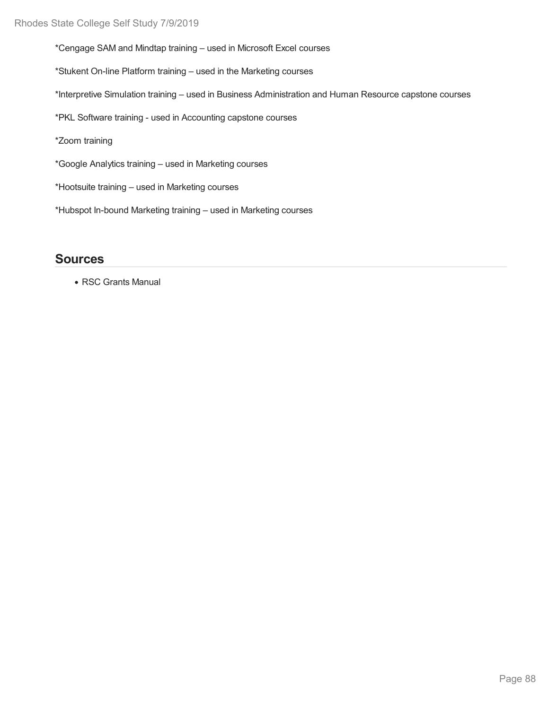\*Cengage SAM and Mindtap training – used in Microsoft Excel courses

\*Stukent On-line Platform training – used in the Marketing courses

\*Interpretive Simulation training – used in Business Administration and Human Resource capstone courses

\*PKL Software training - used in Accounting capstone courses

\*Zoom training

\*Google Analytics training – used in Marketing courses

\*Hootsuite training – used in Marketing courses

\*Hubspot In-bound Marketing training – used in Marketing courses

### **Sources**

RSC Grants Manual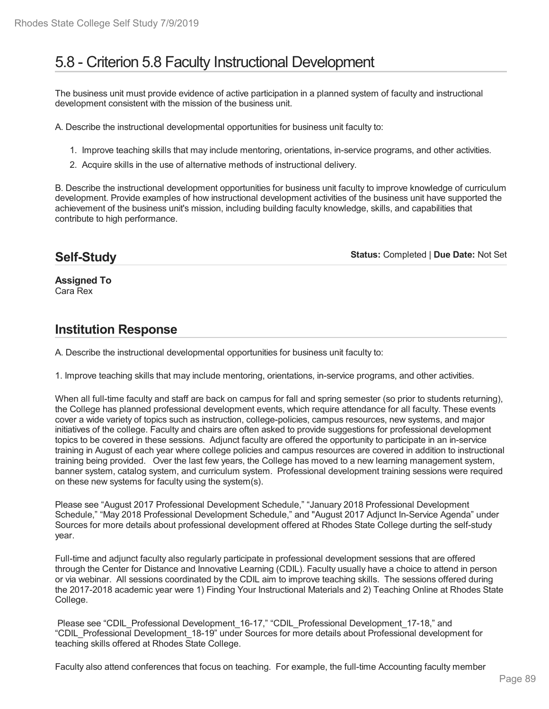# 5.8 - Criterion 5.8 Faculty Instructional Development

The business unit must provide evidence of active participation in a planned system of faculty and instructional development consistent with the mission of the business unit.

A. Describe the instructional developmental opportunities for business unit faculty to:

- 1. Improve teaching skills that may include mentoring, orientations, in-service programs, and other activities.
- 2. Acquire skills in the use of alternative methods of instructional delivery.

B. Describe the instructional development opportunities for business unit faculty to improve knowledge of curriculum development. Provide examples of how instructional development activities of the business unit have supported the achievement of the business unit's mission, including building faculty knowledge, skills, and capabilities that contribute to high performance.

### **Self-Study**

**Status:** Completed | **Due Date:** Not Set

**Assigned To** Cara Rex

## **Institution Response**

A. Describe the instructional developmental opportunities for business unit faculty to:

1. Improve teaching skills that may include mentoring, orientations, in-service programs, and other activities.

When all full-time faculty and staff are back on campus for fall and spring semester (so prior to students returning), the College has planned professional development events, which require attendance for all faculty. These events cover a wide variety of topics such as instruction, college-policies, campus resources, new systems, and major initiatives of the college. Faculty and chairs are often asked to provide suggestions for professional development topics to be covered in these sessions. Adjunct faculty are offered the opportunity to participate in an in-service training in August of each year where college policies and campus resources are covered in addition to instructional training being provided. Over the last few years, the College has moved to a new learning management system, banner system, catalog system, and curriculum system. Professional development training sessions were required on these new systems for faculty using the system(s).

Please see "August 2017 Professional Development Schedule," "January 2018 Professional Development Schedule," "May 2018 Professional Development Schedule," and "August 2017 Adjunct In-Service Agenda" under Sources for more details about professional development offered at Rhodes State College durting the self-study year.

Full-time and adjunct faculty also regularly participate in professional development sessions that are offered through the Center for Distance and Innovative Learning (CDIL). Faculty usually have a choice to attend in person or via webinar. All sessions coordinated by the CDIL aim to improve teaching skills. The sessions offered during the 2017-2018 academic year were 1) Finding Your Instructional Materials and 2) Teaching Online at Rhodes State College.

Please see "CDIL\_Professional Development\_16-17," "CDIL\_Professional Development\_17-18," and "CDIL\_Professional Development\_18-19" under Sources for more details about Professional development for teaching skills offered at Rhodes State College.

Faculty also attend conferences that focus on teaching. For example, the full-time Accounting faculty member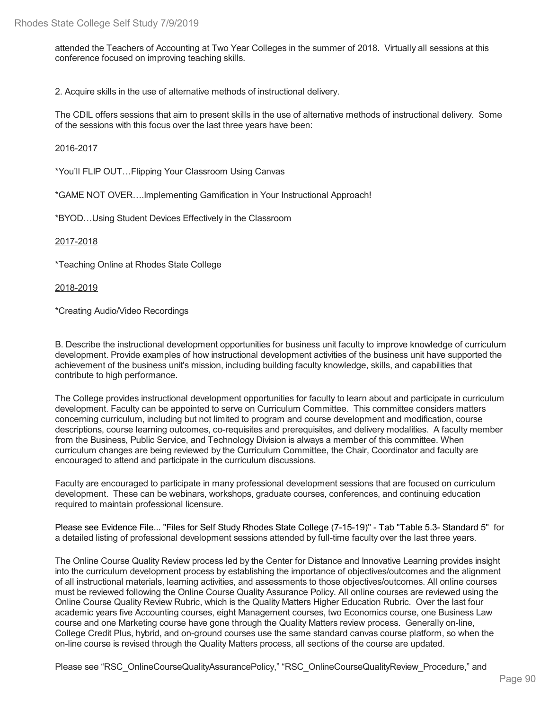attended the Teachers of Accounting at Two Year Colleges in the summer of 2018. Virtually all sessions at this conference focused on improving teaching skills.

2. Acquire skills in the use of alternative methods of instructional delivery.

The CDIL offers sessions that aim to present skills in the use of alternative methods of instructional delivery. Some of the sessions with this focus over the last three years have been:

#### 2016-2017

\*You'll FLIP OUT…Flipping Your Classroom Using Canvas

\*GAME NOT OVER….Implementing Gamification in Your Instructional Approach!

\*BYOD…Using Student Devices Effectively in the Classroom

2017-2018

\*Teaching Online at Rhodes State College

2018-2019

\*Creating Audio/Video Recordings

B. Describe the instructional development opportunities for business unit faculty to improve knowledge of curriculum development. Provide examples of how instructional development activities of the business unit have supported the achievement of the business unit's mission, including building faculty knowledge, skills, and capabilities that contribute to high performance.

The College provides instructional development opportunities for faculty to learn about and participate in curriculum development. Faculty can be appointed to serve on Curriculum Committee. This committee considers matters concerning curriculum, including but not limited to program and course development and modification, course descriptions, course learning outcomes, co-requisites and prerequisites, and delivery modalities. A faculty member from the Business, Public Service, and Technology Division is always a member of this committee. When curriculum changes are being reviewed by the Curriculum Committee, the Chair, Coordinator and faculty are encouraged to attend and participate in the curriculum discussions.

Faculty are encouraged to participate in many professional development sessions that are focused on curriculum development. These can be webinars, workshops, graduate courses, conferences, and continuing education required to maintain professional licensure.

Please see Evidence File... "Files for Self Study Rhodes State College (7-15-19)" - Tab "Table 5.3- Standard 5" for a detailed listing of professional development sessions attended by full-time faculty over the last three years.

The Online Course Quality Review process led by the Center for Distance and Innovative Learning provides insight into the curriculum development process by establishing the importance of objectives/outcomes and the alignment of all instructional materials, learning activities, and assessments to those objectives/outcomes. All online courses must be reviewed following the Online Course Quality Assurance Policy. All online courses are reviewed using the Online Course Quality Review Rubric, which is the Quality Matters Higher Education Rubric. Over the last four academic years five Accounting courses, eight Management courses, two Economics course, one Business Law course and one Marketing course have gone through the Quality Matters review process. Generally on-line, College Credit Plus, hybrid, and on-ground courses use the same standard canvas course platform, so when the on-line course is revised through the Quality Matters process, all sections of the course are updated.

Please see "RSC\_OnlineCourseQualityAssurancePolicy," "RSC\_OnlineCourseQualityReview\_Procedure," and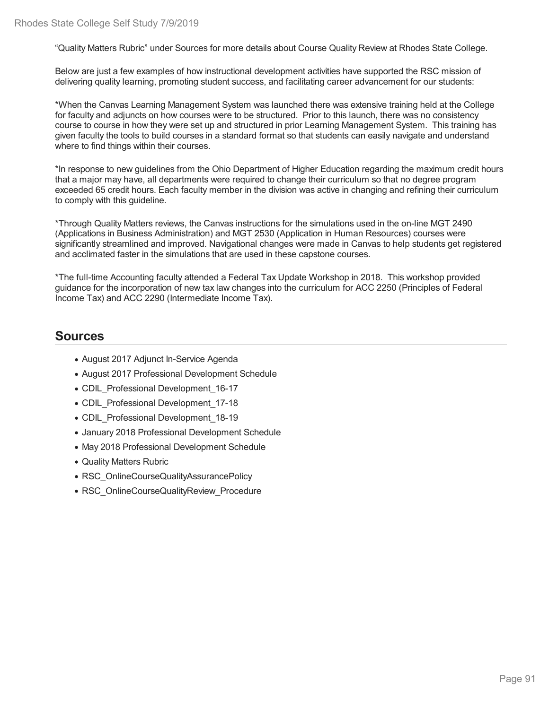"Quality Matters Rubric" under Sources for more details about Course Quality Review at Rhodes State College.

Below are just a few examples of how instructional development activities have supported the RSC mission of delivering quality learning, promoting student success, and facilitating career advancement for our students:

\*When the Canvas Learning Management System was launched there was extensive training held at the College for faculty and adjuncts on how courses were to be structured. Prior to this launch, there was no consistency course to course in how they were set up and structured in prior Learning Management System. This training has given faculty the tools to build courses in a standard format so that students can easily navigate and understand where to find things within their courses.

\*In response to new guidelines from the Ohio Department of Higher Education regarding the maximum credit hours that a major may have, all departments were required to change their curriculum so that no degree program exceeded 65 credit hours. Each faculty member in the division was active in changing and refining their curriculum to comply with this guideline.

\*Through Quality Matters reviews, the Canvas instructions for the simulations used in the on-line MGT 2490 (Applications in Business Administration) and MGT 2530 (Application in Human Resources) courses were significantly streamlined and improved. Navigational changes were made in Canvas to help students get registered and acclimated faster in the simulations that are used in these capstone courses.

\*The full-time Accounting faculty attended a Federal Tax Update Workshop in 2018. This workshop provided guidance for the incorporation of new tax law changes into the curriculum for ACC 2250 (Principles of Federal Income Tax) and ACC 2290 (Intermediate Income Tax).

## **Sources**

- August 2017 Adjunct In-Service Agenda
- August 2017 Professional Development Schedule
- CDIL Professional Development 16-17
- CDIL\_Professional Development\_17-18
- CDIL\_Professional Development\_18-19
- January 2018 Professional Development Schedule
- May 2018 Professional Development Schedule
- Quality Matters Rubric
- RSC\_OnlineCourseQualityAssurancePolicy
- RSC OnlineCourseQualityReview Procedure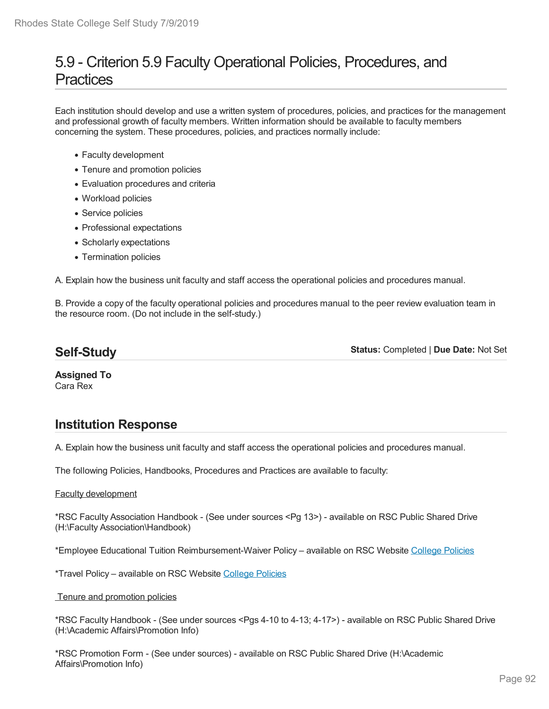# 5.9 - Criterion 5.9 Faculty Operational Policies, Procedures, and **Practices**

Each institution should develop and use a written system of procedures, policies, and practices for the management and professional growth of faculty members. Written information should be available to faculty members concerning the system. These procedures, policies, and practices normally include:

- Faculty development
- Tenure and promotion policies
- Evaluation procedures and criteria
- Workload policies
- Service policies
- Professional expectations
- Scholarly expectations
- Termination policies

A. Explain how the business unit faculty and staff access the operational policies and procedures manual.

B. Provide a copy of the faculty operational policies and procedures manual to the peer review evaluation team in the resource room. (Do not include in the self-study.)

### **Self-Study**

**Status:** Completed | **Due Date:** Not Set

**Assigned To** Cara Rex

## **Institution Response**

A. Explain how the business unit faculty and staff access the operational policies and procedures manual.

The following Policies, Handbooks, Procedures and Practices are available to faculty:

#### Faculty development

\*RSC Faculty Association Handbook -(See under sources <Pg 13>) - available on RSC Public Shared Drive (H:\Faculty Association\Handbook)

\*Employee Educational Tuition Reimbursement-Waiver Policy – available on RSC Website College Policies

\*Travel Policy – available on RSC Website College Policies

Tenure and promotion policies

\*RSC Faculty Handbook - (See under sources <Pgs 4-10 to 4-13; 4-17>) - available on RSC Public Shared Drive (H:\Academic Affairs\Promotion Info)

\*RSC Promotion Form - (See under sources) - available on RSC Public Shared Drive (H:\Academic Affairs\Promotion Info)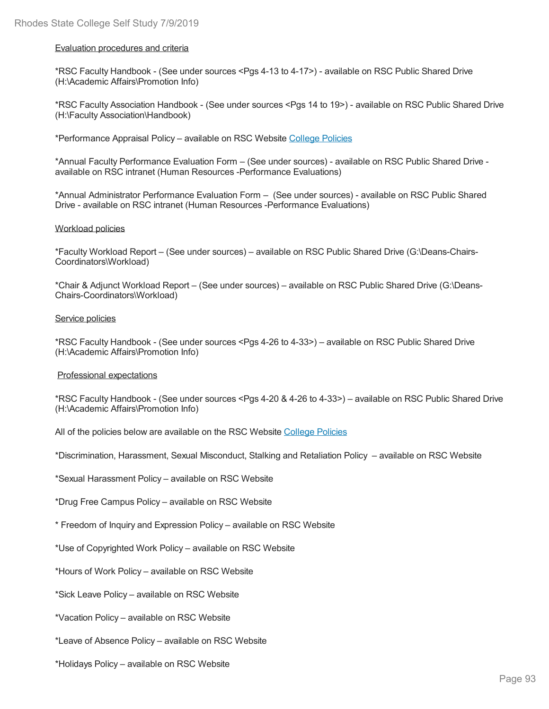#### Evaluation procedures and criteria

\*RSC Faculty Handbook - (See under sources <Pgs 4-13 to 4-17>) - available on RSC Public Shared Drive (H:\Academic Affairs\Promotion Info)

\*RSC Faculty Association Handbook -(See under sources <Pgs 14 to 19>) - available on RSC Public Shared Drive (H:\Faculty Association\Handbook)

\*Performance Appraisal Policy – available on RSC Website College Policies

\*Annual Faculty Performance Evaluation Form –(See under sources) - available on RSC Public Shared Drive available on RSC intranet (Human Resources -Performance Evaluations)

\*Annual Administrator Performance Evaluation Form –(See under sources) - available on RSC Public Shared Drive - available on RSC intranet (Human Resources -Performance Evaluations)

#### Workload policies

\*Faculty Workload Report – (See under sources) – available on RSC Public Shared Drive (G:\Deans-Chairs- Coordinators\Workload)

\*Chair & Adjunct Workload Report – (See under sources) – available on RSC Public Shared Drive (G:\Deans- Chairs-Coordinators\Workload)

#### Service policies

\*RSC Faculty Handbook - (See under sources <Pgs 4-26 to 4-33>) – available on RSC Public Shared Drive (H:\Academic Affairs\Promotion Info)

#### Professional expectations

\*RSC Faculty Handbook - (See under sources <Pgs 4-20 & 4-26 to 4-33>) – available on RSC Public Shared Drive (H:\Academic Affairs\Promotion Info)

All of the policies below are available on the RSC Website College Policies

\*Discrimination, Harassment, Sexual Misconduct, Stalking and Retaliation Policy – available on RSC Website

\*Sexual Harassment Policy – available on RSC Website

\*Drug Free Campus Policy – available on RSC Website

\* Freedom of Inquiry and Expression Policy – available on RSC Website

\*Use of Copyrighted Work Policy – available on RSC Website

\*Hours of Work Policy – available on RSC Website

\*Sick Leave Policy – available on RSC Website

\*Vacation Policy – available on RSC Website

\*Leave of Absence Policy – available on RSC Website

\*Holidays Policy – available on RSC Website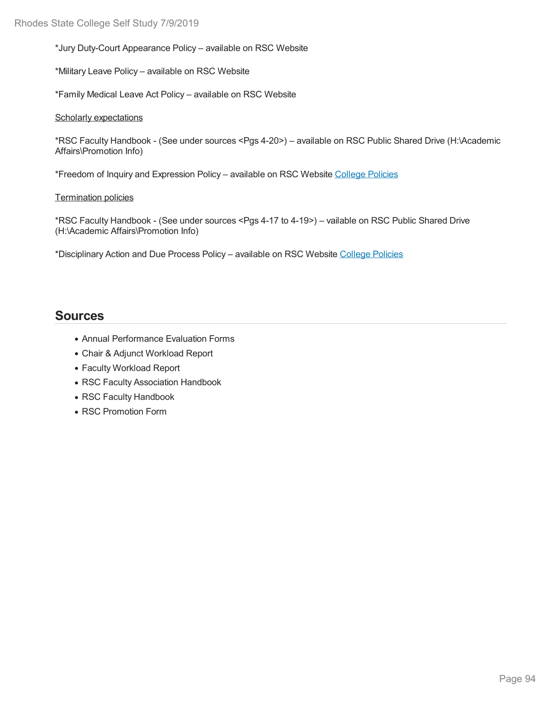\*Jury Duty-Court Appearance Policy – available on RSC Website

\*Military Leave Policy – available on RSC Website

\*Family Medical Leave Act Policy – available on RSC Website

#### Scholarly expectations

\*RSC Faculty Handbook - (See under sources <Pgs 4-20>) – available on RSC Public Shared Drive (H:\Academic Affairs\Promotion Info)

\*Freedom of Inquiry and Expression Policy – available on RSC Website College Policies

#### Termination policies

\*RSC Faculty Handbook - (See under sources <Pgs 4-17 to 4-19>) – vailable on RSC Public Shared Drive (H:\Academic Affairs\Promotion Info)

\*Disciplinary Action and Due Process Policy – available on RSC Website College Policies

### **Sources**

- Annual Performance Evaluation Forms
- Chair & Adjunct Workload Report
- Faculty Workload Report
- RSC Faculty Association Handbook
- RSC Faculty Handbook
- RSC Promotion Form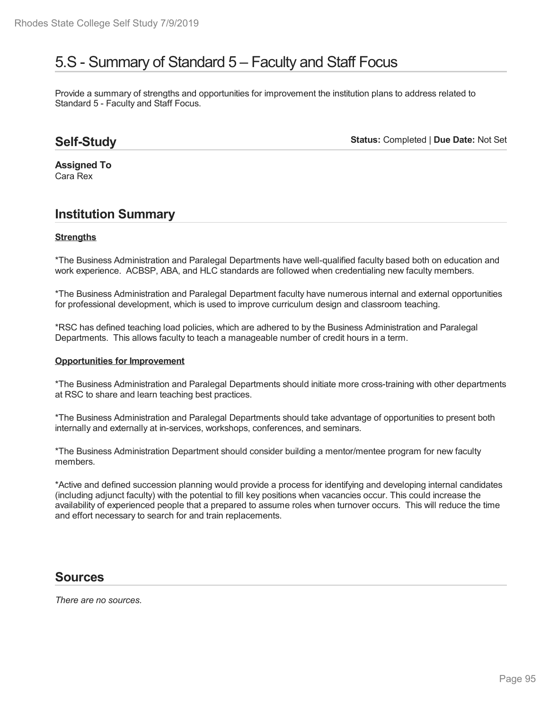## 5.S - Summary of Standard 5 – Faculty and Staff Focus

Provide a summary of strengths and opportunities for improvement the institution plans to address related to Standard 5 - Faculty and Staff Focus.

## **Self-Study**

**Status:** Completed | **Due Date:** Not Set

**Assigned To** Cara Rex

### **Institution Summary**

#### **Strengths**

\*The Business Administration and Paralegal Departments have well-qualified faculty based both on education and work experience. ACBSP, ABA, and HLC standards are followed when credentialing new faculty members.

\*The Business Administration and Paralegal Department faculty have numerous internal and external opportunities for professional development, which is used to improve curriculum design and classroom teaching.

\*RSC has defined teaching load policies, which are adhered to by the Business Administration and Paralegal Departments. This allows faculty to teach a manageable number of credit hours in a term.

#### **Opportunities for Improvement**

\*The Business Administration and Paralegal Departments should initiate more cross-training with other departments at RSC to share and learn teaching best practices.

\*The Business Administration and Paralegal Departments should take advantage of opportunities to present both internally and externally at in-services, workshops, conferences, and seminars.

\*The Business Administration Department should consider building a mentor/mentee program for new faculty members.

\*Active and defined succession planning would provide a process for identifying and developing internal candidates (including adjunct faculty) with the potential to fill key positions when vacancies occur. This could increase the availability of experienced people that a prepared to assume roles when turnover occurs. This will reduce the time and effort necessary to search for and train replacements.

### **Sources**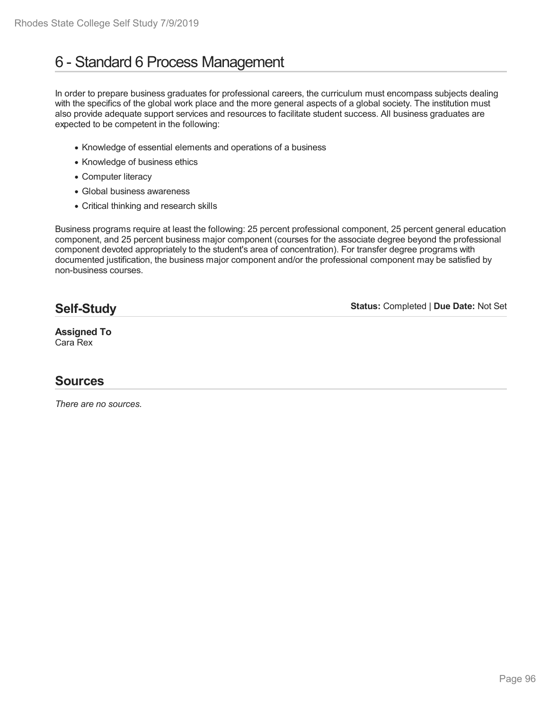# 6 - Standard 6 Process Management

In order to prepare business graduates for professional careers, the curriculum must encompass subjects dealing with the specifics of the global work place and the more general aspects of a global society. The institution must also provide adequate support services and resources to facilitate student success. All business graduates are expected to be competent in the following:

- Knowledge of essential elements and operations of a business
- Knowledge of business ethics
- Computer literacy
- Global business awareness
- Critical thinking and research skills

Business programs require at least the following: 25 percent professional component, 25 percent general education component, and 25 percent business major component (courses for the associate degree beyond the professional component devoted appropriately to the student's area of concentration). For transfer degree programs with documented justification, the business major component and/or the professional component may be satisfied by non-business courses.

### **Self-Study**

**Status:** Completed | **Due Date:** Not Set

#### **Assigned To** Cara Rex

## **Sources**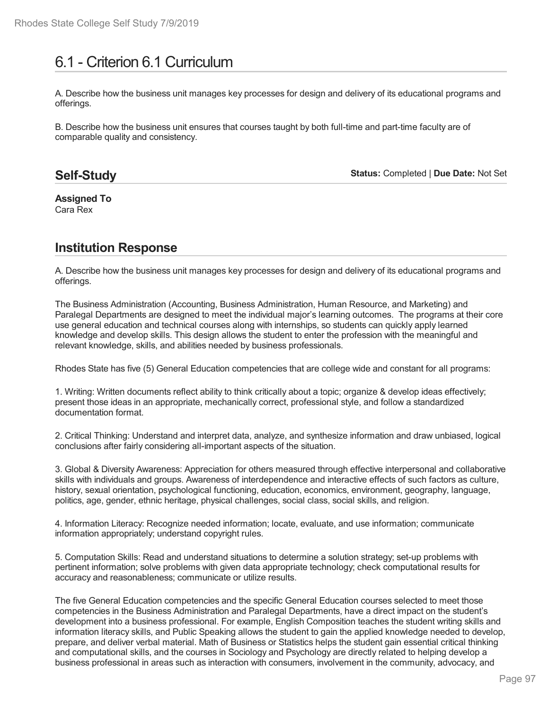# 6.1 - Criterion 6.1 Curriculum

A. Describe how the business unit manages key processes for design and delivery of its educational programs and offerings.

B. Describe how the business unit ensures that courses taught by both full-time and part-time faculty are of comparable quality and consistency.

### **Self-Study**

**Status:** Completed | **Due Date:** Not Set

**Assigned To** Cara Rex

## **Institution Response**

A. Describe how the business unit manages key processes for design and delivery of its educational programs and offerings.

The Business Administration (Accounting, Business Administration, Human Resource, and Marketing) and Paralegal Departments are designed to meet the individual major's learning outcomes. The programs at their core use general education and technical courses along with internships, so students can quickly apply learned knowledge and develop skills. This design allows the student to enter the profession with the meaningful and relevant knowledge, skills, and abilities needed by business professionals.

Rhodes State has five (5) General Education competencies that are college wide and constant for all programs:

1. Writing: Written documents reflect ability to think critically about a topic; organize & develop ideas effectively; present those ideas in an appropriate, mechanically correct, professional style, and follow a standardized documentation format.

2. Critical Thinking: Understand and interpret data, analyze, and synthesize information and draw unbiased, logical conclusions after fairly considering all-important aspects of the situation.

3. Global & Diversity Awareness: Appreciation for others measured through effective interpersonal and collaborative skills with individuals and groups. Awareness of interdependence and interactive effects of such factors as culture, history, sexual orientation, psychological functioning, education, economics, environment, geography, language, politics, age, gender, ethnic heritage, physical challenges, social class, social skills, and religion.

4. Information Literacy: Recognize needed information; locate, evaluate, and use information; communicate information appropriately; understand copyright rules.

5. Computation Skills: Read and understand situations to determine a solution strategy; set-up problems with pertinent information; solve problems with given data appropriate technology; check computational results for accuracy and reasonableness; communicate or utilize results.

The five General Education competencies and the specific General Education courses selected to meet those competencies in the Business Administration and Paralegal Departments, have a direct impact on the student's development into a business professional. For example, English Composition teaches the student writing skills and information literacy skills, and Public Speaking allows the student to gain the applied knowledge needed to develop, prepare, and deliver verbal material. Math of Business or Statistics helps the student gain essential critical thinking and computational skills, and the courses in Sociology and Psychology are directly related to helping develop a business professional in areas such as interaction with consumers, involvement in the community, advocacy, and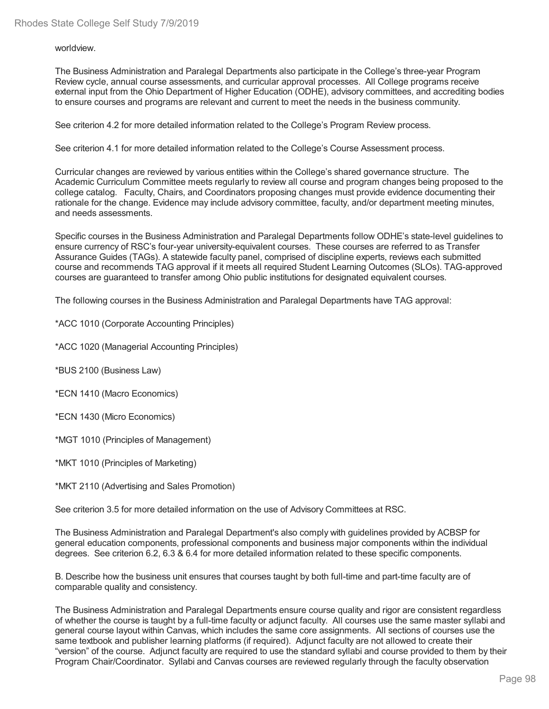worldview.

The Business Administration and Paralegal Departments also participate in the College's three-year Program Review cycle, annual course assessments, and curricular approval processes. All College programs receive external input from the Ohio Department of Higher Education (ODHE), advisory committees, and accrediting bodies to ensure courses and programs are relevant and current to meet the needs in the business community.

See criterion 4.2 for more detailed information related to the College's Program Review process.

See criterion 4.1 for more detailed information related to the College's Course Assessment process.

Curricular changes are reviewed by various entities within the College's shared governance structure. The Academic Curriculum Committee meets regularly to review all course and program changes being proposed to the college catalog. Faculty, Chairs, and Coordinators proposing changes must provide evidence documenting their rationale for the change. Evidence may include advisory committee, faculty, and/or department meeting minutes, and needs assessments.

Specific courses in the Business Administration and Paralegal Departments follow ODHE's state-level guidelines to ensure currency of RSC's four-year university-equivalent courses. These courses are referred to as Transfer Assurance Guides (TAGs). A statewide faculty panel, comprised of discipline experts, reviews each submitted course and recommends TAG approval if it meets all required Student Learning Outcomes (SLOs). TAG-approved courses are guaranteed to transfer among Ohio public institutions for designated equivalent courses.

The following courses in the Business Administration and Paralegal Departments have TAG approval:

\*ACC 1010 (Corporate Accounting Principles)

\*ACC 1020 (Managerial Accounting Principles)

\*BUS 2100 (Business Law)

\*ECN 1410 (Macro Economics)

\*ECN 1430 (Micro Economics)

\*MGT 1010 (Principles of Management)

\*MKT 1010 (Principles of Marketing)

\*MKT 2110 (Advertising and Sales Promotion)

See criterion 3.5 for more detailed information on the use of Advisory Committees at RSC.

The Business Administration and Paralegal Department's also comply with guidelines provided by ACBSP for general education components, professional components and business major components within the individual degrees. See criterion 6.2, 6.3 & 6.4 for more detailed information related to these specific components.

B. Describe how the business unit ensures that courses taught by both full-time and part-time faculty are of comparable quality and consistency.

The Business Administration and Paralegal Departments ensure course quality and rigor are consistent regardless of whether the course is taught by a full-time faculty or adjunct faculty. All courses use the same master syllabi and general course layout within Canvas, which includes the same core assignments. All sections of courses use the same textbook and publisher learning platforms (if required). Adjunct faculty are not allowed to create their "version" of the course. Adjunct faculty are required to use the standard syllabi and course provided to them by their Program Chair/Coordinator. Syllabi and Canvas courses are reviewed regularly through the faculty observation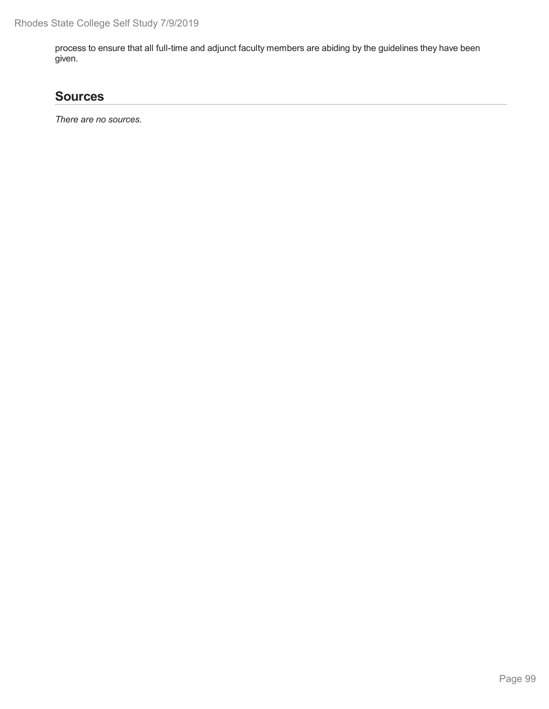process to ensure that all full-time and adjunct faculty members are abiding by the guidelines they have been given.

## **Sources**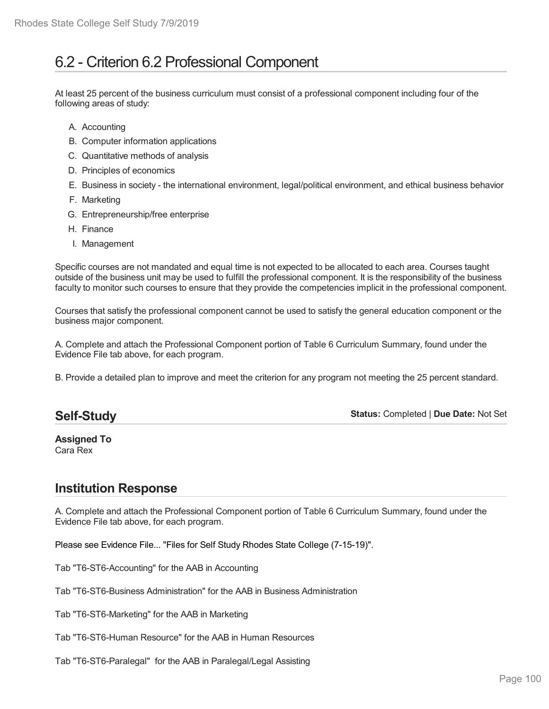# 6.2 - Criterion 6.2 Professional Component

At least 25 percent of the business curriculum must consist of a professional component including four of the following areas of study:

- A. Accounting
- B. Computer information applications
- C. Quantitative methods of analysis
- D. Principles of economics
- E. Business in society the international environment, legal/political environment, and ethical business behavior
- F. Marketing
- G. Entrepreneurship/free enterprise
- H. Finance
- I. Management

Specific courses are not mandated and equal time is not expected to be allocated to each area. Courses taught outside of the business unit may be used to fulfill the professional component. It is the responsibility of the business faculty to monitor such courses to ensure that they provide the competencies implicit in the professional component.

Courses that satisfy the professional component cannot be used to satisfy the general education component or the business major component.

A. Complete and attach the Professional Component portion of Table 6 Curriculum Summary, found under the Evidence File tab above, for each program.

B. Provide a detailed plan to improve and meet the criterion for any program not meeting the 25 percent standard.

### **Self-Study**

**Status:** Completed | **Due Date:** Not Set

**Assigned To** Cara Rex

## **Institution Response**

A. Complete and attach the Professional Component portion of Table 6 Curriculum Summary, found under the Evidence File tab above, for each program.

Please see Evidence File... "Files for Self Study Rhodes State College (7-15-19)".

Tab "T6-ST6-Accounting" for the AAB in Accounting

Tab "T6-ST6-Business Administration" for the AAB in Business Administration

Tab "T6-ST6-Marketing" for the AAB in Marketing

Tab "T6-ST6-Human Resource" for the AAB in Human Resources

Tab "T6-ST6-Paralegal" for the AAB in Paralegal/Legal Assisting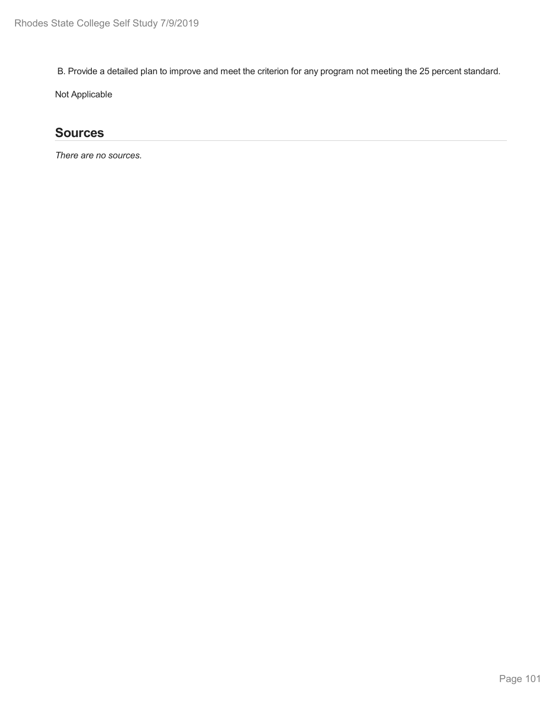B. Provide a detailed plan to improve and meet the criterion for any program not meeting the 25 percent standard.

Not Applicable

## **Sources**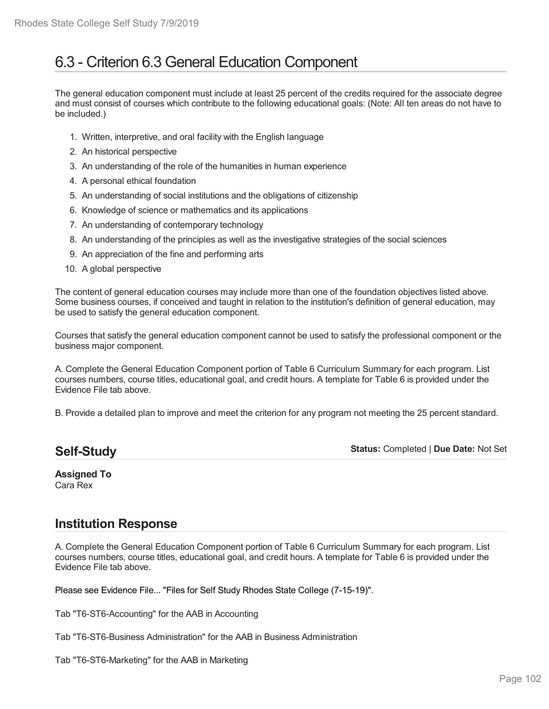# 6.3 - Criterion 6.3 General Education Component

The general education component must include at least 25 percent of the credits required for the associate degree and must consist of courses which contribute to the following educational goals: (Note: All ten areas do not have to be included.)

- 1. Written, interpretive, and oral facility with the English language
- 2. An historical perspective
- 3. An understanding of the role of the humanities in human experience
- 4. A personal ethical foundation
- 5. An understanding of social institutions and the obligations of citizenship
- 6. Knowledge of science or mathematics and its applications
- 7. An understanding of contemporary technology
- 8. An understanding of the principles as well as the investigative strategies of the social sciences
- 9. An appreciation of the fine and performing arts
- 10. A global perspective

The content of general education courses may include more than one of the foundation objectives listed above. Some business courses, if conceived and taught in relation to the institution's definition of general education, may be used to satisfy the general education component.

Courses that satisfy the general education component cannot be used to satisfy the professional component or the business major component.

A. Complete the General Education Component portion of Table 6 Curriculum Summary for each program. List courses numbers, course titles, educational goal, and credit hours. A template for Table 6 is provided under the Evidence File tab above.

B. Provide a detailed plan to improve and meet the criterion for any program not meeting the 25 percent standard.

## **Self-Study**

**Status:** Completed | **Due Date:** Not Set

#### **Assigned To** Cara Rex

## **Institution Response**

A. Complete the General Education Component portion of Table 6 Curriculum Summary for each program. List courses numbers, course titles, educational goal, and credit hours. A template for Table 6 is provided under the Evidence File tab above.

Please see Evidence File... "Files for Self Study Rhodes State College (7-15-19)".

Tab "T6-ST6-Accounting" for the AAB in Accounting

- Tab "T6-ST6-Business Administration" for the AAB in Business Administration
- Tab "T6-ST6-Marketing" for the AAB in Marketing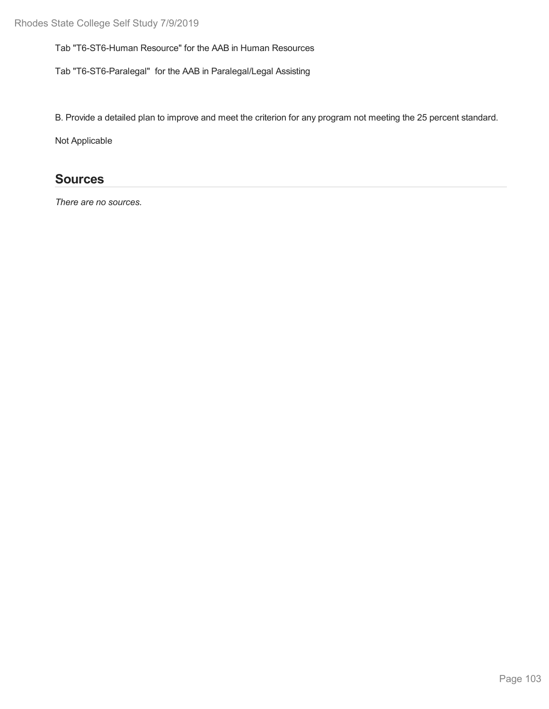Tab "T6-ST6-Human Resource" for the AAB in Human Resources

Tab "T6-ST6-Paralegal" for the AAB in Paralegal/Legal Assisting

B. Provide a detailed plan to improve and meet the criterion for any program not meeting the 25 percent standard.

Not Applicable

## **Sources**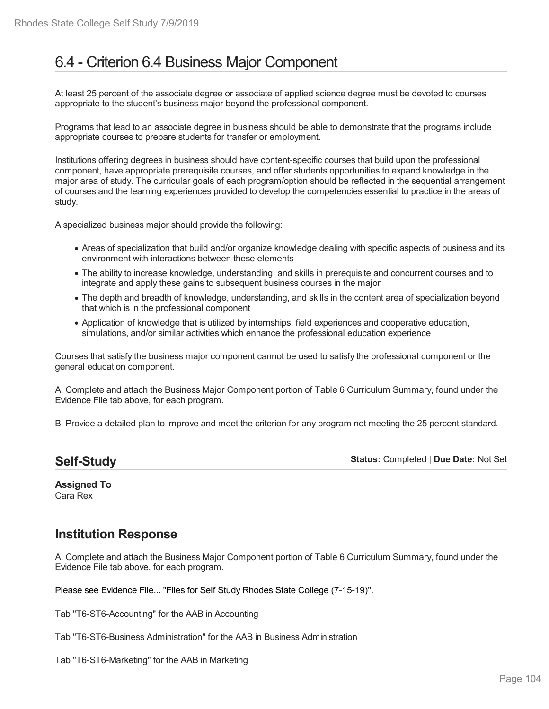# 6.4 - Criterion 6.4 Business Major Component

At least 25 percent of the associate degree or associate of applied science degree must be devoted to courses appropriate to the student's business major beyond the professional component.

Programs that lead to an associate degree in business should be able to demonstrate that the programs include appropriate courses to prepare students for transfer or employment.

Institutions offering degrees in business should have content-specific courses that build upon the professional component, have appropriate prerequisite courses, and offer students opportunities to expand knowledge in the major area of study. The curricular goals of each program/option should be reflected in the sequential arrangement of courses and the learning experiences provided to develop the competencies essential to practice in the areas of study.

A specialized business major should provide the following:

- Areas of specialization that build and/or organize knowledge dealing with specific aspects of business and its environment with interactions between these elements
- The ability to increase knowledge, understanding, and skills in prerequisite and concurrent courses and to integrate and apply these gains to subsequent business courses in the major
- The depth and breadth of knowledge, understanding, and skills in the content area of specialization beyond that which is in the professional component
- Application of knowledge that is utilized by internships, field experiences and cooperative education, simulations, and/or similar activities which enhance the professional education experience

Courses that satisfy the business major component cannot be used to satisfy the professional component or the general education component.

A. Complete and attach the Business Major Component portion of Table 6 Curriculum Summary, found under the Evidence File tab above, for each program.

B. Provide a detailed plan to improve and meet the criterion for any program not meeting the 25 percent standard.

**Status:** Completed | **Due Date:** Not Set

**Assigned To** Cara Rex

### **Institution Response**

A. Complete and attach the Business Major Component portion of Table 6 Curriculum Summary, found under the Evidence File tab above, for each program.

Please see Evidence File... "Files for Self Study Rhodes State College (7-15-19)".

Tab "T6-ST6-Accounting" for the AAB in Accounting

Tab "T6-ST6-Business Administration" for the AAB in Business Administration

Tab "T6-ST6-Marketing" for the AAB in Marketing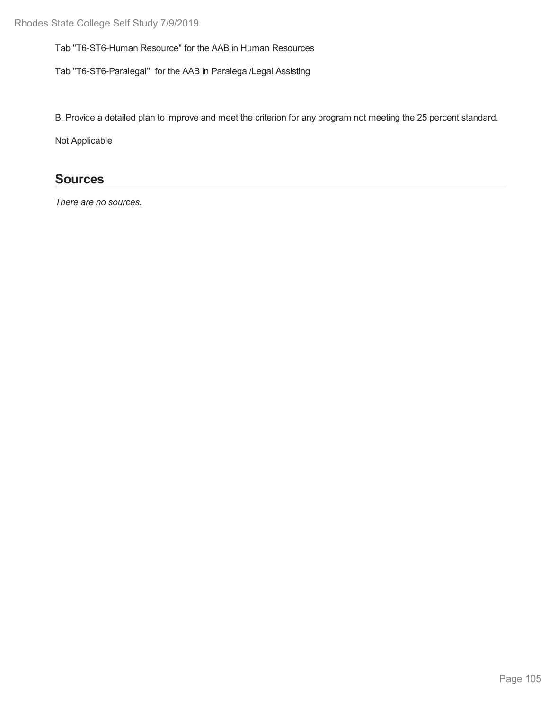Tab "T6-ST6-Human Resource" for the AAB in Human Resources

Tab "T6-ST6-Paralegal" for the AAB in Paralegal/Legal Assisting

B. Provide a detailed plan to improve and meet the criterion for any program not meeting the 25 percent standard.

Not Applicable

## **Sources**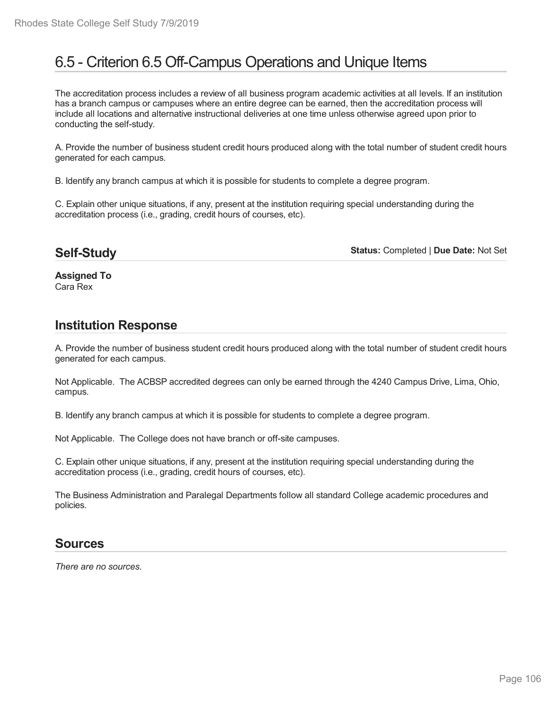# 6.5 - Criterion 6.5 Off-Campus Operations and Unique Items

The accreditation process includes a review of all business program academic activities at all levels. If an institution has a branch campus or campuses where an entire degree can be earned, then the accreditation process will include all locations and alternative instructional deliveries at one time unless otherwise agreed upon prior to conducting the self-study.

A. Provide the number of business student credit hours produced along with the total number of student credit hours generated for each campus.

B. Identify any branch campus at which it is possible for students to complete a degree program.

C. Explain other unique situations, if any, present at the institution requiring special understanding during the accreditation process (i.e., grading, credit hours of courses, etc).

### **Self-Study**

**Status:** Completed | **Due Date:** Not Set

**Assigned To** Cara Rex

## **Institution Response**

A. Provide the number of business student credit hours produced along with the total number of student credit hours generated for each campus.

Not Applicable. The ACBSP accredited degrees can only be earned through the 4240 Campus Drive, Lima, Ohio, campus.

B. Identify any branch campus at which it is possible for students to complete a degree program.

Not Applicable. The College does not have branch or off-site campuses.

C. Explain other unique situations, if any, present at the institution requiring special understanding during the accreditation process (i.e., grading, credit hours of courses, etc).

The Business Administration and Paralegal Departments follow all standard College academic procedures and policies.

### **Sources**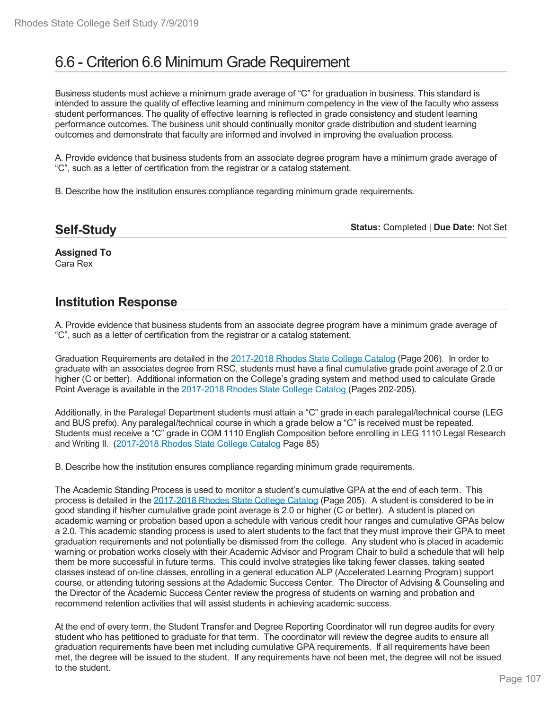# 6.6 - Criterion 6.6 Minimum Grade Requirement

Business students must achieve a minimum grade average of "C" for graduation in business. This standard is intended to assure the quality of effective learning and minimum competency in the view of the faculty who assess student performances. The quality of effective learning is reflected in grade consistency and student learning performance outcomes. The business unit should continually monitor grade distribution and student learning outcomes and demonstrate that faculty are informed and involved in improving the evaluation process.

A. Provide evidence that business students from an associate degree program have a minimum grade average of "C", such as a letter of certification from the registrar or a catalog statement.

B. Describe how the institution ensures compliance regarding minimum grade requirements.

| <b>Self-Study</b> |  |
|-------------------|--|
|-------------------|--|

**Status:** Completed | **Due Date:** Not Set

**Assigned To** Cara Rex

### **Institution Response**

A. Provide evidence that business students from an associate degree program have a minimum grade average of "C", such as a letter of certification from the registrar or a catalog statement.

Graduation Requirements are detailed in the 2017-2018 Rhodes State College Catalog (Page 206). In order to graduate with an associates degree from RSC, students must have a final cumulative grade point average of 2.0 or higher (C or better). Additional information on the College's grading system and method used to calculate Grade Point Average is available in the 2017-2018 Rhodes State College Catalog (Pages 202-205).

Additionally, in the Paralegal Department students must attain a "C" grade in each paralegal/technical course (LEG and BUS prefix). Any paralegal/technical course in which a grade below a "C" is received must be repeated. Students must receive a "C" grade in COM 1110 English Composition before enrolling in LEG 1110 Legal Research and Writing II. (2017-2018 Rhodes State College Catalog Page 85)

B. Describe how the institution ensures compliance regarding minimum grade requirements.

The Academic Standing Process is used to monitor a student's cumulative GPA at the end of each term. This process is detailed in the 2017-2018 Rhodes State College Catalog (Page 205). A student is considered to be in good standing if his/her cumulative grade point average is 2.0 or higher (C or better). A student is placed on academic warning or probation based upon a schedule with various credit hour ranges and cumulative GPAs below a 2.0. This academic standing process is used to alert students to the fact that they must improve their GPA to meet graduation requirements and not potentially be dismissed from the college. Any student who is placed in academic warning or probation works closely with their Academic Advisor and Program Chair to build a schedule that will help them be more successful in future terms. This could involve strategies like taking fewer classes, taking seated classes instead of on-line classes, enrolling in a general education ALP (Accelerated Learning Program) support course, or attending tutoring sessions at the Adademic Success Center. The Director of Advising & Counseling and the Director of the Academic Success Center review the progress of students on warning and probation and recommend retention activities that will assist students in achieving academic success.

At the end of every term, the Student Transfer and Degree Reporting Coordinator will run degree audits for every student who has petitioned to graduate for that term. The coordinator will review the degree audits to ensure all graduation requirements have been met including cumulative GPA requirements. If all requirements have been met, the degree will be issued to the student. If any requirements have not been met, the degree will not be issued to the student.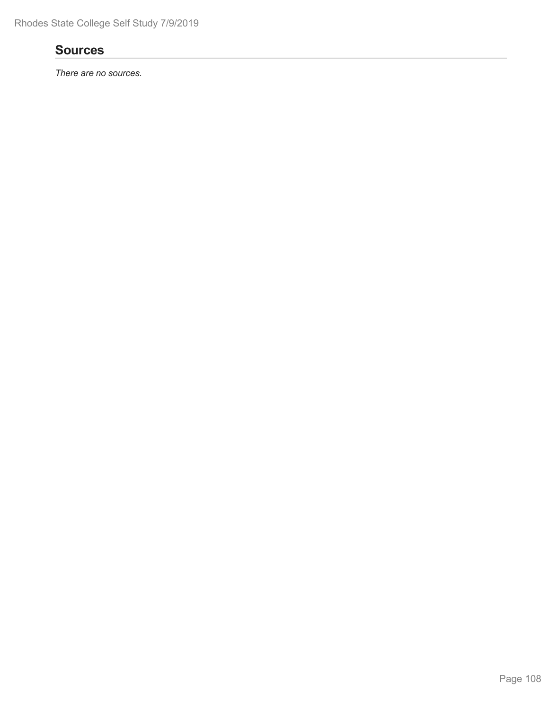## **Sources**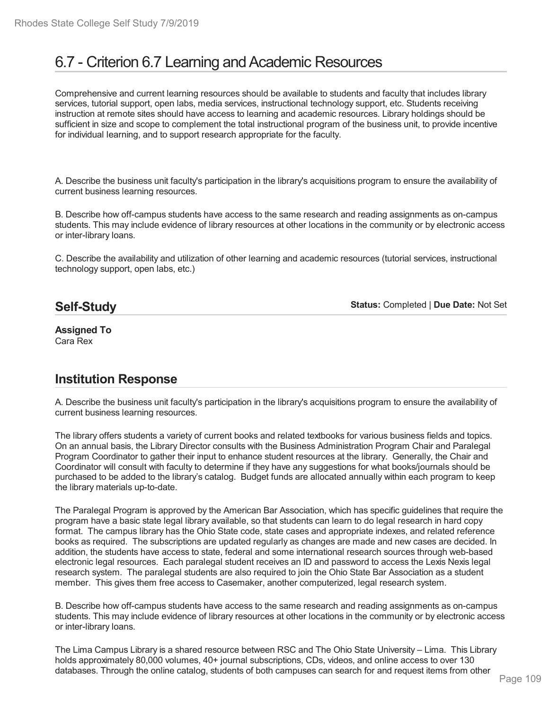# 6.7 - Criterion 6.7 Learning and Academic Resources

Comprehensive and current learning resources should be available to students and faculty that includes library services, tutorial support, open labs, media services, instructional technology support, etc. Students receiving instruction at remote sites should have access to learning and academic resources. Library holdings should be sufficient in size and scope to complement the total instructional program of the business unit, to provide incentive for individual learning, and to support research appropriate for the faculty.

A. Describe the business unit faculty's participation in the library's acquisitions program to ensure the availability of current business learning resources.

B. Describe how off-campus students have access to the same research and reading assignments as on-campus students. This may include evidence of library resources at other locations in the community or by electronic access or inter-library loans.

C. Describe the availability and utilization of other learning and academic resources (tutorial services, instructional technology support, open labs, etc.)

# **Self-Study**

**Status:** Completed | **Due Date:** Not Set

**Assigned To** Cara Rex

# **Institution Response**

A. Describe the business unit faculty's participation in the library's acquisitions program to ensure the availability of current business learning resources.

The library offers students a variety of current books and related textbooks for various business fields and topics. On an annual basis, the Library Director consults with the Business Administration Program Chair and Paralegal Program Coordinator to gather their input to enhance student resources at the library. Generally, the Chair and Coordinator will consult with faculty to determine if they have any suggestions for what books/journals should be purchased to be added to the library's catalog. Budget funds are allocated annually within each program to keep the library materials up-to-date.

The Paralegal Program is approved by the American Bar Association, which has specific guidelines that require the program have a basic state legal library available, so that students can learn to do legal research in hard copy format. The campus library has the Ohio State code, state cases and appropriate indexes, and related reference books as required. The subscriptions are updated regularly as changes are made and new cases are decided. In addition, the students have access to state, federal and some international research sources through web-based electronic legal resources. Each paralegal student receives an ID and password to access the Lexis Nexis legal research system. The paralegal students are also required to join the Ohio State Bar Association as a student member. This gives them free access to Casemaker, another computerized, legal research system.

B. Describe how off-campus students have access to the same research and reading assignments as on-campus students. This may include evidence of library resources at other locations in the community or by electronic access or inter-library loans.

The Lima Campus Library is a shared resource between RSC and The Ohio State University – Lima. This Library holds approximately 80,000 volumes, 40+ journal subscriptions, CDs, videos, and online access to over 130 databases. Through the online catalog, students of both campuses can search for and request items from other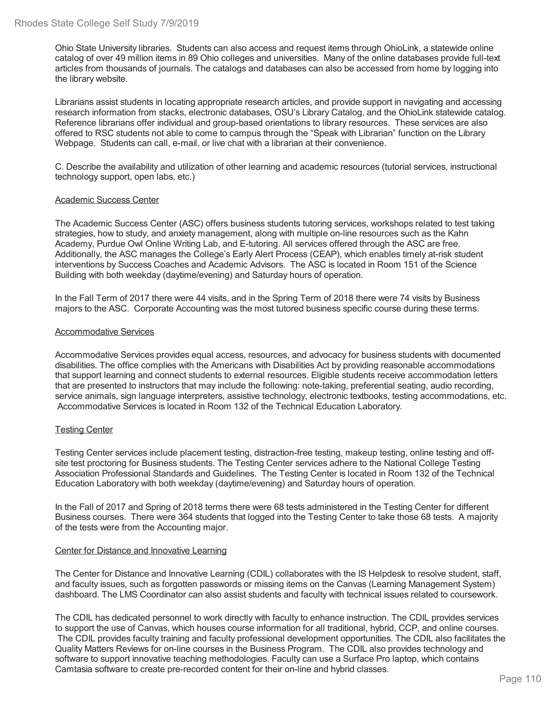Ohio State University libraries. Students can also access and request items through OhioLink, a statewide online catalog of over 49 million items in 89 Ohio colleges and universities. Many of the online databases provide full-text articles from thousands of journals. The catalogs and databases can also be accessed from home by logging into the library website.

Librarians assist students in locating appropriate research articles, and provide support in navigating and accessing research information from stacks, electronic databases, OSU's Library Catalog, and the OhioLink statewide catalog. Reference librarians offer individual and group-based orientations to library resources. These services are also offered to RSC students not able to come to campus through the "Speak with Librarian" function on the Library Webpage. Students can call, e-mail, or live chat with a librarian at their convenience.

C. Describe the availability and utilization of other learning and academic resources (tutorial services, instructional technology support, open labs, etc.)

#### Academic Success Center

The Academic Success Center (ASC) offers business students tutoring services, workshops related to test taking strategies, how to study, and anxiety management, along with multiple on-line resources such as the Kahn Academy, Purdue Owl Online Writing Lab, and E-tutoring. All services offered through the ASC are free. Additionally, the ASC manages the College's Early Alert Process (CEAP), which enables timely at-risk student interventions by Success Coaches and Academic Advisors. The ASC is located in Room 151 of the Science Building with both weekday (daytime/evening) and Saturday hours of operation.

In the Fall Term of 2017 there were 44 visits, and in the Spring Term of 2018 there were 74 visits by Business majors to the ASC. Corporate Accounting was the most tutored business specific course during these terms.

#### Accommodative Services

Accommodative Services provides equal access, resources, and advocacy for business students with documented disabilities. The office complies with the Americans with Disabilities Act by providing reasonable accommodations that support learning and connect students to external resources. Eligible students receive accommodation letters that are presented to instructors that may include the following: note-taking, preferential seating, audio recording, service animals, sign language interpreters, assistive technology, electronic textbooks, testing accommodations, etc. Accommodative Services is located in Room 132 of the Technical Education Laboratory.

## Testing Center

Testing Center services include placement testing, distraction-free testing, makeup testing, online testing and off site test proctoring for Business students. The Testing Center services adhere to the National College Testing Association Professional Standards and Guidelines. The Testing Center is located in Room 132 of the Technical Education Laboratory with both weekday (daytime/evening) and Saturday hours of operation.

In the Fall of 2017 and Spring of 2018 terms there were 68 tests administered in the Testing Center for different Business courses. There were 364 students that logged into the Testing Center to take those 68 tests. A majority of the tests were from the Accounting major.

#### Center for Distance and Innovative Learning

The Center for Distance and Innovative Learning (CDIL) collaborates with the IS Helpdesk to resolve student, staff, and faculty issues, such as forgotten passwords or missing items on the Canvas (Learning Management System) dashboard. The LMS Coordinator can also assist students and faculty with technical issues related to coursework.

The CDIL has dedicated personnel to work directly with faculty to enhance instruction. The CDIL provides services to support the use of Canvas, which houses course information for all traditional, hybrid, CCP, and online courses. The CDIL provides faculty training and faculty professional development opportunities. The CDIL also facilitates the Quality Matters Reviews for on-line courses in the Business Program. The CDIL also provides technology and software to support innovative teaching methodologies. Faculty can use a Surface Pro laptop, which contains Camtasia software to create pre-recorded content for their on-line and hybrid classes.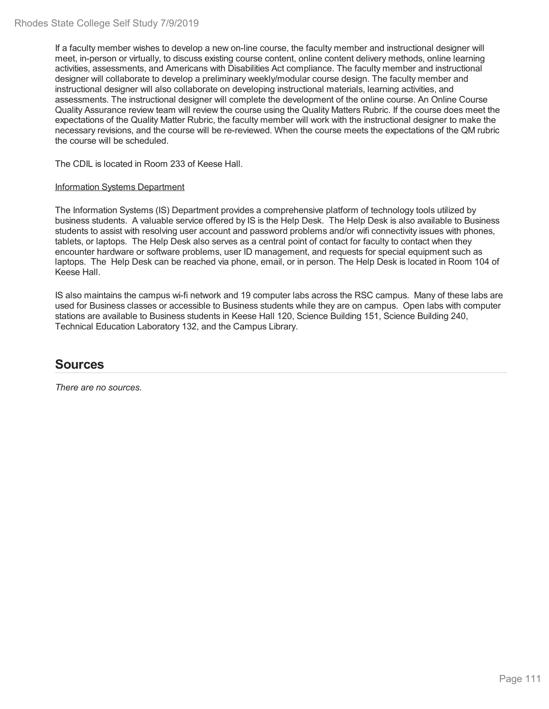If a faculty member wishes to develop a new on-line course, the faculty member and instructional designer will meet, in-person or virtually, to discuss existing course content, online content delivery methods, online learning activities, assessments, and Americans with Disabilities Act compliance. The faculty member and instructional designer will collaborate to develop a preliminary weekly/modular course design. The faculty member and instructional designer will also collaborate on developing instructional materials, learning activities, and assessments. The instructional designer will complete the development of the online course. An Online Course Quality Assurance review team will review the course using the Quality Matters Rubric. If the course does meet the expectations of the Quality Matter Rubric, the faculty member will work with the instructional designer to make the necessary revisions, and the course will be re-reviewed. When the course meets the expectations of the QM rubric the course will be scheduled.

The CDIL is located in Room 233 of Keese Hall.

## Information Systems Department

The Information Systems (IS) Department provides a comprehensive platform of technology tools utilized by business students. A valuable service offered by IS is the Help Desk. The Help Desk is also available to Business students to assist with resolving user account and password problems and/or wifi connectivity issues with phones, tablets, or laptops. The Help Desk also serves as a central point of contact for faculty to contact when they encounter hardware or software problems, user ID management, and requests for special equipment such as laptops. The Help Desk can be reached via phone, email, or in person. The Help Desk is located in Room 104 of Keese Hall.

IS also maintains the campus wi-fi network and 19 computer labs across the RSC campus. Many of these labs are used for Business classes or accessible to Business students while they are on campus. Open labs with computer stations are available to Business students in Keese Hall 120, Science Building 151, Science Building 240, Technical Education Laboratory 132, and the Campus Library.

# **Sources**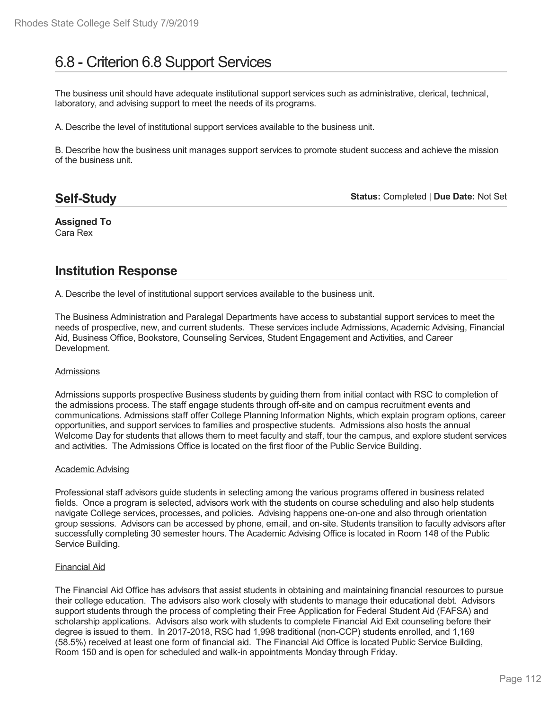# 6.8 - Criterion 6.8 Support Services

The business unit should have adequate institutional support services such as administrative, clerical, technical, laboratory, and advising support to meet the needs of its programs.

A. Describe the level of institutional support services available to the business unit.

B. Describe how the business unit manages support services to promote student success and achieve the mission of the business unit.

# **Self-Study**

**Status:** Completed | **Due Date:** Not Set

**Assigned To** Cara Rex

# **Institution Response**

A. Describe the level of institutional support services available to the business unit.

The Business Administration and Paralegal Departments have access to substantial support services to meet the needs of prospective, new, and current students. These services include Admissions, Academic Advising, Financial Aid, Business Office, Bookstore, Counseling Services, Student Engagement and Activities, and Career Development.

## Admissions

Admissions supports prospective Business students by guiding them from initial contact with RSC to completion of the admissions process. The staff engage students through off-site and on campus recruitment events and communications. Admissions staff offer College Planning Information Nights, which explain program options, career opportunities, and support services to families and prospective students. Admissions also hosts the annual Welcome Day for students that allows them to meet faculty and staff, tour the campus, and explore student services and activities. The Admissions Office is located on the first floor of the Public Service Building.

## Academic Advising

Professional staff advisors guide students in selecting among the various programs offered in business related fields. Once a program is selected, advisors work with the students on course scheduling and also help students navigate College services, processes, and policies. Advising happens one-on-one and also through orientation group sessions. Advisors can be accessed by phone, email, and on-site. Students transition to faculty advisors after successfully completing 30 semester hours. The Academic Advising Office is located in Room 148 of the Public Service Building.

## Financial Aid

The Financial Aid Office has advisors that assist students in obtaining and maintaining financial resources to pursue their college education. The advisors also work closely with students to manage their educational debt. Advisors support students through the process of completing their Free Application for Federal Student Aid (FAFSA) and scholarship applications. Advisors also work with students to complete Financial Aid Exit counseling before their degree is issued to them. In 2017-2018, RSC had 1,998 traditional (non-CCP) students enrolled, and 1,169 (58.5%) received at least one form of financial aid. The Financial Aid Office is located Public Service Building, Room 150 and is open for scheduled and walk-in appointments Monday through Friday.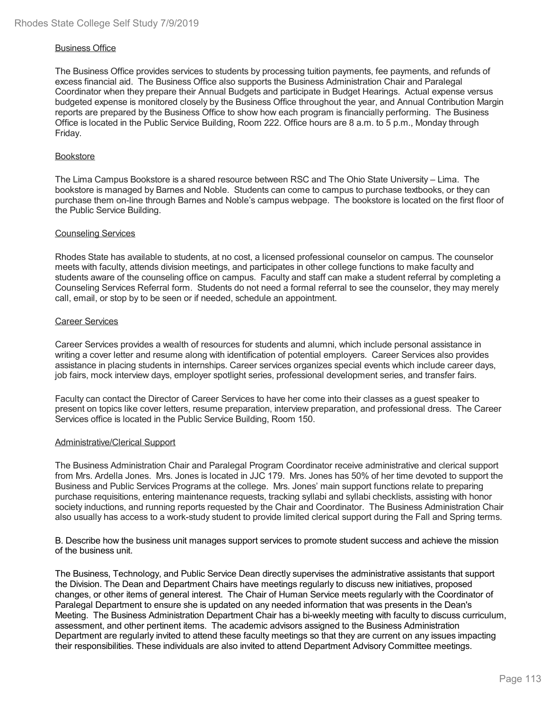## Business Office

The Business Office provides services to students by processing tuition payments, fee payments, and refunds of excess financial aid. The Business Office also supports the Business Administration Chair and Paralegal Coordinator when they prepare their Annual Budgets and participate in Budget Hearings. Actual expense versus budgeted expense is monitored closely by the Business Office throughout the year, and Annual Contribution Margin reports are prepared by the Business Office to show how each program is financially performing. The Business Office is located in the Public Service Building, Room 222. Office hours are 8 a.m. to 5 p.m., Monday through Friday.

## Bookstore

The Lima Campus Bookstore is a shared resource between RSC and The Ohio State University – Lima. The bookstore is managed by Barnes and Noble. Students can come to campus to purchase textbooks, or they can purchase them on-line through Barnes and Noble's campus webpage. The bookstore is located on the first floor of the Public Service Building.

## Counseling Services

Rhodes State has available to students, at no cost, a licensed professional counselor on campus. The counselor meets with faculty, attends division meetings, and participates in other college functions to make faculty and students aware of the counseling office on campus. Faculty and staff can make a student referral by completing a Counseling Services Referral form. Students do not need a formal referral to see the counselor, they may merely call, email, or stop by to be seen or if needed, schedule an appointment.

## Career Services

Career Services provides a wealth of resources for students and alumni, which include personal assistance in writing a cover letter and resume along with identification of potential employers. Career Services also provides assistance in placing students in internships. Career services organizes special events which include career days, job fairs, mock interview days, employer spotlight series, professional development series, and transfer fairs.

Faculty can contact the Director of Career Services to have her come into their classes as a guest speaker to present on topics like cover letters, resume preparation, interview preparation, and professional dress. The Career Services office is located in the Public Service Building, Room 150.

## Administrative/Clerical Support

The Business Administration Chair and Paralegal Program Coordinator receive administrative and clerical support from Mrs. Ardella Jones. Mrs. Jones is located in JJC 179. Mrs. Jones has 50% of her time devoted to support the Business and Public Services Programs at the college. Mrs. Jones' main support functions relate to preparing purchase requisitions, entering maintenance requests, tracking syllabi and syllabi checklists, assisting with honor society inductions, and running reports requested by the Chair and Coordinator. The Business Administration Chair also usually has access to a work-study student to provide limited clerical support during the Fall and Spring terms.

B. Describe how the business unit manages support services to promote student success and achieve the mission of the business unit.

The Business, Technology, and Public Service Dean directly supervises the administrative assistants that support the Division. The Dean and Department Chairs have meetings regularly to discuss new initiatives, proposed changes, or other items of general interest. The Chair of Human Service meets regularly with the Coordinator of Paralegal Department to ensure she is updated on any needed information that was presents in the Dean's Meeting. The Business Administration Department Chair has a bi-weekly meeting with faculty to discuss curriculum, assessment, and other pertinent items. The academic advisors assigned to the Business Administration Department are regularly invited to attend these faculty meetings so that they are current on any issues impacting their responsibilities. These individuals are also invited to attend Department Advisory Committee meetings.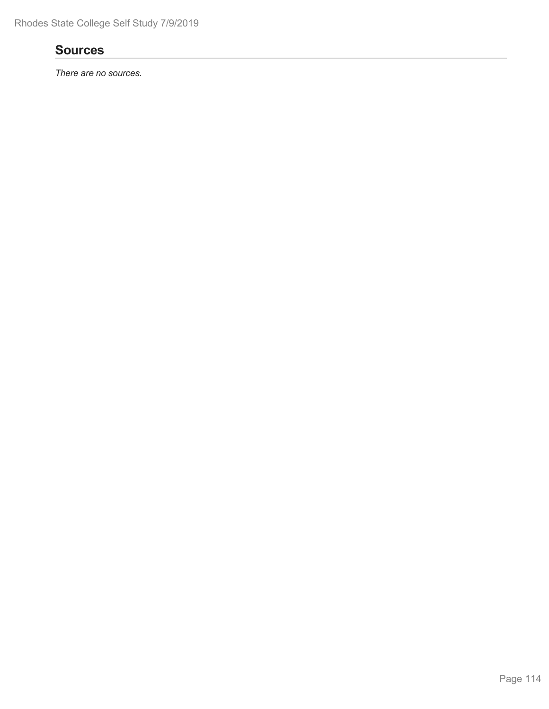# **Sources**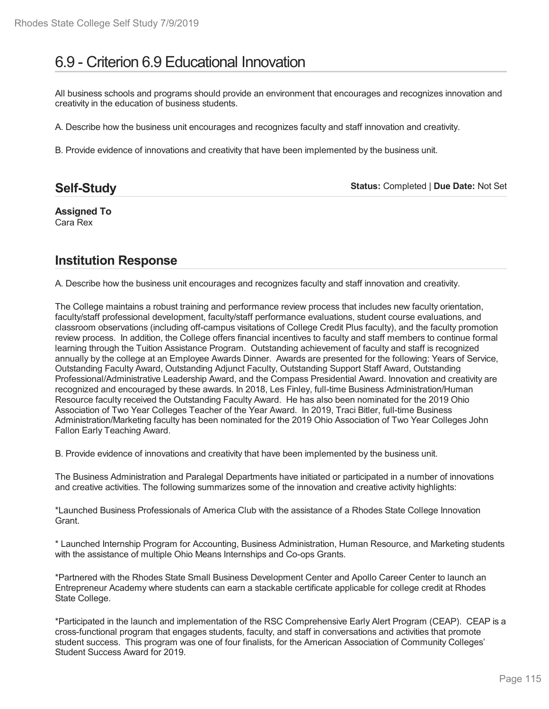# 6.9 - Criterion 6.9 Educational Innovation

All business schools and programs should provide an environment that encourages and recognizes innovation and creativity in the education of business students.

A. Describe how the business unit encourages and recognizes faculty and staff innovation and creativity.

B. Provide evidence of innovations and creativity that have been implemented by the business unit.

| <b>Status: Completed   Due Date: Not Set</b><br><b>Self-Study</b> |  |
|-------------------------------------------------------------------|--|
|-------------------------------------------------------------------|--|

**Assigned To** Cara Rex

# **Institution Response**

A. Describe how the business unit encourages and recognizes faculty and staff innovation and creativity.

The College maintains a robust training and performance review process that includes new faculty orientation, faculty/staff professional development, faculty/staff performance evaluations, student course evaluations, and classroom observations (including off-campus visitations of College Credit Plus faculty), and the faculty promotion review process. In addition, the College offers financial incentives to faculty and staff members to continue formal learning through the Tuition Assistance Program. Outstanding achievement of faculty and staff is recognized annually by the college at an Employee Awards Dinner. Awards are presented for the following: Years of Service, Outstanding Faculty Award, Outstanding Adjunct Faculty, Outstanding Support Staff Award, Outstanding Professional/Administrative Leadership Award, and the Compass Presidential Award. Innovation and creativity are recognized and encouraged by these awards. In 2018, Les Finley, full-time Business Administration/Human Resource faculty received the Outstanding Faculty Award. He has also been nominated for the 2019 Ohio Association of Two Year Colleges Teacher of the Year Award. In 2019, Traci Bitler, full-time Business Administration/Marketing faculty has been nominated for the 2019 Ohio Association of Two Year Colleges John Fallon Early Teaching Award.

B. Provide evidence of innovations and creativity that have been implemented by the business unit.

The Business Administration and Paralegal Departments have initiated or participated in a number of innovations and creative activities. The following summarizes some of the innovation and creative activity highlights:

\*Launched Business Professionals of America Club with the assistance of a Rhodes State College Innovation **Grant** 

\* Launched Internship Program for Accounting, Business Administration, Human Resource, and Marketing students with the assistance of multiple Ohio Means Internships and Co-ops Grants.

\*Partnered with the Rhodes State Small Business Development Center and Apollo Career Center to launch an Entrepreneur Academy where students can earn a stackable certificate applicable for college credit at Rhodes State College.

\*Participated in the launch and implementation of the RSC Comprehensive Early Alert Program (CEAP). CEAP is a cross-functional program that engages students, faculty, and staff in conversations and activities that promote student success. This program was one of four finalists, for the American Association of Community Colleges' Student Success Award for 2019.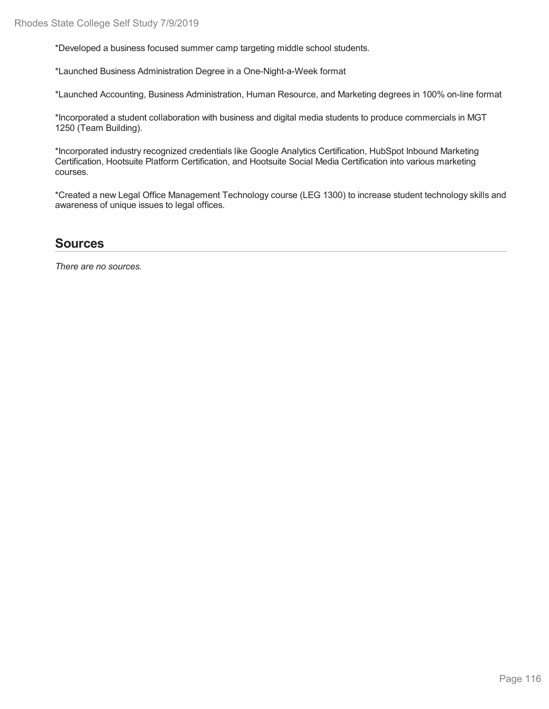\*Developed a business focused summer camp targeting middle school students.

\*Launched Business Administration Degree in a One-Night-a-Week format

\*Launched Accounting, Business Administration, Human Resource, and Marketing degrees in 100% on-line format

\*Incorporated a student collaboration with business and digital media students to produce commercials in MGT 1250 (Team Building).

\*Incorporated industry recognized credentials like Google Analytics Certification, HubSpot Inbound Marketing Certification, Hootsuite Platform Certification, and Hootsuite Social Media Certification into various marketing courses.

\*Created a new Legal Office Management Technology course (LEG 1300) to increase student technology skills and awareness of unique issues to legal offices.

# **Sources**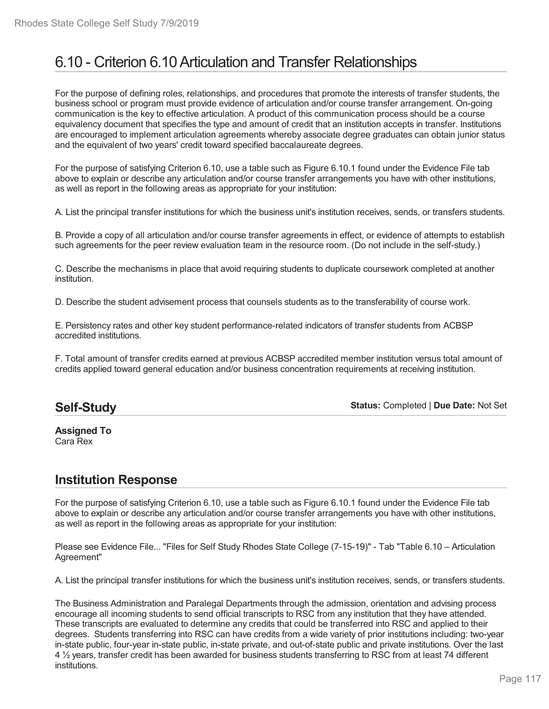# 6.10 - Criterion 6.10Articulation and Transfer Relationships

For the purpose of defining roles, relationships, and procedures that promote the interests of transfer students, the business school or program must provide evidence of articulation and/or course transfer arrangement. On-going communication is the key to effective articulation. A product of this communication process should be a course equivalency document that specifies the type and amount of credit that an institution accepts in transfer. Institutions are encouraged to implement articulation agreements whereby associate degree graduates can obtain junior status and the equivalent of two years' credit toward specified baccalaureate degrees.

For the purpose of satisfying Criterion 6.10, use a table such as Figure 6.10.1 found under the Evidence File tab above to explain or describe any articulation and/or course transfer arrangements you have with other institutions, as well as report in the following areas as appropriate for your institution:

A. List the principal transfer institutions for which the business unit's institution receives, sends, or transfers students.

B. Provide a copy of all articulation and/or course transfer agreements in effect, or evidence of attempts to establish such agreements for the peer review evaluation team in the resource room. (Do not include in the self-study.)

C. Describe the mechanisms in place that avoid requiring students to duplicate coursework completed at another institution.

D. Describe the student advisement process that counsels students as to the transferability of course work.

E. Persistency rates and other key student performance-related indicators of transfer students from ACBSP accredited institutions.

F. Total amount of transfer credits earned at previous ACBSP accredited member institution versus total amount of credits applied toward general education and/or business concentration requirements at receiving institution.

## **Self-Study**

**Status:** Completed | **Due Date:** Not Set

**Assigned To** Cara Rex

# **Institution Response**

For the purpose of satisfying Criterion 6.10, use a table such as Figure 6.10.1 found under the Evidence File tab above to explain or describe any articulation and/or course transfer arrangements you have with other institutions, as well as report in the following areas as appropriate for your institution:

Please see Evidence File... "Files for Self Study Rhodes State College (7-15-19)" - Tab "Table 6.10 – Articulation Agreement"

A. List the principal transfer institutions for which the business unit's institution receives, sends, or transfers students.

The Business Administration and Paralegal Departments through the admission, orientation and advising process encourage all incoming students to send official transcripts to RSC from any institution that they have attended. These transcripts are evaluated to determine any credits that could be transferred into RSC and applied to their degrees. Students transferring into RSC can have credits from awide variety of prior institutions including: two-year in-state public, four-year in-state public, in-state private, and out-of-state public and private institutions. Over the last 4 ½ years, transfer credit has been awarded for business students transferring to RSC from at least 74 different institutions.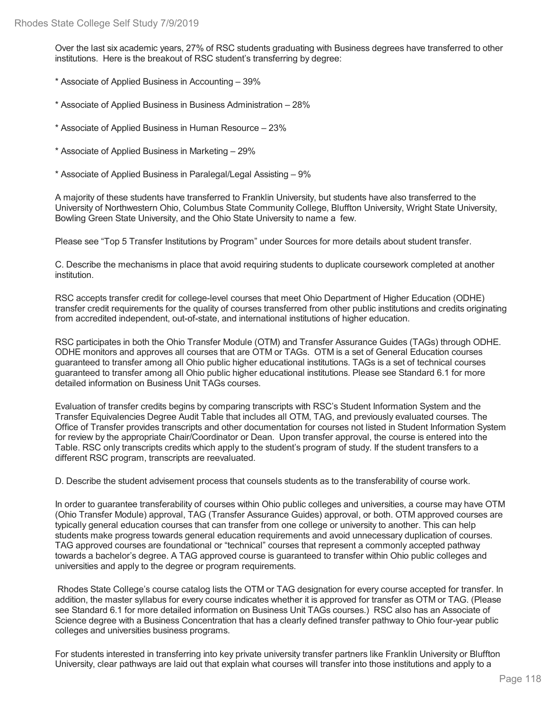Over the last six academic years, 27% of RSC students graduating with Business degrees have transferred to other institutions. Here is the breakout of RSC student's transferring by degree:

- \* Associate of Applied Business in Accounting 39%
- \* Associate of Applied Business in Business Administration 28%
- \* Associate of Applied Business in Human Resource 23%
- \* Associate of Applied Business in Marketing 29%
- \* Associate of Applied Business in Paralegal/Legal Assisting 9%

A majority of these students have transferred to Franklin University, but students have also transferred to the University of Northwestern Ohio, Columbus State Community College, Bluffton University, Wright State University, Bowling Green State University, and the Ohio State University to name a few.

Please see "Top 5 Transfer Institutions by Program" under Sources for more details about student transfer.

C. Describe the mechanisms in place that avoid requiring students to duplicate coursework completed at another institution.

RSC accepts transfer credit for college-level courses that meet Ohio Department of Higher Education (ODHE) transfer credit requirements for the quality of courses transferred from other public institutions and credits originating from accredited independent, out-of-state, and international institutions of higher education.

RSC participates in both the Ohio Transfer Module (OTM) and Transfer Assurance Guides (TAGs) through ODHE. ODHE monitors and approves all courses that are OTM or TAGs. OTM is a set of General Education courses guaranteed to transfer among all Ohio public higher educational institutions. TAGs is a set of technical courses guaranteed to transfer among all Ohio public higher educational institutions. Please see Standard 6.1 for more detailed information on Business Unit TAGs courses.

Evaluation of transfer credits begins by comparing transcripts with RSC's Student Information System and the Transfer Equivalencies Degree Audit Table that includes all OTM, TAG, and previously evaluated courses. The Office of Transfer provides transcripts and other documentation for courses not listed in Student Information System for review by the appropriate Chair/Coordinator or Dean. Upon transfer approval, the course is entered into the Table. RSC only transcripts credits which apply to the student's program of study. If the student transfers to a different RSC program, transcripts are reevaluated.

D. Describe the student advisement process that counsels students as to the transferability of course work.

In order to guarantee transferability of courses within Ohio public colleges and universities, a course may have OTM (Ohio Transfer Module) approval, TAG (Transfer Assurance Guides) approval, or both. OTM approved courses are typically general education courses that can transfer from one college or university to another. This can help students make progress towards general education requirements and avoid unnecessary duplication of courses. TAG approved courses are foundational or "technical" courses that represent a commonly accepted pathway towards a bachelor's degree. A TAG approved course is guaranteed to transfer within Ohio public colleges and universities and apply to the degree or program requirements.

Rhodes State College's course catalog lists the OTM or TAG designation for every course accepted for transfer. In addition, the master syllabus for every course indicates whether it is approved for transfer as OTM or TAG. (Please see Standard 6.1 for more detailed information on Business Unit TAGs courses.) RSC also has an Associate of Science degree with a Business Concentration that has a clearly defined transfer pathway to Ohio four-year public colleges and universities business programs.

For students interested in transferring into key private university transfer partners like Franklin University or Bluffton University, clear pathways are laid out that explain what courses will transfer into those institutions and apply to a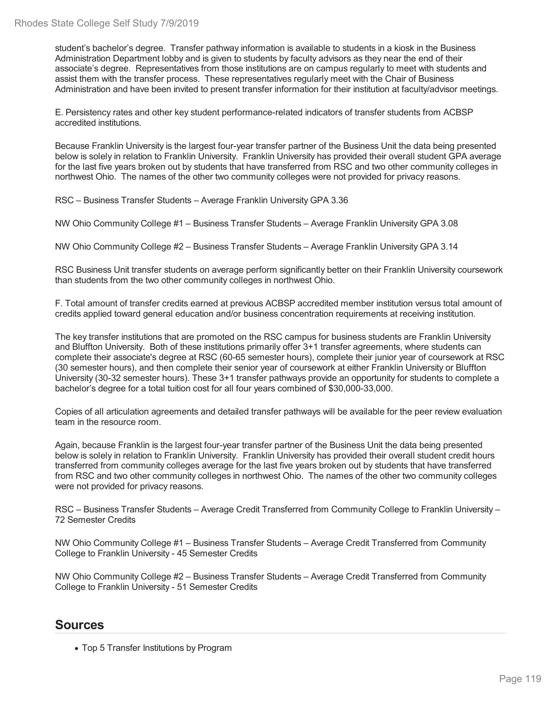student's bachelor's degree. Transfer pathway information is available to students in a kiosk in the Business Administration Department lobby and is given to students by faculty advisors as they near the end of their associate's degree. Representatives from those institutions are on campus regularly to meet with students and assist them with the transfer process. These representatives regularly meet with the Chair of Business Administration and have been invited to present transfer information for their institution at faculty/advisor meetings.

E. Persistency rates and other key student performance-related indicators of transfer students from ACBSP accredited institutions.

Because Franklin University is the largest four-year transfer partner of the Business Unit the data being presented below is solely in relation to Franklin University. Franklin University has provided their overall student GPA average for the last five years broken out by students that have transferred from RSC and two other community colleges in northwest Ohio. The names of the other two community colleges were not provided for privacy reasons.

RSC – Business Transfer Students – Average Franklin University GPA 3.36

NW Ohio Community College #1 – Business Transfer Students – Average Franklin University GPA 3.08

NW Ohio Community College #2 – Business Transfer Students – Average Franklin University GPA 3.14

RSC Business Unit transfer students on average perform significantly better on their Franklin University coursework than students from the two other community colleges in northwest Ohio.

F. Total amount of transfer credits earned at previous ACBSP accredited member institution versus total amount of credits applied toward general education and/or business concentration requirements at receiving institution.

The key transfer institutions that are promoted on the RSC campus for business students are Franklin University and Bluffton University. Both of these institutions primarily offer 3+1 transfer agreements, where students can complete their associate's degree at RSC (60-65 semester hours), complete their junior year of coursework at RSC (30 semester hours), and then complete their senior year of coursework at either Franklin University or Bluffton University (30-32 semester hours). These 3+1 transfer pathways provide an opportunity for students to complete a bachelor's degree for a total tuition cost for all four years combined of \$30,000-33,000.

Copies of all articulation agreements and detailed transfer pathways will be available for the peer review evaluation team in the resource room.

Again, because Franklin is the largest four-year transfer partner of the Business Unit the data being presented below is solely in relation to Franklin University. Franklin University has provided their overall student credit hours transferred from community colleges average for the last five years broken out by students that have transferred from RSC and two other community colleges in northwest Ohio. The names of the other two community colleges were not provided for privacy reasons.

RSC – Business Transfer Students – Average Credit Transferred from Community College to Franklin University – 72 Semester Credits

NW Ohio Community College #1 – Business Transfer Students – Average Credit Transferred from Community College to Franklin University -45 Semester Credits

NW Ohio Community College #2 – Business Transfer Students – Average Credit Transferred from Community College to Franklin University -51 Semester Credits

## **Sources**

Top 5 Transfer Institutions by Program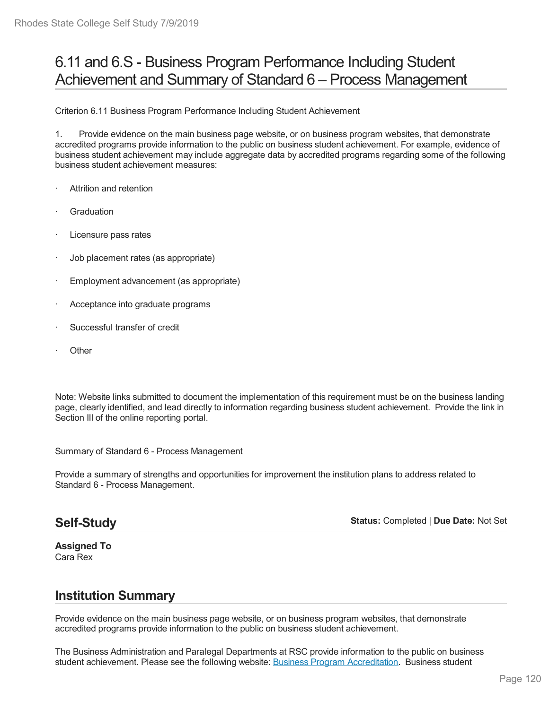# 6.11 and 6.S - Business Program Performance Including Student Achievement and Summary of Standard 6 – Process Management

Criterion 6.11 Business Program Performance Including Student Achievement

1. Provide evidence on the main business page website, or on business program websites, that demonstrate accredited programs provide information to the public on business student achievement. For example, evidence of business student achievement may include aggregate data by accredited programs regarding some of the following business student achievement measures:

- Attrition and retention
- **Graduation**
- Licensure pass rates
- · Job placement rates (as appropriate)
- Employment advancement (as appropriate)
- Acceptance into graduate programs
- Successful transfer of credit
- **Other**

Note: Website links submitted to document the implementation of this requirement must be on the business landing page, clearly identified, and lead directly to information regarding business student achievement. Provide the link in Section III of the online reporting portal.

Summary of Standard 6 - Process Management

Provide a summary of strengths and opportunities for improvement the institution plans to address related to Standard 6 - Process Management.

## **Self-Study**

**Status:** Completed | **Due Date:** Not Set

**Assigned To** Cara Rex

# **Institution Summary**

Provide evidence on the main business page website, or on business program websites, that demonstrate accredited programs provide information to the public on business student achievement.

The Business Administration and Paralegal Departments at RSC provide information to the public on business student achievement. Please see the following website: Business Program Accreditation. Business student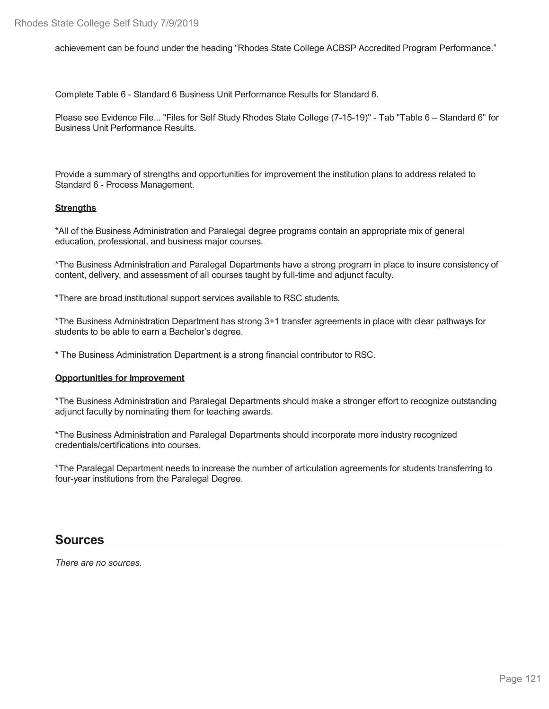achievement can be found under the heading "Rhodes State College ACBSP Accredited Program Performance."

Complete Table 6 - Standard 6 Business Unit Performance Results for Standard 6.

Please see Evidence File... "Files for Self Study Rhodes State College (7-15-19)" - Tab "Table 6 – Standard 6" for Business Unit Performance Results.

Provide a summary of strengths and opportunities for improvement the institution plans to address related to Standard 6 - Process Management.

## **Strengths**

\*All of the Business Administration and Paralegal degree programs contain an appropriate mix of general education, professional, and business major courses.

\*The Business Administration and Paralegal Departments have a strong program in place to insure consistency of content, delivery, and assessment of all courses taught by full-time and adjunct faculty.

\*There are broad institutional support services available to RSC students.

\*The Business Administration Department has strong 3+1 transfer agreements in place with clear pathways for students to be able to earn a Bachelor's degree.

\* The Business Administration Department is a strong financial contributor to RSC.

#### **Opportunities for Improvement**

\*The Business Administration and Paralegal Departments should make a stronger effort to recognize outstanding adjunct faculty by nominating them for teaching awards.

\*The Business Administration and Paralegal Departments should incorporate more industry recognized credentials/certifications into courses.

\*The Paralegal Department needs to increase the number of articulation agreements for students transferring to four-year institutions from the Paralegal Degree.

## **Sources**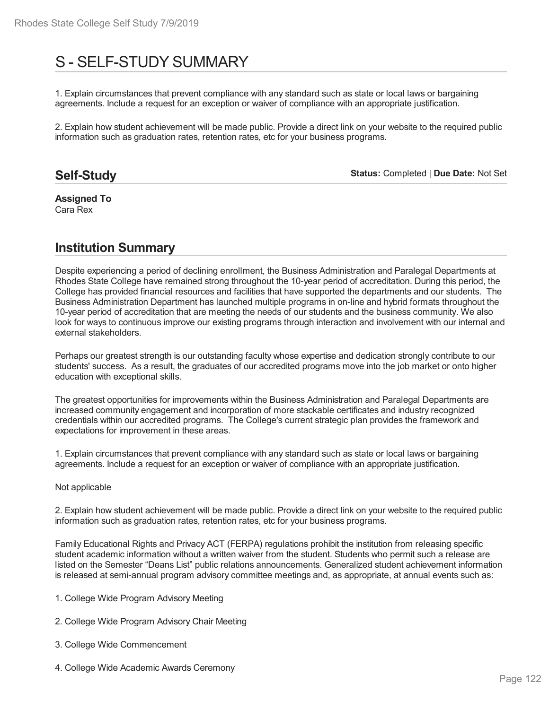# S - SELF-STUDY SUMMARY

1. Explain circumstances that prevent compliance with any standard such as state or local laws or bargaining agreements. Include a request for an exception or waiver of compliance with an appropriate justification.

2. Explain how student achievement will be made public. Provide a direct link on your website to the required public information such as graduation rates, retention rates, etc for your business programs.

## **Self-Study**

**Status:** Completed | **Due Date:** Not Set

**Assigned To** Cara Rex

# **Institution Summary**

Despite experiencing a period of declining enrollment, the Business Administration and Paralegal Departments at Rhodes State College have remained strong throughout the 10-year period of accreditation. During this period, the College has provided financial resources and facilities that have supported the departments and our students. The Business Administration Department has launched multiple programs in on-line and hybrid formats throughout the 10-year period of accreditation that are meeting the needs of our students and the business community. We also look for ways to continuous improve our existing programs through interaction and involvement with our internal and external stakeholders.

Perhaps our greatest strength is our outstanding faculty whose expertise and dedication strongly contribute to our students' success. As a result, the graduates of our accredited programs move into the job market or onto higher education with exceptional skills.

The greatest opportunities for improvements within the Business Administration and Paralegal Departments are increased community engagement and incorporation of more stackable certificates and industry recognized credentials within our accredited programs. The College's current strategic plan provides the framework and expectations for improvement in these areas.

1. Explain circumstances that prevent compliance with any standard such as state or local laws or bargaining agreements. Include a request for an exception or waiver of compliance with an appropriate justification.

## Not applicable

2. Explain how student achievement will be made public. Provide a direct link on your website to the required public information such as graduation rates, retention rates, etc for your business programs.

Family Educational Rights and Privacy ACT (FERPA) regulations prohibit the institution from releasing specific student academic information without a written waiver from the student. Students who permit such a release are listed on the Semester "Deans List" public relations announcements. Generalized student achievement information is released at semi-annual program advisory committee meetings and, as appropriate, at annual events such as:

- 1. College Wide Program Advisory Meeting
- 2. College Wide Program Advisory Chair Meeting
- 3. College Wide Commencement
- 4. College Wide Academic Awards Ceremony